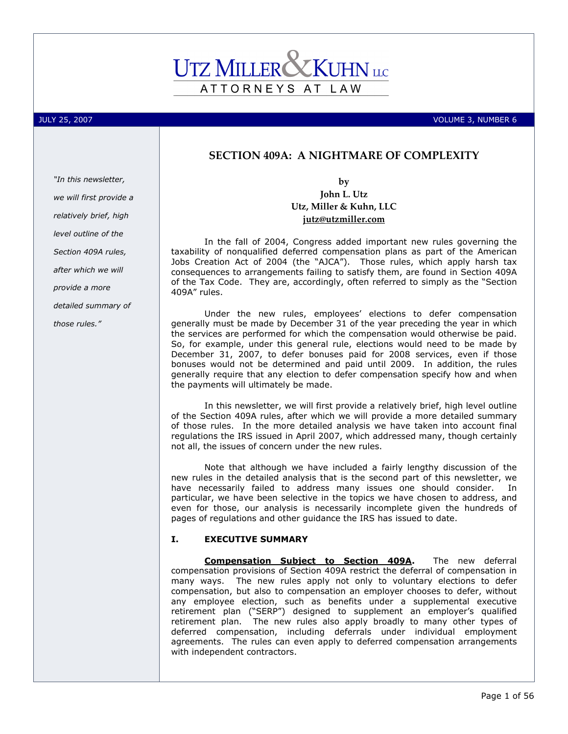# ATTORNEYS AT LAW

JULY 25, 2007 VOLUME 3, NUMBER 6

## SECTION 409A: A NIGHTMARE OF COMPLEXITY

"In this newsletter, we will first provide a relatively brief, high level outline of the Section 409A rules, after which we will provide a more detailed summary of those rules."

## by John L. Utz Utz, Miller & Kuhn, LLC jutz@utzmiller.com

In the fall of 2004, Congress added important new rules governing the taxability of nonqualified deferred compensation plans as part of the American Jobs Creation Act of 2004 (the "AJCA"). Those rules, which apply harsh tax consequences to arrangements failing to satisfy them, are found in Section 409A of the Tax Code. They are, accordingly, often referred to simply as the "Section 409A" rules.

Under the new rules, employees' elections to defer compensation generally must be made by December 31 of the year preceding the year in which the services are performed for which the compensation would otherwise be paid. So, for example, under this general rule, elections would need to be made by December 31, 2007, to defer bonuses paid for 2008 services, even if those bonuses would not be determined and paid until 2009. In addition, the rules generally require that any election to defer compensation specify how and when the payments will ultimately be made.

In this newsletter, we will first provide a relatively brief, high level outline of the Section 409A rules, after which we will provide a more detailed summary of those rules. In the more detailed analysis we have taken into account final regulations the IRS issued in April 2007, which addressed many, though certainly not all, the issues of concern under the new rules.

Note that although we have included a fairly lengthy discussion of the new rules in the detailed analysis that is the second part of this newsletter, we have necessarily failed to address many issues one should consider. In particular, we have been selective in the topics we have chosen to address, and even for those, our analysis is necessarily incomplete given the hundreds of pages of regulations and other guidance the IRS has issued to date.

## I. EXECUTIVE SUMMARY

Compensation Subject to Section 409A. The new deferral compensation provisions of Section 409A restrict the deferral of compensation in many ways. The new rules apply not only to voluntary elections to defer compensation, but also to compensation an employer chooses to defer, without any employee election, such as benefits under a supplemental executive retirement plan ("SERP") designed to supplement an employer's qualified retirement plan. The new rules also apply broadly to many other types of deferred compensation, including deferrals under individual employment agreements. The rules can even apply to deferred compensation arrangements with independent contractors.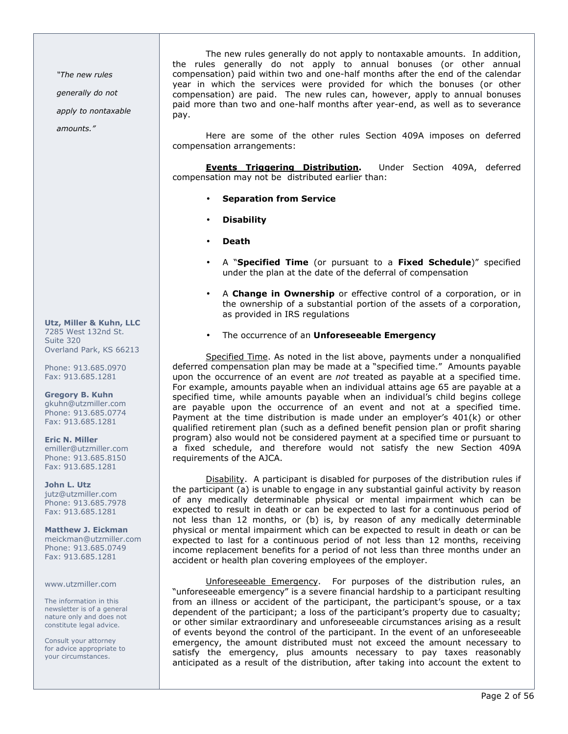"The new rules

generally do not

apply to nontaxable

amounts."

Utz, Miller & Kuhn, LLC 7285 West 132nd St. Suite 320 Overland Park, KS 66213

Phone: 913.685.0970 Fax: 913.685.1281

Gregory B. Kuhn gkuhn@utzmiller.com Phone: 913.685.0774 Fax: 913.685.1281

Eric N. Miller emiller@utzmiller.com Phone: 913.685.8150 Fax: 913.685.1281

John L. Utz jutz@utzmiller.com Phone: 913.685.7978 Fax: 913.685.1281

Matthew J. Eickman meickman@utzmiller.com Phone: 913.685.0749 Fax: 913.685.1281

#### www.utzmiller.com

The information in this newsletter is of a general nature only and does not constitute legal advice.

Consult your attorney for advice appropriate to your circumstances.

The new rules generally do not apply to nontaxable amounts. In addition, the rules generally do not apply to annual bonuses (or other annual compensation) paid within two and one-half months after the end of the calendar year in which the services were provided for which the bonuses (or other compensation) are paid. The new rules can, however, apply to annual bonuses paid more than two and one-half months after year-end, as well as to severance pay.

Here are some of the other rules Section 409A imposes on deferred compensation arrangements:

Events Triggering Distribution. Under Section 409A, deferred compensation may not be distributed earlier than:

- Separation from Service
- Disability
- Death
- A "Specified Time (or pursuant to a Fixed Schedule)" specified under the plan at the date of the deferral of compensation
- A **Change in Ownership** or effective control of a corporation, or in the ownership of a substantial portion of the assets of a corporation, as provided in IRS regulations
- The occurrence of an Unforeseeable Emergency

Specified Time. As noted in the list above, payments under a nonqualified deferred compensation plan may be made at a "specified time." Amounts payable upon the occurrence of an event are not treated as payable at a specified time. For example, amounts payable when an individual attains age 65 are payable at a specified time, while amounts payable when an individual's child begins college are payable upon the occurrence of an event and not at a specified time. Payment at the time distribution is made under an employer's 401(k) or other qualified retirement plan (such as a defined benefit pension plan or profit sharing program) also would not be considered payment at a specified time or pursuant to a fixed schedule, and therefore would not satisfy the new Section 409A requirements of the AJCA.

Disability. A participant is disabled for purposes of the distribution rules if the participant (a) is unable to engage in any substantial gainful activity by reason of any medically determinable physical or mental impairment which can be expected to result in death or can be expected to last for a continuous period of not less than 12 months, or (b) is, by reason of any medically determinable physical or mental impairment which can be expected to result in death or can be expected to last for a continuous period of not less than 12 months, receiving income replacement benefits for a period of not less than three months under an accident or health plan covering employees of the employer.

Unforeseeable Emergency. For purposes of the distribution rules, an "unforeseeable emergency" is a severe financial hardship to a participant resulting from an illness or accident of the participant, the participant's spouse, or a tax dependent of the participant; a loss of the participant's property due to casualty; or other similar extraordinary and unforeseeable circumstances arising as a result of events beyond the control of the participant. In the event of an unforeseeable emergency, the amount distributed must not exceed the amount necessary to satisfy the emergency, plus amounts necessary to pay taxes reasonably anticipated as a result of the distribution, after taking into account the extent to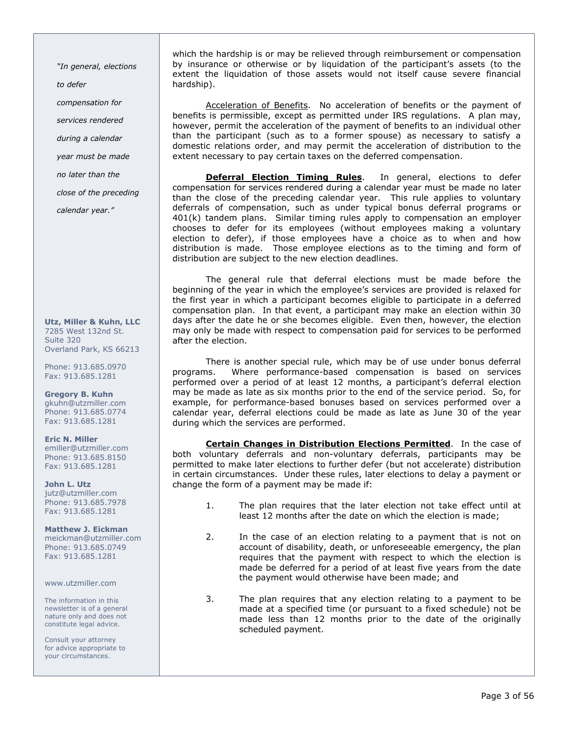"In general, elections to defer compensation for services rendered during a calendar year must be made no later than the close of the preceding

calendar year."

Utz, Miller & Kuhn, LLC 7285 West 132nd St. Suite 320 Overland Park, KS 66213

Phone: 913.685.0970 Fax: 913.685.1281

Gregory B. Kuhn gkuhn@utzmiller.com Phone: 913.685.0774 Fax: 913.685.1281

Eric N. Miller emiller@utzmiller.com Phone: 913.685.8150 Fax: 913.685.1281

John L. Utz jutz@utzmiller.com Phone: 913.685.7978 Fax: 913.685.1281

Matthew J. Eickman meickman@utzmiller.com Phone: 913.685.0749 Fax: 913.685.1281

www.utzmiller.com

The information in this newsletter is of a general nature only and does not constitute legal advice.

Consult your attorney for advice appropriate to your circumstances.

which the hardship is or may be relieved through reimbursement or compensation by insurance or otherwise or by liquidation of the participant's assets (to the extent the liquidation of those assets would not itself cause severe financial hardship).

Acceleration of Benefits. No acceleration of benefits or the payment of benefits is permissible, except as permitted under IRS regulations. A plan may, however, permit the acceleration of the payment of benefits to an individual other than the participant (such as to a former spouse) as necessary to satisfy a domestic relations order, and may permit the acceleration of distribution to the extent necessary to pay certain taxes on the deferred compensation.

**Deferral Election Timing Rules**. In general, elections to defer compensation for services rendered during a calendar year must be made no later than the close of the preceding calendar year. This rule applies to voluntary deferrals of compensation, such as under typical bonus deferral programs or 401(k) tandem plans. Similar timing rules apply to compensation an employer chooses to defer for its employees (without employees making a voluntary election to defer), if those employees have a choice as to when and how distribution is made. Those employee elections as to the timing and form of distribution are subject to the new election deadlines.

The general rule that deferral elections must be made before the beginning of the year in which the employee's services are provided is relaxed for the first year in which a participant becomes eligible to participate in a deferred compensation plan. In that event, a participant may make an election within 30 days after the date he or she becomes eligible. Even then, however, the election may only be made with respect to compensation paid for services to be performed after the election.

There is another special rule, which may be of use under bonus deferral programs. Where performance-based compensation is based on services performed over a period of at least 12 months, a participant's deferral election may be made as late as six months prior to the end of the service period. So, for example, for performance-based bonuses based on services performed over a calendar year, deferral elections could be made as late as June 30 of the year during which the services are performed.

Certain Changes in Distribution Elections Permitted. In the case of both voluntary deferrals and non-voluntary deferrals, participants may be permitted to make later elections to further defer (but not accelerate) distribution in certain circumstances. Under these rules, later elections to delay a payment or change the form of a payment may be made if:

- 1. The plan requires that the later election not take effect until at least 12 months after the date on which the election is made;
- 2. In the case of an election relating to a payment that is not on account of disability, death, or unforeseeable emergency, the plan requires that the payment with respect to which the election is made be deferred for a period of at least five years from the date the payment would otherwise have been made; and
- 3. The plan requires that any election relating to a payment to be made at a specified time (or pursuant to a fixed schedule) not be made less than 12 months prior to the date of the originally scheduled payment.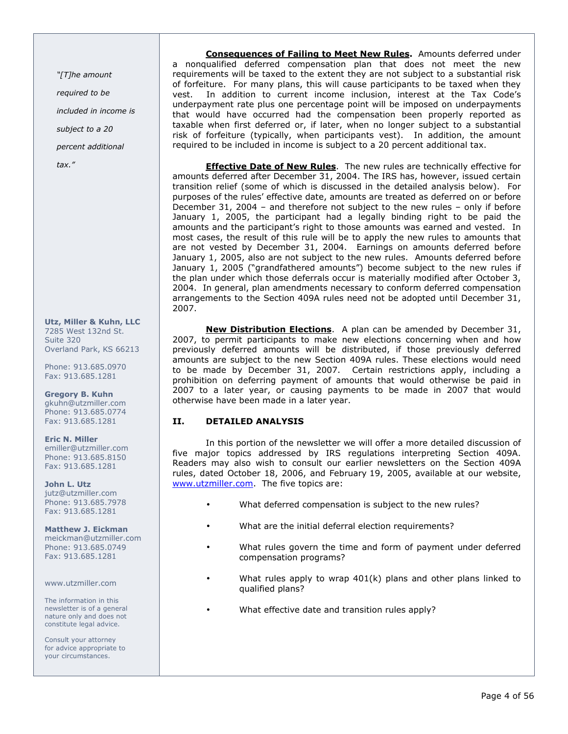"[T]he amount

required to be

included in income is

subject to a 20

percent additional

tax."

Utz, Miller & Kuhn, LLC 7285 West 132nd St. Suite 320 Overland Park, KS 66213

Phone: 913.685.0970 Fax: 913.685.1281

Gregory B. Kuhn gkuhn@utzmiller.com Phone: 913.685.0774 Fax: 913.685.1281

Eric N. Miller emiller@utzmiller.com Phone: 913.685.8150 Fax: 913.685.1281

John L. Utz jutz@utzmiller.com Phone: 913.685.7978 Fax: 913.685.1281

Matthew J. Eickman meickman@utzmiller.com Phone: 913.685.0749 Fax: 913.685.1281

www.utzmiller.com

The information in this newsletter is of a general nature only and does not constitute legal advice.

Consult your attorney for advice appropriate to your circumstances.

**Consequences of Failing to Meet New Rules.** Amounts deferred under a nonqualified deferred compensation plan that does not meet the new requirements will be taxed to the extent they are not subject to a substantial risk of forfeiture. For many plans, this will cause participants to be taxed when they vest. In addition to current income inclusion, interest at the Tax Code's underpayment rate plus one percentage point will be imposed on underpayments that would have occurred had the compensation been properly reported as taxable when first deferred or, if later, when no longer subject to a substantial risk of forfeiture (typically, when participants vest). In addition, the amount required to be included in income is subject to a 20 percent additional tax.

**Effective Date of New Rules**. The new rules are technically effective for amounts deferred after December 31, 2004. The IRS has, however, issued certain transition relief (some of which is discussed in the detailed analysis below). For purposes of the rules' effective date, amounts are treated as deferred on or before December 31, 2004 – and therefore not subject to the new rules – only if before January 1, 2005, the participant had a legally binding right to be paid the amounts and the participant's right to those amounts was earned and vested. In most cases, the result of this rule will be to apply the new rules to amounts that are not vested by December 31, 2004. Earnings on amounts deferred before January 1, 2005, also are not subject to the new rules. Amounts deferred before January 1, 2005 ("grandfathered amounts") become subject to the new rules if the plan under which those deferrals occur is materially modified after October 3, 2004. In general, plan amendments necessary to conform deferred compensation arrangements to the Section 409A rules need not be adopted until December 31, 2007.

New Distribution Elections. A plan can be amended by December 31, 2007, to permit participants to make new elections concerning when and how previously deferred amounts will be distributed, if those previously deferred amounts are subject to the new Section 409A rules. These elections would need to be made by December 31, 2007. Certain restrictions apply, including a prohibition on deferring payment of amounts that would otherwise be paid in 2007 to a later year, or causing payments to be made in 2007 that would otherwise have been made in a later year.

## II. DETAILED ANALYSIS

In this portion of the newsletter we will offer a more detailed discussion of five major topics addressed by IRS regulations interpreting Section 409A. Readers may also wish to consult our earlier newsletters on the Section 409A rules, dated October 18, 2006, and February 19, 2005, available at our website, www.utzmiller.com. The five topics are:

- What deferred compensation is subject to the new rules?
- What are the initial deferral election requirements?
- What rules govern the time and form of payment under deferred compensation programs?
- What rules apply to wrap  $401(k)$  plans and other plans linked to qualified plans?
- What effective date and transition rules apply?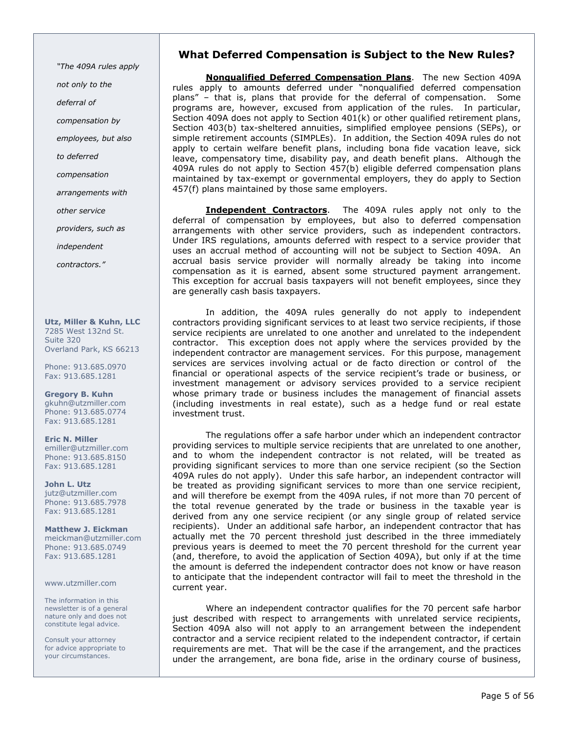"The 409A rules apply not only to the deferral of compensation by employees, but also to deferred compensation arrangements with other service providers, such as

independent

contractors."

Utz, Miller & Kuhn, LLC 7285 West 132nd St. Suite 320 Overland Park, KS 66213

Phone: 913.685.0970 Fax: 913.685.1281

Gregory B. Kuhn gkuhn@utzmiller.com Phone: 913.685.0774 Fax: 913.685.1281

Eric N. Miller emiller@utzmiller.com Phone: 913.685.8150 Fax: 913.685.1281

John L. Utz jutz@utzmiller.com Phone: 913.685.7978 Fax: 913.685.1281

Matthew J. Eickman meickman@utzmiller.com Phone: 913.685.0749 Fax: 913.685.1281

www.utzmiller.com

The information in this newsletter is of a general nature only and does not constitute legal advice.

Consult your attorney for advice appropriate to your circumstances.

## What Deferred Compensation is Subject to the New Rules?

Nonqualified Deferred Compensation Plans. The new Section 409A rules apply to amounts deferred under "nonqualified deferred compensation" plans" – that is, plans that provide for the deferral of compensation. Some programs are, however, excused from application of the rules. In particular, Section 409A does not apply to Section 401(k) or other qualified retirement plans, Section 403(b) tax-sheltered annuities, simplified employee pensions (SEPs), or simple retirement accounts (SIMPLEs). In addition, the Section 409A rules do not apply to certain welfare benefit plans, including bona fide vacation leave, sick leave, compensatory time, disability pay, and death benefit plans. Although the 409A rules do not apply to Section 457(b) eligible deferred compensation plans maintained by tax-exempt or governmental employers, they do apply to Section 457(f) plans maintained by those same employers.

**Independent Contractors**. The 409A rules apply not only to the deferral of compensation by employees, but also to deferred compensation arrangements with other service providers, such as independent contractors. Under IRS regulations, amounts deferred with respect to a service provider that uses an accrual method of accounting will not be subject to Section 409A. An accrual basis service provider will normally already be taking into income compensation as it is earned, absent some structured payment arrangement. This exception for accrual basis taxpayers will not benefit employees, since they are generally cash basis taxpayers.

In addition, the 409A rules generally do not apply to independent contractors providing significant services to at least two service recipients, if those service recipients are unrelated to one another and unrelated to the independent contractor. This exception does not apply where the services provided by the independent contractor are management services. For this purpose, management services are services involving actual or de facto direction or control of the financial or operational aspects of the service recipient's trade or business, or investment management or advisory services provided to a service recipient whose primary trade or business includes the management of financial assets (including investments in real estate), such as a hedge fund or real estate investment trust.

The regulations offer a safe harbor under which an independent contractor providing services to multiple service recipients that are unrelated to one another, and to whom the independent contractor is not related, will be treated as providing significant services to more than one service recipient (so the Section 409A rules do not apply). Under this safe harbor, an independent contractor will be treated as providing significant services to more than one service recipient, and will therefore be exempt from the 409A rules, if not more than 70 percent of the total revenue generated by the trade or business in the taxable year is derived from any one service recipient (or any single group of related service recipients). Under an additional safe harbor, an independent contractor that has actually met the 70 percent threshold just described in the three immediately previous years is deemed to meet the 70 percent threshold for the current year (and, therefore, to avoid the application of Section 409A), but only if at the time the amount is deferred the independent contractor does not know or have reason to anticipate that the independent contractor will fail to meet the threshold in the current year.

Where an independent contractor qualifies for the 70 percent safe harbor just described with respect to arrangements with unrelated service recipients, Section 409A also will not apply to an arrangement between the independent contractor and a service recipient related to the independent contractor, if certain requirements are met. That will be the case if the arrangement, and the practices under the arrangement, are bona fide, arise in the ordinary course of business,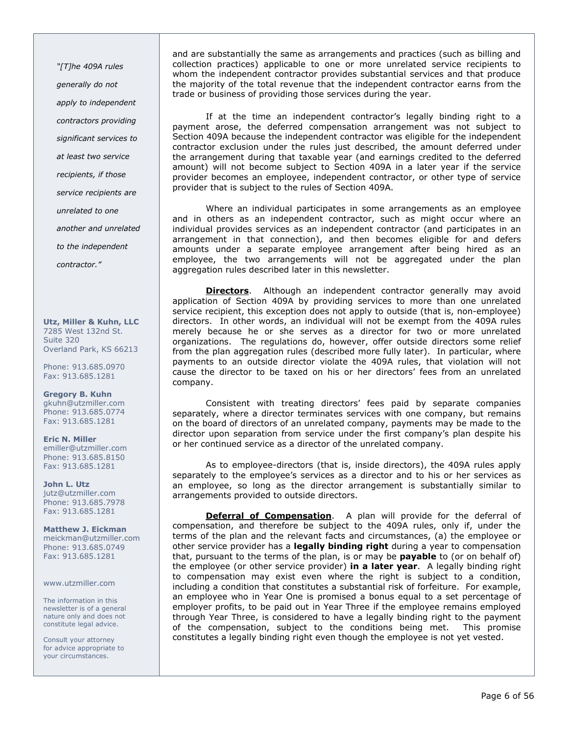"[T]he 409A rules generally do not apply to independent contractors providing significant services to at least two service recipients, if those service recipients are unrelated to one another and unrelated to the independent contractor."

Utz, Miller & Kuhn, LLC 7285 West 132nd St. Suite 320 Overland Park, KS 66213

Phone: 913.685.0970 Fax: 913.685.1281

Gregory B. Kuhn gkuhn@utzmiller.com Phone: 913.685.0774 Fax: 913.685.1281

Eric N. Miller emiller@utzmiller.com Phone: 913.685.8150 Fax: 913.685.1281

John L. Utz jutz@utzmiller.com Phone: 913.685.7978 Fax: 913.685.1281

Matthew J. Eickman meickman@utzmiller.com Phone: 913.685.0749 Fax: 913.685.1281

www.utzmiller.com

The information in this newsletter is of a general nature only and does not constitute legal advice.

Consult your attorney for advice appropriate to your circumstances.

and are substantially the same as arrangements and practices (such as billing and collection practices) applicable to one or more unrelated service recipients to whom the independent contractor provides substantial services and that produce the majority of the total revenue that the independent contractor earns from the trade or business of providing those services during the year.

If at the time an independent contractor's legally binding right to a payment arose, the deferred compensation arrangement was not subject to Section 409A because the independent contractor was eligible for the independent contractor exclusion under the rules just described, the amount deferred under the arrangement during that taxable year (and earnings credited to the deferred amount) will not become subject to Section 409A in a later year if the service provider becomes an employee, independent contractor, or other type of service provider that is subject to the rules of Section 409A.

Where an individual participates in some arrangements as an employee and in others as an independent contractor, such as might occur where an individual provides services as an independent contractor (and participates in an arrangement in that connection), and then becomes eligible for and defers amounts under a separate employee arrangement after being hired as an employee, the two arrangements will not be aggregated under the plan aggregation rules described later in this newsletter.

**Directors.** Although an independent contractor generally may avoid application of Section 409A by providing services to more than one unrelated service recipient, this exception does not apply to outside (that is, non-employee) directors. In other words, an individual will not be exempt from the 409A rules merely because he or she serves as a director for two or more unrelated organizations. The regulations do, however, offer outside directors some relief from the plan aggregation rules (described more fully later). In particular, where payments to an outside director violate the 409A rules, that violation will not cause the director to be taxed on his or her directors' fees from an unrelated company.

Consistent with treating directors' fees paid by separate companies separately, where a director terminates services with one company, but remains on the board of directors of an unrelated company, payments may be made to the director upon separation from service under the first company's plan despite his or her continued service as a director of the unrelated company.

As to employee-directors (that is, inside directors), the 409A rules apply separately to the employee's services as a director and to his or her services as an employee, so long as the director arrangement is substantially similar to arrangements provided to outside directors.

Deferral of Compensation. A plan will provide for the deferral of compensation, and therefore be subject to the 409A rules, only if, under the terms of the plan and the relevant facts and circumstances, (a) the employee or other service provider has a legally binding right during a year to compensation that, pursuant to the terms of the plan, is or may be **payable** to (or on behalf of) the employee (or other service provider) in a later year. A legally binding right to compensation may exist even where the right is subject to a condition, including a condition that constitutes a substantial risk of forfeiture. For example, an employee who in Year One is promised a bonus equal to a set percentage of employer profits, to be paid out in Year Three if the employee remains employed through Year Three, is considered to have a legally binding right to the payment of the compensation, subject to the conditions being met. This promise constitutes a legally binding right even though the employee is not yet vested.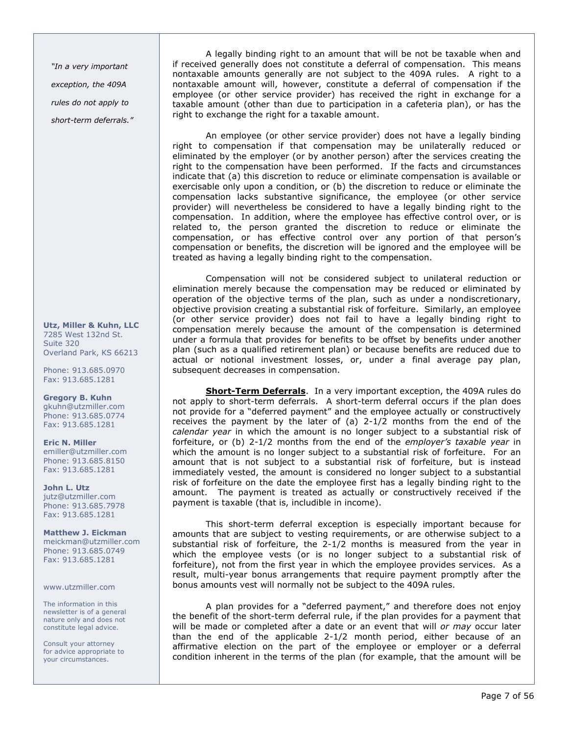"In a very important exception, the 409A rules do not apply to short-term deferrals."

Utz, Miller & Kuhn, LLC 7285 West 132nd St. Suite 320 Overland Park, KS 66213

Phone: 913.685.0970 Fax: 913.685.1281

Gregory B. Kuhn gkuhn@utzmiller.com Phone: 913.685.0774 Fax: 913.685.1281

Eric N. Miller emiller@utzmiller.com Phone: 913.685.8150 Fax: 913.685.1281

John L. Utz jutz@utzmiller.com Phone: 913.685.7978 Fax: 913.685.1281

Matthew J. Eickman meickman@utzmiller.com Phone: 913.685.0749 Fax: 913.685.1281

www.utzmiller.com

The information in this newsletter is of a general nature only and does not constitute legal advice.

Consult your attorney for advice appropriate to your circumstances.

A legally binding right to an amount that will be not be taxable when and if received generally does not constitute a deferral of compensation. This means nontaxable amounts generally are not subject to the 409A rules. A right to a nontaxable amount will, however, constitute a deferral of compensation if the employee (or other service provider) has received the right in exchange for a taxable amount (other than due to participation in a cafeteria plan), or has the right to exchange the right for a taxable amount.

An employee (or other service provider) does not have a legally binding right to compensation if that compensation may be unilaterally reduced or eliminated by the employer (or by another person) after the services creating the right to the compensation have been performed. If the facts and circumstances indicate that (a) this discretion to reduce or eliminate compensation is available or exercisable only upon a condition, or (b) the discretion to reduce or eliminate the compensation lacks substantive significance, the employee (or other service provider) will nevertheless be considered to have a legally binding right to the compensation. In addition, where the employee has effective control over, or is related to, the person granted the discretion to reduce or eliminate the compensation, or has effective control over any portion of that person's compensation or benefits, the discretion will be ignored and the employee will be treated as having a legally binding right to the compensation.

Compensation will not be considered subject to unilateral reduction or elimination merely because the compensation may be reduced or eliminated by operation of the objective terms of the plan, such as under a nondiscretionary, objective provision creating a substantial risk of forfeiture. Similarly, an employee (or other service provider) does not fail to have a legally binding right to compensation merely because the amount of the compensation is determined under a formula that provides for benefits to be offset by benefits under another plan (such as a qualified retirement plan) or because benefits are reduced due to actual or notional investment losses, or, under a final average pay plan, subsequent decreases in compensation.

Short-Term Deferrals. In a very important exception, the 409A rules do not apply to short-term deferrals. A short-term deferral occurs if the plan does not provide for a "deferred payment" and the employee actually or constructively receives the payment by the later of (a) 2-1/2 months from the end of the calendar year in which the amount is no longer subject to a substantial risk of forfeiture, or (b)  $2-1/2$  months from the end of the employer's taxable year in which the amount is no longer subject to a substantial risk of forfeiture. For an amount that is not subject to a substantial risk of forfeiture, but is instead immediately vested, the amount is considered no longer subject to a substantial risk of forfeiture on the date the employee first has a legally binding right to the amount. The payment is treated as actually or constructively received if the payment is taxable (that is, includible in income).

This short-term deferral exception is especially important because for amounts that are subject to vesting requirements, or are otherwise subject to a substantial risk of forfeiture, the 2-1/2 months is measured from the year in which the employee vests (or is no longer subject to a substantial risk of forfeiture), not from the first year in which the employee provides services. As a result, multi-year bonus arrangements that require payment promptly after the bonus amounts vest will normally not be subject to the 409A rules.

A plan provides for a "deferred payment," and therefore does not enjoy the benefit of the short-term deferral rule, if the plan provides for a payment that will be made or completed after a date or an event that will or may occur later than the end of the applicable 2-1/2 month period, either because of an affirmative election on the part of the employee or employer or a deferral condition inherent in the terms of the plan (for example, that the amount will be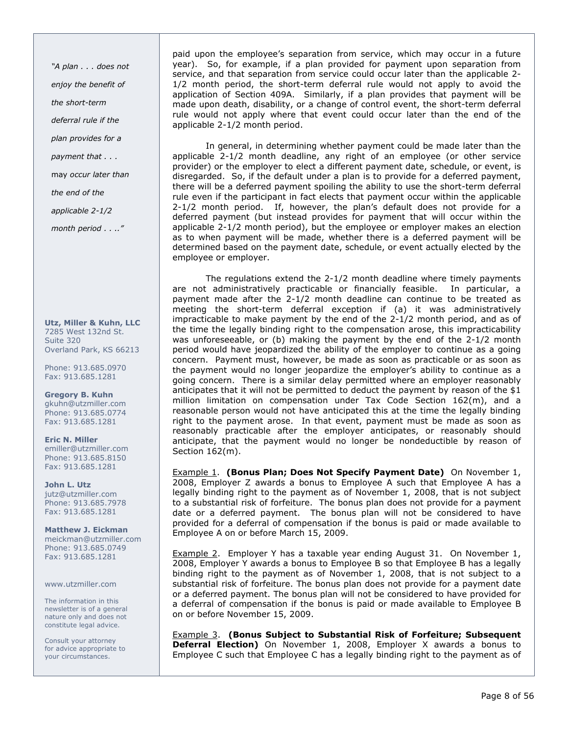"A plan . . . does not enjoy the benefit of the short-term deferral rule if the plan provides for a payment that . . . may occur later than the end of the applicable 2-1/2

month period . . .."

Utz, Miller & Kuhn, LLC 7285 West 132nd St. Suite 320 Overland Park, KS 66213

Phone: 913.685.0970 Fax: 913.685.1281

Gregory B. Kuhn gkuhn@utzmiller.com Phone: 913.685.0774 Fax: 913.685.1281

Eric N. Miller emiller@utzmiller.com Phone: 913.685.8150 Fax: 913.685.1281

John L. Utz jutz@utzmiller.com Phone: 913.685.7978 Fax: 913.685.1281

Matthew J. Eickman meickman@utzmiller.com Phone: 913.685.0749 Fax: 913.685.1281

www.utzmiller.com

The information in this newsletter is of a general nature only and does not constitute legal advice.

Consult your attorney for advice appropriate to your circumstances.

paid upon the employee's separation from service, which may occur in a future year). So, for example, if a plan provided for payment upon separation from service, and that separation from service could occur later than the applicable 2- 1/2 month period, the short-term deferral rule would not apply to avoid the application of Section 409A. Similarly, if a plan provides that payment will be made upon death, disability, or a change of control event, the short-term deferral rule would not apply where that event could occur later than the end of the applicable 2-1/2 month period.

In general, in determining whether payment could be made later than the applicable 2-1/2 month deadline, any right of an employee (or other service provider) or the employer to elect a different payment date, schedule, or event, is disregarded. So, if the default under a plan is to provide for a deferred payment, there will be a deferred payment spoiling the ability to use the short-term deferral rule even if the participant in fact elects that payment occur within the applicable 2-1/2 month period. If, however, the plan's default does not provide for a deferred payment (but instead provides for payment that will occur within the applicable 2-1/2 month period), but the employee or employer makes an election as to when payment will be made, whether there is a deferred payment will be determined based on the payment date, schedule, or event actually elected by the employee or employer.

The regulations extend the 2-1/2 month deadline where timely payments are not administratively practicable or financially feasible. In particular, a payment made after the 2-1/2 month deadline can continue to be treated as meeting the short-term deferral exception if (a) it was administratively impracticable to make payment by the end of the 2-1/2 month period, and as of the time the legally binding right to the compensation arose, this impracticability was unforeseeable, or (b) making the payment by the end of the 2-1/2 month period would have jeopardized the ability of the employer to continue as a going concern. Payment must, however, be made as soon as practicable or as soon as the payment would no longer jeopardize the employer's ability to continue as a going concern. There is a similar delay permitted where an employer reasonably anticipates that it will not be permitted to deduct the payment by reason of the \$1 million limitation on compensation under Tax Code Section 162(m), and a reasonable person would not have anticipated this at the time the legally binding right to the payment arose. In that event, payment must be made as soon as reasonably practicable after the employer anticipates, or reasonably should anticipate, that the payment would no longer be nondeductible by reason of Section 162(m).

Example 1. (Bonus Plan; Does Not Specify Payment Date) On November 1, 2008, Employer Z awards a bonus to Employee A such that Employee A has a legally binding right to the payment as of November 1, 2008, that is not subject to a substantial risk of forfeiture. The bonus plan does not provide for a payment date or a deferred payment. The bonus plan will not be considered to have provided for a deferral of compensation if the bonus is paid or made available to Employee A on or before March 15, 2009.

Example 2. Employer Y has a taxable year ending August 31. On November 1, 2008, Employer Y awards a bonus to Employee B so that Employee B has a legally binding right to the payment as of November 1, 2008, that is not subject to a substantial risk of forfeiture. The bonus plan does not provide for a payment date or a deferred payment. The bonus plan will not be considered to have provided for a deferral of compensation if the bonus is paid or made available to Employee B on or before November 15, 2009.

Example 3. (Bonus Subject to Substantial Risk of Forfeiture; Subsequent **Deferral Election)** On November 1, 2008, Employer X awards a bonus to Employee C such that Employee C has a legally binding right to the payment as of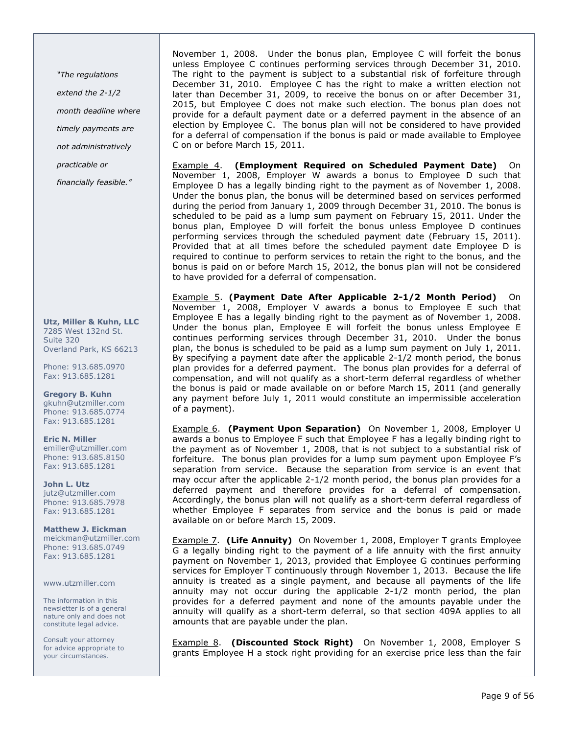"The regulations

extend the 2-1/2

month deadline where

timely payments are

not administratively

practicable or

financially feasible."

Utz, Miller & Kuhn, LLC 7285 West 132nd St. Suite 320 Overland Park, KS 66213

Phone: 913.685.0970 Fax: 913.685.1281

Gregory B. Kuhn gkuhn@utzmiller.com Phone: 913.685.0774 Fax: 913.685.1281

Eric N. Miller emiller@utzmiller.com Phone: 913.685.8150 Fax: 913.685.1281

John L. Utz jutz@utzmiller.com Phone: 913.685.7978 Fax: 913.685.1281

Matthew J. Eickman meickman@utzmiller.com Phone: 913.685.0749 Fax: 913.685.1281

www.utzmiller.com

The information in this newsletter is of a general nature only and does not constitute legal advice.

Consult your attorney for advice appropriate to your circumstances.

November 1, 2008. Under the bonus plan, Employee C will forfeit the bonus unless Employee C continues performing services through December 31, 2010. The right to the payment is subject to a substantial risk of forfeiture through December 31, 2010. Employee C has the right to make a written election not later than December 31, 2009, to receive the bonus on or after December 31, 2015, but Employee C does not make such election. The bonus plan does not provide for a default payment date or a deferred payment in the absence of an election by Employee C. The bonus plan will not be considered to have provided for a deferral of compensation if the bonus is paid or made available to Employee C on or before March 15, 2011.

Example 4. (Employment Required on Scheduled Payment Date) On November 1, 2008, Employer W awards a bonus to Employee D such that Employee D has a legally binding right to the payment as of November 1, 2008. Under the bonus plan, the bonus will be determined based on services performed during the period from January 1, 2009 through December 31, 2010. The bonus is scheduled to be paid as a lump sum payment on February 15, 2011. Under the bonus plan, Employee D will forfeit the bonus unless Employee D continues performing services through the scheduled payment date (February 15, 2011). Provided that at all times before the scheduled payment date Employee D is required to continue to perform services to retain the right to the bonus, and the bonus is paid on or before March 15, 2012, the bonus plan will not be considered to have provided for a deferral of compensation.

Example 5. (Payment Date After Applicable 2-1/2 Month Period) On November 1, 2008, Employer V awards a bonus to Employee E such that Employee E has a legally binding right to the payment as of November 1, 2008. Under the bonus plan, Employee E will forfeit the bonus unless Employee E continues performing services through December 31, 2010. Under the bonus plan, the bonus is scheduled to be paid as a lump sum payment on July 1, 2011. By specifying a payment date after the applicable 2-1/2 month period, the bonus plan provides for a deferred payment. The bonus plan provides for a deferral of compensation, and will not qualify as a short-term deferral regardless of whether the bonus is paid or made available on or before March 15, 2011 (and generally any payment before July 1, 2011 would constitute an impermissible acceleration of a payment).

Example 6. (Payment Upon Separation) On November 1, 2008, Employer U awards a bonus to Employee F such that Employee F has a legally binding right to the payment as of November 1, 2008, that is not subject to a substantial risk of forfeiture. The bonus plan provides for a lump sum payment upon Employee F's separation from service. Because the separation from service is an event that may occur after the applicable 2-1/2 month period, the bonus plan provides for a deferred payment and therefore provides for a deferral of compensation. Accordingly, the bonus plan will not qualify as a short-term deferral regardless of whether Employee F separates from service and the bonus is paid or made available on or before March 15, 2009.

**Example 7.** (Life Annuity) On November 1, 2008, Employer T grants Employee G a legally binding right to the payment of a life annuity with the first annuity payment on November 1, 2013, provided that Employee G continues performing services for Employer T continuously through November 1, 2013. Because the life annuity is treated as a single payment, and because all payments of the life annuity may not occur during the applicable 2-1/2 month period, the plan provides for a deferred payment and none of the amounts payable under the annuity will qualify as a short-term deferral, so that section 409A applies to all amounts that are payable under the plan.

**Example 8.** (Discounted Stock Right) On November 1, 2008, Employer S grants Employee H a stock right providing for an exercise price less than the fair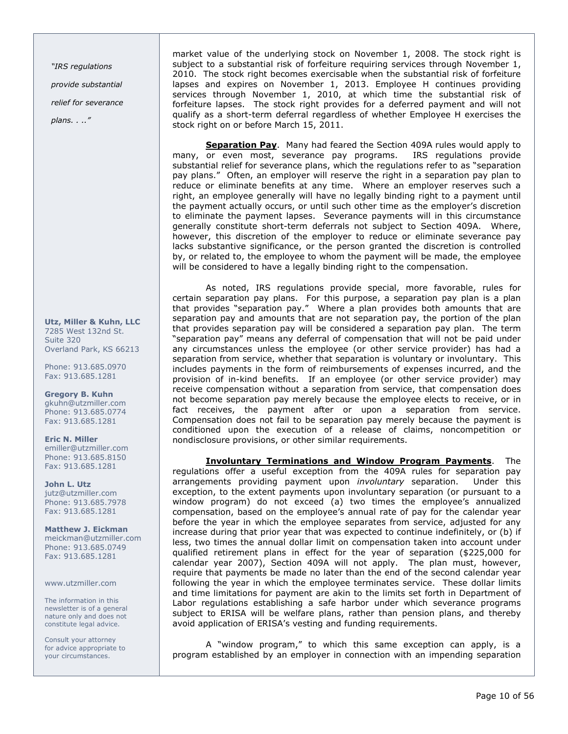"IRS regulations provide substantial relief for severance plans. . .."

Utz, Miller & Kuhn, LLC 7285 West 132nd St. Suite 320 Overland Park, KS 66213

Phone: 913.685.0970 Fax: 913.685.1281

Gregory B. Kuhn gkuhn@utzmiller.com Phone: 913.685.0774 Fax: 913.685.1281

Eric N. Miller emiller@utzmiller.com Phone: 913.685.8150 Fax: 913.685.1281

John L. Utz jutz@utzmiller.com Phone: 913.685.7978 Fax: 913.685.1281

Matthew J. Eickman meickman@utzmiller.com Phone: 913.685.0749 Fax: 913.685.1281

www.utzmiller.com

The information in this newsletter is of a general nature only and does not constitute legal advice.

Consult your attorney for advice appropriate to your circumstances.

market value of the underlying stock on November 1, 2008. The stock right is subject to a substantial risk of forfeiture requiring services through November 1, 2010. The stock right becomes exercisable when the substantial risk of forfeiture lapses and expires on November 1, 2013. Employee H continues providing services through November 1, 2010, at which time the substantial risk of forfeiture lapses. The stock right provides for a deferred payment and will not qualify as a short-term deferral regardless of whether Employee H exercises the stock right on or before March 15, 2011.

Separation Pay. Many had feared the Section 409A rules would apply to many, or even most, severance pay programs. IRS regulations provide substantial relief for severance plans, which the regulations refer to as "separation pay plans." Often, an employer will reserve the right in a separation pay plan to reduce or eliminate benefits at any time. Where an employer reserves such a right, an employee generally will have no legally binding right to a payment until the payment actually occurs, or until such other time as the employer's discretion to eliminate the payment lapses. Severance payments will in this circumstance generally constitute short-term deferrals not subject to Section 409A. Where, however, this discretion of the employer to reduce or eliminate severance pay lacks substantive significance, or the person granted the discretion is controlled by, or related to, the employee to whom the payment will be made, the employee will be considered to have a legally binding right to the compensation.

As noted, IRS regulations provide special, more favorable, rules for certain separation pay plans. For this purpose, a separation pay plan is a plan that provides "separation pay." Where a plan provides both amounts that are separation pay and amounts that are not separation pay, the portion of the plan that provides separation pay will be considered a separation pay plan. The term "separation pay" means any deferral of compensation that will not be paid under any circumstances unless the employee (or other service provider) has had a separation from service, whether that separation is voluntary or involuntary. This includes payments in the form of reimbursements of expenses incurred, and the provision of in-kind benefits. If an employee (or other service provider) may receive compensation without a separation from service, that compensation does not become separation pay merely because the employee elects to receive, or in fact receives, the payment after or upon a separation from service. Compensation does not fail to be separation pay merely because the payment is conditioned upon the execution of a release of claims, noncompetition or nondisclosure provisions, or other similar requirements.

**Involuntary Terminations and Window Program Payments**. The regulations offer a useful exception from the 409A rules for separation pay arrangements providing payment upon *involuntary* separation. Under this exception, to the extent payments upon involuntary separation (or pursuant to a window program) do not exceed (a) two times the employee's annualized compensation, based on the employee's annual rate of pay for the calendar year before the year in which the employee separates from service, adjusted for any increase during that prior year that was expected to continue indefinitely, or (b) if less, two times the annual dollar limit on compensation taken into account under qualified retirement plans in effect for the year of separation (\$225,000 for calendar year 2007), Section 409A will not apply. The plan must, however, require that payments be made no later than the end of the second calendar year following the year in which the employee terminates service. These dollar limits and time limitations for payment are akin to the limits set forth in Department of Labor regulations establishing a safe harbor under which severance programs subject to ERISA will be welfare plans, rather than pension plans, and thereby avoid application of ERISA's vesting and funding requirements.

A "window program," to which this same exception can apply, is a program established by an employer in connection with an impending separation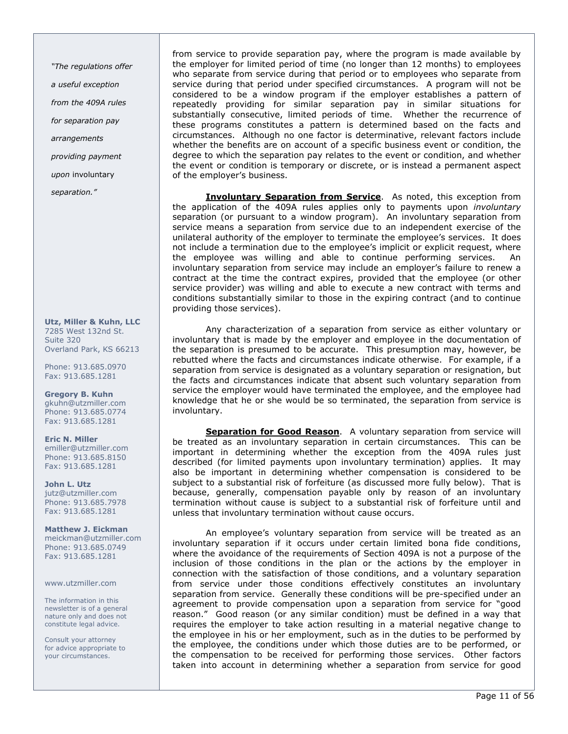"The regulations offer

a useful exception

from the 409A rules

for separation pay

arrangements

providing payment

upon involuntary

separation."

Utz, Miller & Kuhn, LLC 7285 West 132nd St. Suite 320 Overland Park, KS 66213

Phone: 913.685.0970 Fax: 913.685.1281

Gregory B. Kuhn gkuhn@utzmiller.com Phone: 913.685.0774 Fax: 913.685.1281

Eric N. Miller emiller@utzmiller.com Phone: 913.685.8150 Fax: 913.685.1281

John L. Utz jutz@utzmiller.com Phone: 913.685.7978 Fax: 913.685.1281

Matthew J. Eickman meickman@utzmiller.com Phone: 913.685.0749 Fax: 913.685.1281

www.utzmiller.com

The information in this newsletter is of a general nature only and does not constitute legal advice.

Consult your attorney for advice appropriate to your circumstances.

from service to provide separation pay, where the program is made available by the employer for limited period of time (no longer than 12 months) to employees who separate from service during that period or to employees who separate from service during that period under specified circumstances. A program will not be considered to be a window program if the employer establishes a pattern of repeatedly providing for similar separation pay in similar situations for substantially consecutive, limited periods of time. Whether the recurrence of these programs constitutes a pattern is determined based on the facts and circumstances. Although no one factor is determinative, relevant factors include whether the benefits are on account of a specific business event or condition, the degree to which the separation pay relates to the event or condition, and whether the event or condition is temporary or discrete, or is instead a permanent aspect of the employer's business.

**Involuntary Separation from Service**. As noted, this exception from the application of the 409A rules applies only to payments upon *involuntary* separation (or pursuant to a window program). An involuntary separation from service means a separation from service due to an independent exercise of the unilateral authority of the employer to terminate the employee's services. It does not include a termination due to the employee's implicit or explicit request, where the employee was willing and able to continue performing services. An involuntary separation from service may include an employer's failure to renew a contract at the time the contract expires, provided that the employee (or other service provider) was willing and able to execute a new contract with terms and conditions substantially similar to those in the expiring contract (and to continue providing those services).

Any characterization of a separation from service as either voluntary or involuntary that is made by the employer and employee in the documentation of the separation is presumed to be accurate. This presumption may, however, be rebutted where the facts and circumstances indicate otherwise. For example, if a separation from service is designated as a voluntary separation or resignation, but the facts and circumstances indicate that absent such voluntary separation from service the employer would have terminated the employee, and the employee had knowledge that he or she would be so terminated, the separation from service is involuntary.

Separation for Good Reason. A voluntary separation from service will be treated as an involuntary separation in certain circumstances. This can be important in determining whether the exception from the 409A rules just described (for limited payments upon involuntary termination) applies. It may also be important in determining whether compensation is considered to be subject to a substantial risk of forfeiture (as discussed more fully below). That is because, generally, compensation payable only by reason of an involuntary termination without cause is subject to a substantial risk of forfeiture until and unless that involuntary termination without cause occurs.

An employee's voluntary separation from service will be treated as an involuntary separation if it occurs under certain limited bona fide conditions, where the avoidance of the requirements of Section 409A is not a purpose of the inclusion of those conditions in the plan or the actions by the employer in connection with the satisfaction of those conditions, and a voluntary separation from service under those conditions effectively constitutes an involuntary separation from service. Generally these conditions will be pre-specified under an agreement to provide compensation upon a separation from service for "good reason." Good reason (or any similar condition) must be defined in a way that requires the employer to take action resulting in a material negative change to the employee in his or her employment, such as in the duties to be performed by the employee, the conditions under which those duties are to be performed, or the compensation to be received for performing those services. Other factors taken into account in determining whether a separation from service for good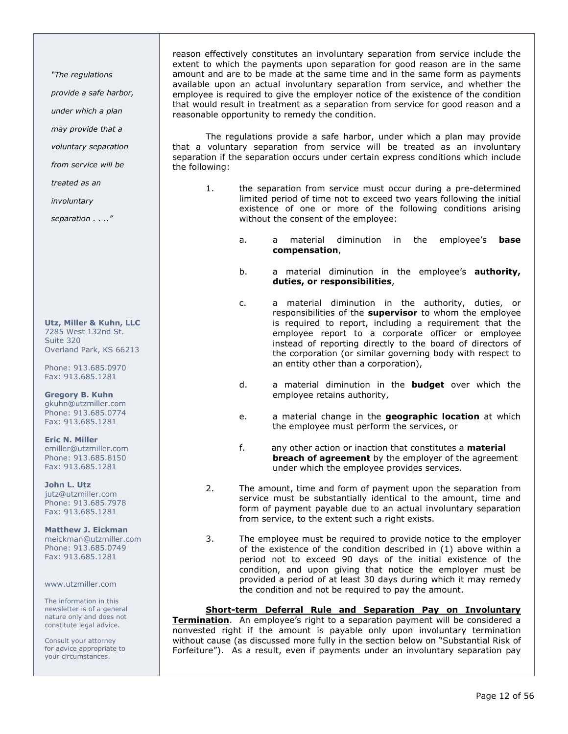"The regulations

provide a safe harbor,

under which a plan

may provide that a

voluntary separation

from service will be

treated as an

involuntary

separation . . .."

Utz, Miller & Kuhn, LLC 7285 West 132nd St. Suite 320 Overland Park, KS 66213

Phone: 913.685.0970 Fax: 913.685.1281

Gregory B. Kuhn gkuhn@utzmiller.com Phone: 913.685.0774 Fax: 913.685.1281

Eric N. Miller emiller@utzmiller.com Phone: 913.685.8150 Fax: 913.685.1281

John L. Utz jutz@utzmiller.com Phone: 913.685.7978 Fax: 913.685.1281

Matthew J. Eickman meickman@utzmiller.com Phone: 913.685.0749 Fax: 913.685.1281

www.utzmiller.com

The information in this newsletter is of a general nature only and does not constitute legal advice.

Consult your attorney for advice appropriate to your circumstances.

reason effectively constitutes an involuntary separation from service include the extent to which the payments upon separation for good reason are in the same amount and are to be made at the same time and in the same form as payments available upon an actual involuntary separation from service, and whether the employee is required to give the employer notice of the existence of the condition that would result in treatment as a separation from service for good reason and a reasonable opportunity to remedy the condition.

The regulations provide a safe harbor, under which a plan may provide that a voluntary separation from service will be treated as an involuntary separation if the separation occurs under certain express conditions which include the following:

- 1. the separation from service must occur during a pre-determined limited period of time not to exceed two years following the initial existence of one or more of the following conditions arising without the consent of the employee:
	- a. a material diminution in the employee's **base** compensation,
	- b. a material diminution in the employee's **authority,** duties, or responsibilities,
	- c. a material diminution in the authority, duties, or responsibilities of the **supervisor** to whom the employee is required to report, including a requirement that the employee report to a corporate officer or employee instead of reporting directly to the board of directors of the corporation (or similar governing body with respect to an entity other than a corporation),
	- d. a material diminution in the **budget** over which the employee retains authority,
	- e. a material change in the **geographic location** at which the employee must perform the services, or
	- f. any other action or inaction that constitutes a **material breach of agreement** by the employer of the agreement under which the employee provides services.
- 2. The amount, time and form of payment upon the separation from service must be substantially identical to the amount, time and form of payment payable due to an actual involuntary separation from service, to the extent such a right exists.
- 3. The employee must be required to provide notice to the employer of the existence of the condition described in (1) above within a period not to exceed 90 days of the initial existence of the condition, and upon giving that notice the employer must be provided a period of at least 30 days during which it may remedy the condition and not be required to pay the amount.

Short-term Deferral Rule and Separation Pay on Involuntary

**Termination**. An employee's right to a separation payment will be considered a nonvested right if the amount is payable only upon involuntary termination without cause (as discussed more fully in the section below on "Substantial Risk of Forfeiture"). As a result, even if payments under an involuntary separation pay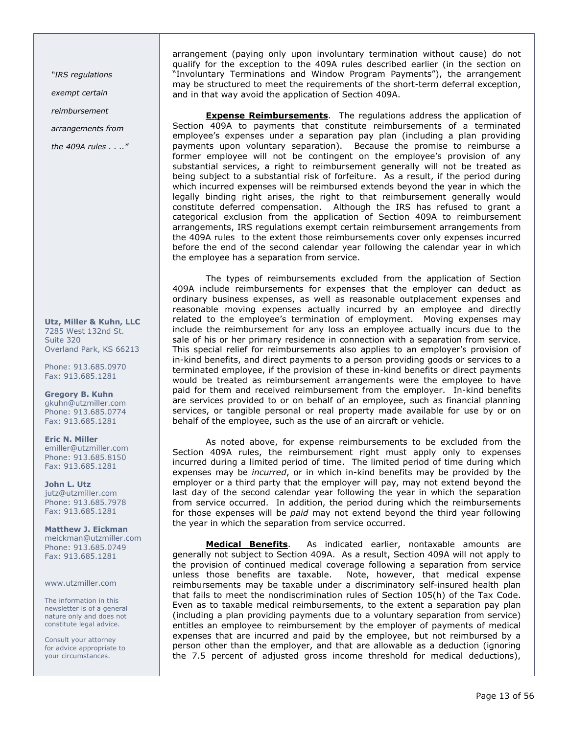"IRS regulations

exempt certain

reimbursement

arrangements from

the 409A rules . . .."

Utz, Miller & Kuhn, LLC 7285 West 132nd St. Suite 320 Overland Park, KS 66213

Phone: 913.685.0970 Fax: 913.685.1281

Gregory B. Kuhn gkuhn@utzmiller.com Phone: 913.685.0774 Fax: 913.685.1281

Eric N. Miller emiller@utzmiller.com Phone: 913.685.8150 Fax: 913.685.1281

John L. Utz jutz@utzmiller.com Phone: 913.685.7978 Fax: 913.685.1281

Matthew J. Eickman meickman@utzmiller.com Phone: 913.685.0749 Fax: 913.685.1281

www.utzmiller.com

The information in this newsletter is of a general nature only and does not constitute legal advice.

Consult your attorney for advice appropriate to your circumstances.

arrangement (paying only upon involuntary termination without cause) do not qualify for the exception to the 409A rules described earlier (in the section on "Involuntary Terminations and Window Program Payments"), the arrangement may be structured to meet the requirements of the short-term deferral exception, and in that way avoid the application of Section 409A.

**Expense Reimbursements**. The regulations address the application of Section 409A to payments that constitute reimbursements of a terminated employee's expenses under a separation pay plan (including a plan providing payments upon voluntary separation). Because the promise to reimburse a former employee will not be contingent on the employee's provision of any substantial services, a right to reimbursement generally will not be treated as being subject to a substantial risk of forfeiture. As a result, if the period during which incurred expenses will be reimbursed extends beyond the year in which the legally binding right arises, the right to that reimbursement generally would constitute deferred compensation. Although the IRS has refused to grant a categorical exclusion from the application of Section 409A to reimbursement arrangements, IRS regulations exempt certain reimbursement arrangements from the 409A rules to the extent those reimbursements cover only expenses incurred before the end of the second calendar year following the calendar year in which the employee has a separation from service.

The types of reimbursements excluded from the application of Section 409A include reimbursements for expenses that the employer can deduct as ordinary business expenses, as well as reasonable outplacement expenses and reasonable moving expenses actually incurred by an employee and directly related to the employee's termination of employment. Moving expenses may include the reimbursement for any loss an employee actually incurs due to the sale of his or her primary residence in connection with a separation from service. This special relief for reimbursements also applies to an employer's provision of in-kind benefits, and direct payments to a person providing goods or services to a terminated employee, if the provision of these in-kind benefits or direct payments would be treated as reimbursement arrangements were the employee to have paid for them and received reimbursement from the employer. In-kind benefits are services provided to or on behalf of an employee, such as financial planning services, or tangible personal or real property made available for use by or on behalf of the employee, such as the use of an aircraft or vehicle.

As noted above, for expense reimbursements to be excluded from the Section 409A rules, the reimbursement right must apply only to expenses incurred during a limited period of time. The limited period of time during which expenses may be incurred, or in which in-kind benefits may be provided by the employer or a third party that the employer will pay, may not extend beyond the last day of the second calendar year following the year in which the separation from service occurred. In addition, the period during which the reimbursements for those expenses will be paid may not extend beyond the third year following the year in which the separation from service occurred.

Medical Benefits. As indicated earlier, nontaxable amounts are generally not subject to Section 409A. As a result, Section 409A will not apply to the provision of continued medical coverage following a separation from service unless those benefits are taxable. Note, however, that medical expense reimbursements may be taxable under a discriminatory self-insured health plan that fails to meet the nondiscrimination rules of Section 105(h) of the Tax Code. Even as to taxable medical reimbursements, to the extent a separation pay plan (including a plan providing payments due to a voluntary separation from service) entitles an employee to reimbursement by the employer of payments of medical expenses that are incurred and paid by the employee, but not reimbursed by a person other than the employer, and that are allowable as a deduction (ignoring the 7.5 percent of adjusted gross income threshold for medical deductions),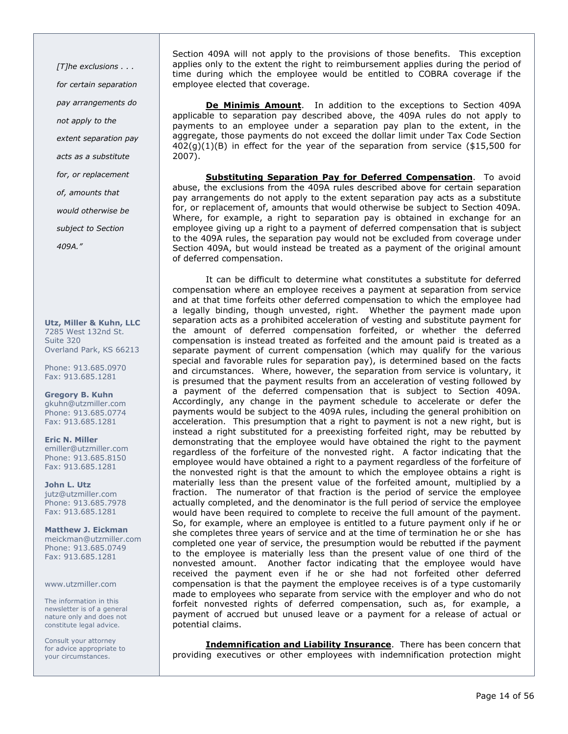[T]he exclusions . . . for certain separation pay arrangements do not apply to the extent separation pay acts as a substitute for, or replacement of, amounts that would otherwise be subject to Section 409A."

Utz, Miller & Kuhn, LLC 7285 West 132nd St. Suite 320 Overland Park, KS 66213

Phone: 913.685.0970 Fax: 913.685.1281

Gregory B. Kuhn gkuhn@utzmiller.com Phone: 913.685.0774 Fax: 913.685.1281

Eric N. Miller emiller@utzmiller.com Phone: 913.685.8150 Fax: 913.685.1281

John L. Utz jutz@utzmiller.com Phone: 913.685.7978 Fax: 913.685.1281

Matthew J. Eickman meickman@utzmiller.com Phone: 913.685.0749 Fax: 913.685.1281

www.utzmiller.com

The information in this newsletter is of a general nature only and does not constitute legal advice.

Consult your attorney for advice appropriate to your circumstances.

Section 409A will not apply to the provisions of those benefits. This exception applies only to the extent the right to reimbursement applies during the period of time during which the employee would be entitled to COBRA coverage if the employee elected that coverage.

De Minimis Amount. In addition to the exceptions to Section 409A applicable to separation pay described above, the 409A rules do not apply to payments to an employee under a separation pay plan to the extent, in the aggregate, those payments do not exceed the dollar limit under Tax Code Section  $402(g)(1)(B)$  in effect for the year of the separation from service (\$15,500 for 2007).

Substituting Separation Pay for Deferred Compensation. To avoid abuse, the exclusions from the 409A rules described above for certain separation pay arrangements do not apply to the extent separation pay acts as a substitute for, or replacement of, amounts that would otherwise be subject to Section 409A. Where, for example, a right to separation pay is obtained in exchange for an employee giving up a right to a payment of deferred compensation that is subject to the 409A rules, the separation pay would not be excluded from coverage under Section 409A, but would instead be treated as a payment of the original amount of deferred compensation.

It can be difficult to determine what constitutes a substitute for deferred compensation where an employee receives a payment at separation from service and at that time forfeits other deferred compensation to which the employee had a legally binding, though unvested, right. Whether the payment made upon separation acts as a prohibited acceleration of vesting and substitute payment for the amount of deferred compensation forfeited, or whether the deferred compensation is instead treated as forfeited and the amount paid is treated as a separate payment of current compensation (which may qualify for the various special and favorable rules for separation pay), is determined based on the facts and circumstances. Where, however, the separation from service is voluntary, it is presumed that the payment results from an acceleration of vesting followed by a payment of the deferred compensation that is subject to Section 409A. Accordingly, any change in the payment schedule to accelerate or defer the payments would be subject to the 409A rules, including the general prohibition on acceleration. This presumption that a right to payment is not a new right, but is instead a right substituted for a preexisting forfeited right, may be rebutted by demonstrating that the employee would have obtained the right to the payment regardless of the forfeiture of the nonvested right. A factor indicating that the employee would have obtained a right to a payment regardless of the forfeiture of the nonvested right is that the amount to which the employee obtains a right is materially less than the present value of the forfeited amount, multiplied by a fraction. The numerator of that fraction is the period of service the employee actually completed, and the denominator is the full period of service the employee would have been required to complete to receive the full amount of the payment. So, for example, where an employee is entitled to a future payment only if he or she completes three years of service and at the time of termination he or she has completed one year of service, the presumption would be rebutted if the payment to the employee is materially less than the present value of one third of the nonvested amount. Another factor indicating that the employee would have received the payment even if he or she had not forfeited other deferred compensation is that the payment the employee receives is of a type customarily made to employees who separate from service with the employer and who do not forfeit nonvested rights of deferred compensation, such as, for example, a payment of accrued but unused leave or a payment for a release of actual or potential claims.

Indemnification and Liability Insurance. There has been concern that providing executives or other employees with indemnification protection might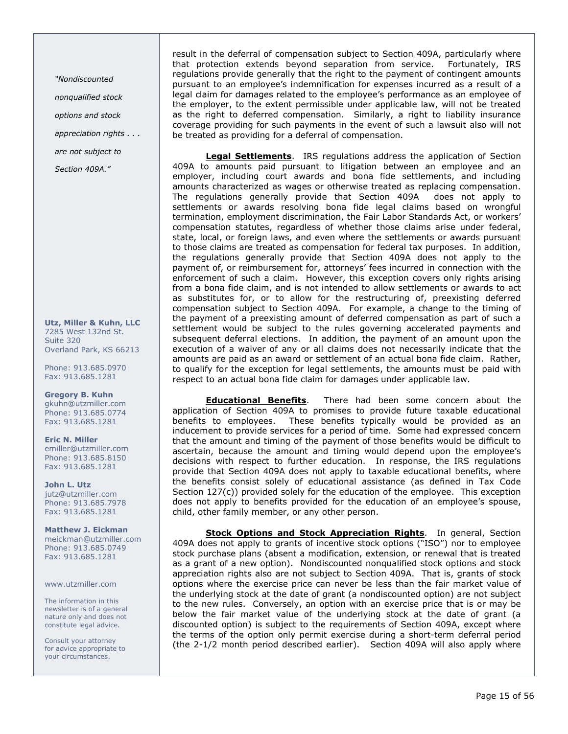"Nondiscounted nonqualified stock options and stock appreciation rights . . .

are not subject to

Section 409A."

Utz, Miller & Kuhn, LLC 7285 West 132nd St. Suite 320 Overland Park, KS 66213

Phone: 913.685.0970 Fax: 913.685.1281

Gregory B. Kuhn gkuhn@utzmiller.com Phone: 913.685.0774 Fax: 913.685.1281

Eric N. Miller emiller@utzmiller.com Phone: 913.685.8150 Fax: 913.685.1281

John L. Utz jutz@utzmiller.com Phone: 913.685.7978 Fax: 913.685.1281

Matthew J. Eickman meickman@utzmiller.com Phone: 913.685.0749 Fax: 913.685.1281

www.utzmiller.com

The information in this newsletter is of a general nature only and does not constitute legal advice.

Consult your attorney for advice appropriate to your circumstances.

result in the deferral of compensation subject to Section 409A, particularly where that protection extends beyond separation from service. Fortunately, IRS regulations provide generally that the right to the payment of contingent amounts pursuant to an employee's indemnification for expenses incurred as a result of a legal claim for damages related to the employee's performance as an employee of the employer, to the extent permissible under applicable law, will not be treated as the right to deferred compensation. Similarly, a right to liability insurance coverage providing for such payments in the event of such a lawsuit also will not be treated as providing for a deferral of compensation.

Legal Settlements. IRS regulations address the application of Section 409A to amounts paid pursuant to litigation between an employee and an employer, including court awards and bona fide settlements, and including amounts characterized as wages or otherwise treated as replacing compensation.<br>The regulations generally provide that Section 409A does not apply to The regulations generally provide that Section 409A settlements or awards resolving bona fide legal claims based on wrongful termination, employment discrimination, the Fair Labor Standards Act, or workers' compensation statutes, regardless of whether those claims arise under federal, state, local, or foreign laws, and even where the settlements or awards pursuant to those claims are treated as compensation for federal tax purposes. In addition, the regulations generally provide that Section 409A does not apply to the payment of, or reimbursement for, attorneys' fees incurred in connection with the enforcement of such a claim. However, this exception covers only rights arising from a bona fide claim, and is not intended to allow settlements or awards to act as substitutes for, or to allow for the restructuring of, preexisting deferred compensation subject to Section 409A. For example, a change to the timing of the payment of a preexisting amount of deferred compensation as part of such a settlement would be subject to the rules governing accelerated payments and subsequent deferral elections. In addition, the payment of an amount upon the execution of a waiver of any or all claims does not necessarily indicate that the amounts are paid as an award or settlement of an actual bona fide claim. Rather, to qualify for the exception for legal settlements, the amounts must be paid with respect to an actual bona fide claim for damages under applicable law.

Educational Benefits. There had been some concern about the application of Section 409A to promises to provide future taxable educational benefits to employees. These benefits typically would be provided as an inducement to provide services for a period of time. Some had expressed concern that the amount and timing of the payment of those benefits would be difficult to ascertain, because the amount and timing would depend upon the employee's decisions with respect to further education. In response, the IRS regulations provide that Section 409A does not apply to taxable educational benefits, where the benefits consist solely of educational assistance (as defined in Tax Code Section  $127(c)$ ) provided solely for the education of the employee. This exception does not apply to benefits provided for the education of an employee's spouse, child, other family member, or any other person.

Stock Options and Stock Appreciation Rights. In general, Section 409A does not apply to grants of incentive stock options ("ISO") nor to employee stock purchase plans (absent a modification, extension, or renewal that is treated as a grant of a new option). Nondiscounted nonqualified stock options and stock appreciation rights also are not subject to Section 409A. That is, grants of stock options where the exercise price can never be less than the fair market value of the underlying stock at the date of grant (a nondiscounted option) are not subject to the new rules. Conversely, an option with an exercise price that is or may be below the fair market value of the underlying stock at the date of grant (a discounted option) is subject to the requirements of Section 409A, except where the terms of the option only permit exercise during a short-term deferral period (the 2-1/2 month period described earlier). Section 409A will also apply where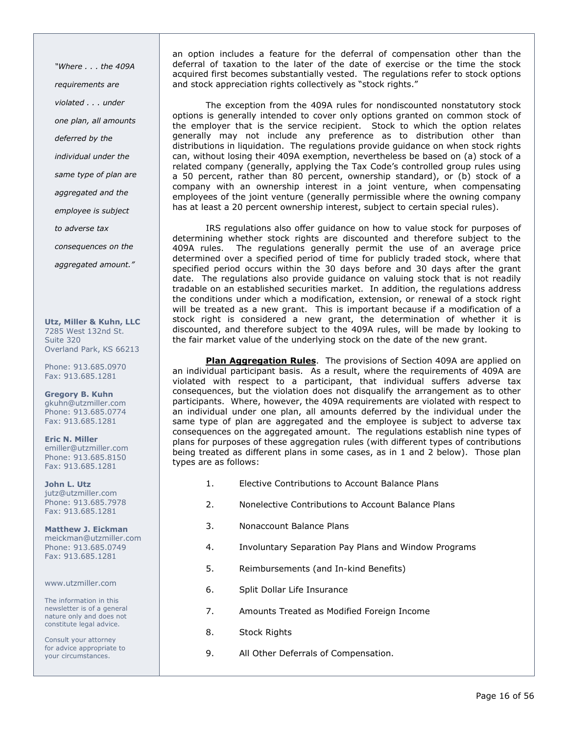"Where . . . the 409A requirements are violated . . . under one plan, all amounts deferred by the individual under the same type of plan are aggregated and the employee is subject to adverse tax consequences on the aggregated amount."

Utz, Miller & Kuhn, LLC 7285 West 132nd St. Suite 320 Overland Park, KS 66213

Phone: 913.685.0970 Fax: 913.685.1281

Gregory B. Kuhn gkuhn@utzmiller.com Phone: 913.685.0774 Fax: 913.685.1281

Eric N. Miller emiller@utzmiller.com Phone: 913.685.8150 Fax: 913.685.1281

John L. Utz jutz@utzmiller.com Phone: 913.685.7978 Fax: 913.685.1281

Matthew J. Eickman meickman@utzmiller.com Phone: 913.685.0749 Fax: 913.685.1281

www.utzmiller.com

The information in this newsletter is of a general nature only and does not constitute legal advice.

Consult your attorney for advice appropriate to your circumstances.

an option includes a feature for the deferral of compensation other than the deferral of taxation to the later of the date of exercise or the time the stock acquired first becomes substantially vested. The regulations refer to stock options and stock appreciation rights collectively as "stock rights."

The exception from the 409A rules for nondiscounted nonstatutory stock options is generally intended to cover only options granted on common stock of the employer that is the service recipient. Stock to which the option relates generally may not include any preference as to distribution other than distributions in liquidation. The regulations provide guidance on when stock rights can, without losing their 409A exemption, nevertheless be based on (a) stock of a related company (generally, applying the Tax Code's controlled group rules using a 50 percent, rather than 80 percent, ownership standard), or (b) stock of a company with an ownership interest in a joint venture, when compensating employees of the joint venture (generally permissible where the owning company has at least a 20 percent ownership interest, subject to certain special rules).

IRS regulations also offer guidance on how to value stock for purposes of determining whether stock rights are discounted and therefore subject to the 409A rules. The regulations generally permit the use of an average price determined over a specified period of time for publicly traded stock, where that specified period occurs within the 30 days before and 30 days after the grant date. The regulations also provide guidance on valuing stock that is not readily tradable on an established securities market. In addition, the regulations address the conditions under which a modification, extension, or renewal of a stock right will be treated as a new grant. This is important because if a modification of a stock right is considered a new grant, the determination of whether it is discounted, and therefore subject to the 409A rules, will be made by looking to the fair market value of the underlying stock on the date of the new grant.

Plan Aggregation Rules. The provisions of Section 409A are applied on an individual participant basis. As a result, where the requirements of 409A are violated with respect to a participant, that individual suffers adverse tax consequences, but the violation does not disqualify the arrangement as to other participants. Where, however, the 409A requirements are violated with respect to an individual under one plan, all amounts deferred by the individual under the same type of plan are aggregated and the employee is subject to adverse tax consequences on the aggregated amount. The regulations establish nine types of plans for purposes of these aggregation rules (with different types of contributions being treated as different plans in some cases, as in 1 and 2 below). Those plan types are as follows:

- 1. Elective Contributions to Account Balance Plans
- 2. Nonelective Contributions to Account Balance Plans
- 3. Nonaccount Balance Plans
- 4. Involuntary Separation Pay Plans and Window Programs
- 5. Reimbursements (and In-kind Benefits)
- 6. Split Dollar Life Insurance
- 7. Amounts Treated as Modified Foreign Income
- 8. Stock Rights
- 9. All Other Deferrals of Compensation.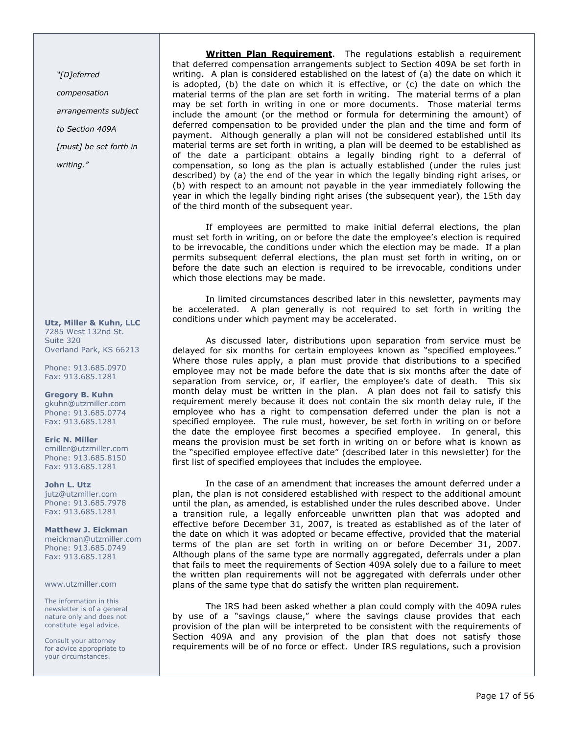"[D]eferred

compensation arrangements subject to Section 409A [must] be set forth in writing."

Utz, Miller & Kuhn, LLC 7285 West 132nd St. Suite 320 Overland Park, KS 66213

Phone: 913.685.0970 Fax: 913.685.1281

Gregory B. Kuhn gkuhn@utzmiller.com Phone: 913.685.0774 Fax: 913.685.1281

Eric N. Miller emiller@utzmiller.com Phone: 913.685.8150 Fax: 913.685.1281

John L. Utz jutz@utzmiller.com Phone: 913.685.7978 Fax: 913.685.1281

Matthew J. Eickman meickman@utzmiller.com Phone: 913.685.0749 Fax: 913.685.1281

www.utzmiller.com

The information in this newsletter is of a general nature only and does not constitute legal advice.

Consult your attorney for advice appropriate to your circumstances.

Written Plan Requirement. The regulations establish a requirement that deferred compensation arrangements subject to Section 409A be set forth in writing. A plan is considered established on the latest of (a) the date on which it is adopted, (b) the date on which it is effective, or (c) the date on which the material terms of the plan are set forth in writing. The material terms of a plan may be set forth in writing in one or more documents. Those material terms include the amount (or the method or formula for determining the amount) of deferred compensation to be provided under the plan and the time and form of payment. Although generally a plan will not be considered established until its material terms are set forth in writing, a plan will be deemed to be established as of the date a participant obtains a legally binding right to a deferral of compensation, so long as the plan is actually established (under the rules just described) by (a) the end of the year in which the legally binding right arises, or (b) with respect to an amount not payable in the year immediately following the year in which the legally binding right arises (the subsequent year), the 15th day of the third month of the subsequent year.

If employees are permitted to make initial deferral elections, the plan must set forth in writing, on or before the date the employee's election is required to be irrevocable, the conditions under which the election may be made. If a plan permits subsequent deferral elections, the plan must set forth in writing, on or before the date such an election is required to be irrevocable, conditions under which those elections may be made.

In limited circumstances described later in this newsletter, payments may be accelerated. A plan generally is not required to set forth in writing the conditions under which payment may be accelerated.

As discussed later, distributions upon separation from service must be delayed for six months for certain employees known as "specified employees." Where those rules apply, a plan must provide that distributions to a specified employee may not be made before the date that is six months after the date of separation from service, or, if earlier, the employee's date of death. This six month delay must be written in the plan. A plan does not fail to satisfy this requirement merely because it does not contain the six month delay rule, if the employee who has a right to compensation deferred under the plan is not a specified employee. The rule must, however, be set forth in writing on or before the date the employee first becomes a specified employee. In general, this means the provision must be set forth in writing on or before what is known as the "specified employee effective date" (described later in this newsletter) for the first list of specified employees that includes the employee.

In the case of an amendment that increases the amount deferred under a plan, the plan is not considered established with respect to the additional amount until the plan, as amended, is established under the rules described above. Under a transition rule, a legally enforceable unwritten plan that was adopted and effective before December 31, 2007, is treated as established as of the later of the date on which it was adopted or became effective, provided that the material terms of the plan are set forth in writing on or before December 31, 2007. Although plans of the same type are normally aggregated, deferrals under a plan that fails to meet the requirements of Section 409A solely due to a failure to meet the written plan requirements will not be aggregated with deferrals under other plans of the same type that do satisfy the written plan requirement.

The IRS had been asked whether a plan could comply with the 409A rules by use of a "savings clause," where the savings clause provides that each provision of the plan will be interpreted to be consistent with the requirements of Section 409A and any provision of the plan that does not satisfy those requirements will be of no force or effect. Under IRS regulations, such a provision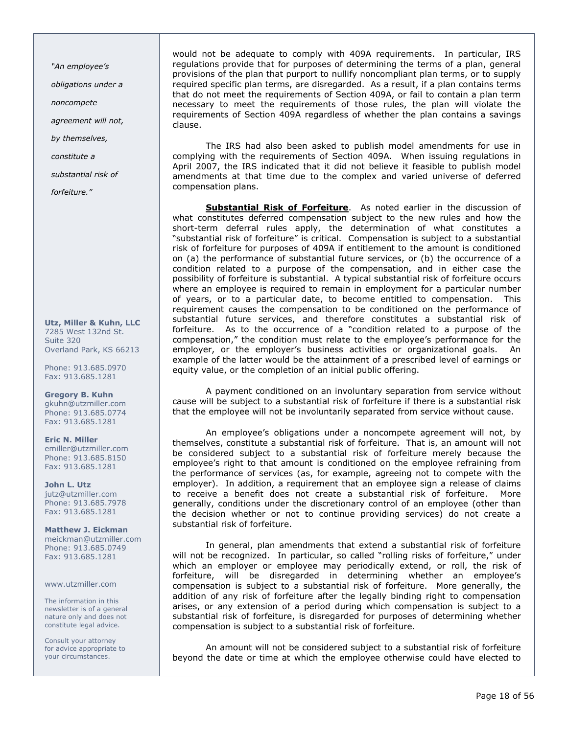"An employee's

obligations under a

noncompete

agreement will not,

by themselves,

constitute a

substantial risk of

forfeiture."

Utz, Miller & Kuhn, LLC 7285 West 132nd St. Suite 320 Overland Park, KS 66213

Phone: 913.685.0970 Fax: 913.685.1281

Gregory B. Kuhn gkuhn@utzmiller.com Phone: 913.685.0774 Fax: 913.685.1281

Eric N. Miller emiller@utzmiller.com Phone: 913.685.8150 Fax: 913.685.1281

John L. Utz jutz@utzmiller.com Phone: 913.685.7978 Fax: 913.685.1281

Matthew J. Eickman meickman@utzmiller.com Phone: 913.685.0749 Fax: 913.685.1281

www.utzmiller.com

The information in this newsletter is of a general nature only and does not constitute legal advice.

Consult your attorney for advice appropriate to your circumstances.

would not be adequate to comply with 409A requirements. In particular, IRS regulations provide that for purposes of determining the terms of a plan, general provisions of the plan that purport to nullify noncompliant plan terms, or to supply required specific plan terms, are disregarded. As a result, if a plan contains terms that do not meet the requirements of Section 409A, or fail to contain a plan term necessary to meet the requirements of those rules, the plan will violate the requirements of Section 409A regardless of whether the plan contains a savings clause.

The IRS had also been asked to publish model amendments for use in complying with the requirements of Section 409A. When issuing regulations in April 2007, the IRS indicated that it did not believe it feasible to publish model amendments at that time due to the complex and varied universe of deferred compensation plans.

Substantial Risk of Forfeiture. As noted earlier in the discussion of what constitutes deferred compensation subject to the new rules and how the short-term deferral rules apply, the determination of what constitutes a "substantial risk of forfeiture" is critical. Compensation is subject to a substantial risk of forfeiture for purposes of 409A if entitlement to the amount is conditioned on (a) the performance of substantial future services, or (b) the occurrence of a condition related to a purpose of the compensation, and in either case the possibility of forfeiture is substantial. A typical substantial risk of forfeiture occurs where an employee is required to remain in employment for a particular number of years, or to a particular date, to become entitled to compensation. This requirement causes the compensation to be conditioned on the performance of substantial future services, and therefore constitutes a substantial risk of forfeiture. As to the occurrence of a "condition related to a purpose of the compensation," the condition must relate to the employee's performance for the employer, or the employer's business activities or organizational goals. An example of the latter would be the attainment of a prescribed level of earnings or equity value, or the completion of an initial public offering.

A payment conditioned on an involuntary separation from service without cause will be subject to a substantial risk of forfeiture if there is a substantial risk that the employee will not be involuntarily separated from service without cause.

An employee's obligations under a noncompete agreement will not, by themselves, constitute a substantial risk of forfeiture. That is, an amount will not be considered subject to a substantial risk of forfeiture merely because the employee's right to that amount is conditioned on the employee refraining from the performance of services (as, for example, agreeing not to compete with the employer). In addition, a requirement that an employee sign a release of claims to receive a benefit does not create a substantial risk of forfeiture. More generally, conditions under the discretionary control of an employee (other than the decision whether or not to continue providing services) do not create a substantial risk of forfeiture.

In general, plan amendments that extend a substantial risk of forfeiture will not be recognized. In particular, so called "rolling risks of forfeiture," under which an employer or employee may periodically extend, or roll, the risk of forfeiture, will be disregarded in determining whether an employee's compensation is subject to a substantial risk of forfeiture. More generally, the addition of any risk of forfeiture after the legally binding right to compensation arises, or any extension of a period during which compensation is subject to a substantial risk of forfeiture, is disregarded for purposes of determining whether compensation is subject to a substantial risk of forfeiture.

An amount will not be considered subject to a substantial risk of forfeiture beyond the date or time at which the employee otherwise could have elected to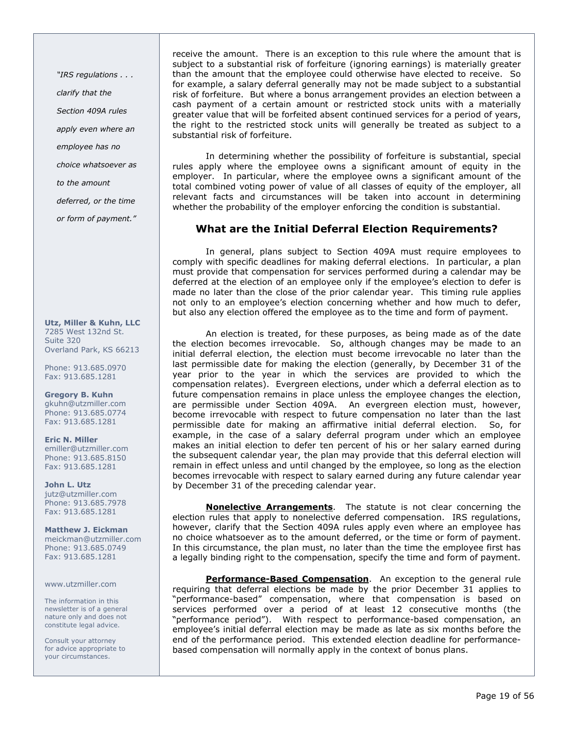"IRS regulations . . . clarify that the Section 409A rules apply even where an employee has no choice whatsoever as to the amount deferred, or the time

or form of payment."

Utz, Miller & Kuhn, LLC 7285 West 132nd St. Suite 320 Overland Park, KS 66213

Phone: 913.685.0970 Fax: 913.685.1281

Gregory B. Kuhn gkuhn@utzmiller.com Phone: 913.685.0774 Fax: 913.685.1281

Eric N. Miller emiller@utzmiller.com Phone: 913.685.8150 Fax: 913.685.1281

John L. Utz jutz@utzmiller.com Phone: 913.685.7978 Fax: 913.685.1281

Matthew J. Eickman meickman@utzmiller.com Phone: 913.685.0749 Fax: 913.685.1281

#### www.utzmiller.com

The information in this newsletter is of a general nature only and does not constitute legal advice.

Consult your attorney for advice appropriate to your circumstances.

receive the amount. There is an exception to this rule where the amount that is subject to a substantial risk of forfeiture (ignoring earnings) is materially greater than the amount that the employee could otherwise have elected to receive. So for example, a salary deferral generally may not be made subject to a substantial risk of forfeiture. But where a bonus arrangement provides an election between a cash payment of a certain amount or restricted stock units with a materially greater value that will be forfeited absent continued services for a period of years, the right to the restricted stock units will generally be treated as subject to a substantial risk of forfeiture.

In determining whether the possibility of forfeiture is substantial, special rules apply where the employee owns a significant amount of equity in the employer. In particular, where the employee owns a significant amount of the total combined voting power of value of all classes of equity of the employer, all relevant facts and circumstances will be taken into account in determining whether the probability of the employer enforcing the condition is substantial.

## What are the Initial Deferral Election Requirements?

In general, plans subject to Section 409A must require employees to comply with specific deadlines for making deferral elections. In particular, a plan must provide that compensation for services performed during a calendar may be deferred at the election of an employee only if the employee's election to defer is made no later than the close of the prior calendar year. This timing rule applies not only to an employee's election concerning whether and how much to defer, but also any election offered the employee as to the time and form of payment.

An election is treated, for these purposes, as being made as of the date the election becomes irrevocable. So, although changes may be made to an initial deferral election, the election must become irrevocable no later than the last permissible date for making the election (generally, by December 31 of the year prior to the year in which the services are provided to which the compensation relates). Evergreen elections, under which a deferral election as to future compensation remains in place unless the employee changes the election, are permissible under Section 409A. An evergreen election must, however, become irrevocable with respect to future compensation no later than the last permissible date for making an affirmative initial deferral election. So, for example, in the case of a salary deferral program under which an employee makes an initial election to defer ten percent of his or her salary earned during the subsequent calendar year, the plan may provide that this deferral election will remain in effect unless and until changed by the employee, so long as the election becomes irrevocable with respect to salary earned during any future calendar year by December 31 of the preceding calendar year.

**Nonelective Arrangements**. The statute is not clear concerning the election rules that apply to nonelective deferred compensation. IRS regulations, however, clarify that the Section 409A rules apply even where an employee has no choice whatsoever as to the amount deferred, or the time or form of payment. In this circumstance, the plan must, no later than the time the employee first has a legally binding right to the compensation, specify the time and form of payment.

Performance-Based Compensation. An exception to the general rule requiring that deferral elections be made by the prior December 31 applies to "performance-based" compensation, where that compensation is based on services performed over a period of at least 12 consecutive months (the "performance period"). With respect to performance-based compensation, an employee's initial deferral election may be made as late as six months before the end of the performance period. This extended election deadline for performancebased compensation will normally apply in the context of bonus plans.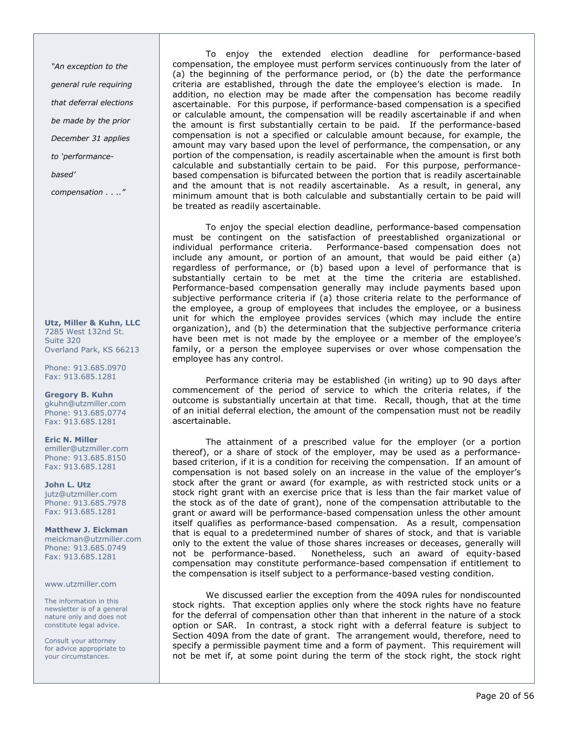"An exception to the general rule requiring that deferral elections be made by the prior December 31 applies to 'performancebased'

compensation . . .."

Utz, Miller & Kuhn, LLC 7285 West 132nd St. Suite 320 Overland Park, KS 66213

Phone: 913.685.0970 Fax: 913.685.1281

Gregory B. Kuhn gkuhn@utzmiller.com Phone: 913.685.0774 Fax: 913.685.1281

Eric N. Miller emiller@utzmiller.com Phone: 913.685.8150 Fax: 913.685.1281

John L. Utz jutz@utzmiller.com Phone: 913.685.7978 Fax: 913.685.1281

Matthew J. Eickman meickman@utzmiller.com Phone: 913.685.0749 Fax: 913.685.1281

#### www.utzmiller.com

The information in this newsletter is of a general nature only and does not constitute legal advice.

Consult your attorney for advice appropriate to your circumstances.

To enjoy the extended election deadline for performance-based compensation, the employee must perform services continuously from the later of (a) the beginning of the performance period, or (b) the date the performance criteria are established, through the date the employee's election is made. In addition, no election may be made after the compensation has become readily ascertainable. For this purpose, if performance-based compensation is a specified or calculable amount, the compensation will be readily ascertainable if and when the amount is first substantially certain to be paid. If the performance-based compensation is not a specified or calculable amount because, for example, the amount may vary based upon the level of performance, the compensation, or any portion of the compensation, is readily ascertainable when the amount is first both calculable and substantially certain to be paid. For this purpose, performancebased compensation is bifurcated between the portion that is readily ascertainable and the amount that is not readily ascertainable. As a result, in general, any minimum amount that is both calculable and substantially certain to be paid will be treated as readily ascertainable.

To enjoy the special election deadline, performance-based compensation must be contingent on the satisfaction of preestablished organizational or individual performance criteria. Performance-based compensation does not include any amount, or portion of an amount, that would be paid either (a) regardless of performance, or (b) based upon a level of performance that is substantially certain to be met at the time the criteria are established. Performance-based compensation generally may include payments based upon subjective performance criteria if (a) those criteria relate to the performance of the employee, a group of employees that includes the employee, or a business unit for which the employee provides services (which may include the entire organization), and (b) the determination that the subjective performance criteria have been met is not made by the employee or a member of the employee's family, or a person the employee supervises or over whose compensation the employee has any control.

Performance criteria may be established (in writing) up to 90 days after commencement of the period of service to which the criteria relates, if the outcome is substantially uncertain at that time. Recall, though, that at the time of an initial deferral election, the amount of the compensation must not be readily ascertainable.

The attainment of a prescribed value for the employer (or a portion thereof), or a share of stock of the employer, may be used as a performancebased criterion, if it is a condition for receiving the compensation. If an amount of compensation is not based solely on an increase in the value of the employer's stock after the grant or award (for example, as with restricted stock units or a stock right grant with an exercise price that is less than the fair market value of the stock as of the date of grant), none of the compensation attributable to the grant or award will be performance-based compensation unless the other amount itself qualifies as performance-based compensation. As a result, compensation that is equal to a predetermined number of shares of stock, and that is variable only to the extent the value of those shares increases or deceases, generally will not be performance-based. Nonetheless, such an award of equity-based compensation may constitute performance-based compensation if entitlement to the compensation is itself subject to a performance-based vesting condition.

We discussed earlier the exception from the 409A rules for nondiscounted stock rights. That exception applies only where the stock rights have no feature for the deferral of compensation other than that inherent in the nature of a stock option or SAR. In contrast, a stock right with a deferral feature is subject to Section 409A from the date of grant. The arrangement would, therefore, need to specify a permissible payment time and a form of payment. This requirement will not be met if, at some point during the term of the stock right, the stock right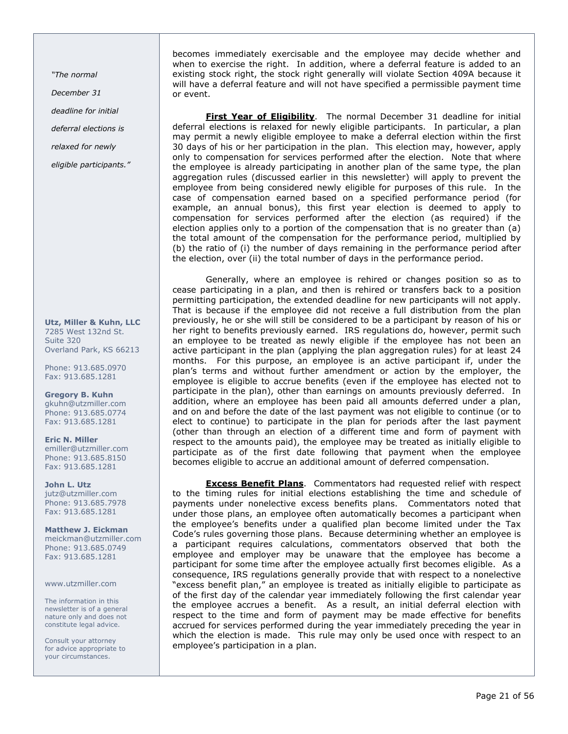"The normal

December 31

deadline for initial

deferral elections is

relaxed for newly

eligible participants."

Utz, Miller & Kuhn, LLC 7285 West 132nd St. Suite 320 Overland Park, KS 66213

Phone: 913.685.0970 Fax: 913.685.1281

Gregory B. Kuhn gkuhn@utzmiller.com Phone: 913.685.0774 Fax: 913.685.1281

Eric N. Miller emiller@utzmiller.com Phone: 913.685.8150 Fax: 913.685.1281

John L. Utz jutz@utzmiller.com Phone: 913.685.7978 Fax: 913.685.1281

Matthew J. Eickman meickman@utzmiller.com Phone: 913.685.0749 Fax: 913.685.1281

www.utzmiller.com

The information in this newsletter is of a general nature only and does not constitute legal advice.

Consult your attorney for advice appropriate to your circumstances.

becomes immediately exercisable and the employee may decide whether and when to exercise the right. In addition, where a deferral feature is added to an existing stock right, the stock right generally will violate Section 409A because it will have a deferral feature and will not have specified a permissible payment time or event.

First Year of Eligibility. The normal December 31 deadline for initial deferral elections is relaxed for newly eligible participants. In particular, a plan may permit a newly eligible employee to make a deferral election within the first 30 days of his or her participation in the plan. This election may, however, apply only to compensation for services performed after the election. Note that where the employee is already participating in another plan of the same type, the plan aggregation rules (discussed earlier in this newsletter) will apply to prevent the employee from being considered newly eligible for purposes of this rule. In the case of compensation earned based on a specified performance period (for example, an annual bonus), this first year election is deemed to apply to compensation for services performed after the election (as required) if the election applies only to a portion of the compensation that is no greater than (a) the total amount of the compensation for the performance period, multiplied by (b) the ratio of (i) the number of days remaining in the performance period after the election, over (ii) the total number of days in the performance period.

Generally, where an employee is rehired or changes position so as to cease participating in a plan, and then is rehired or transfers back to a position permitting participation, the extended deadline for new participants will not apply. That is because if the employee did not receive a full distribution from the plan previously, he or she will still be considered to be a participant by reason of his or her right to benefits previously earned. IRS regulations do, however, permit such an employee to be treated as newly eligible if the employee has not been an active participant in the plan (applying the plan aggregation rules) for at least 24 months. For this purpose, an employee is an active participant if, under the plan's terms and without further amendment or action by the employer, the employee is eligible to accrue benefits (even if the employee has elected not to participate in the plan), other than earnings on amounts previously deferred. In addition, where an employee has been paid all amounts deferred under a plan, and on and before the date of the last payment was not eligible to continue (or to elect to continue) to participate in the plan for periods after the last payment (other than through an election of a different time and form of payment with respect to the amounts paid), the employee may be treated as initially eligible to participate as of the first date following that payment when the employee becomes eligible to accrue an additional amount of deferred compensation.

**Excess Benefit Plans**. Commentators had requested relief with respect to the timing rules for initial elections establishing the time and schedule of payments under nonelective excess benefits plans. Commentators noted that under those plans, an employee often automatically becomes a participant when the employee's benefits under a qualified plan become limited under the Tax Code's rules governing those plans. Because determining whether an employee is a participant requires calculations, commentators observed that both the employee and employer may be unaware that the employee has become a participant for some time after the employee actually first becomes eligible. As a consequence, IRS regulations generally provide that with respect to a nonelective "excess benefit plan," an employee is treated as initially eligible to participate as of the first day of the calendar year immediately following the first calendar year the employee accrues a benefit. As a result, an initial deferral election with respect to the time and form of payment may be made effective for benefits accrued for services performed during the year immediately preceding the year in which the election is made. This rule may only be used once with respect to an employee's participation in a plan.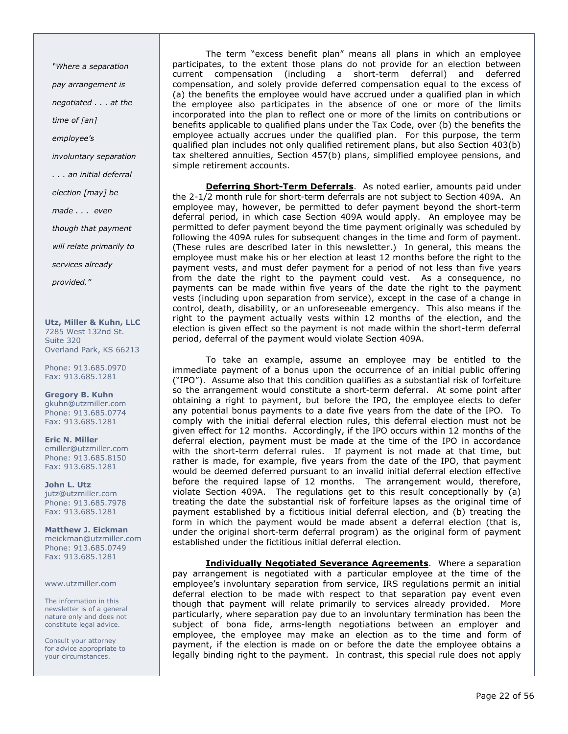"Where a separation pay arrangement is negotiated . . . at the time of [an] employee's involuntary separation . . . an initial deferral election [may] be made . . . even though that payment will relate primarily to services already provided."

Utz, Miller & Kuhn, LLC 7285 West 132nd St. Suite 320 Overland Park, KS 66213

Phone: 913.685.0970 Fax: 913.685.1281

Gregory B. Kuhn gkuhn@utzmiller.com Phone: 913.685.0774 Fax: 913.685.1281

Eric N. Miller emiller@utzmiller.com Phone: 913.685.8150 Fax: 913.685.1281

John L. Utz jutz@utzmiller.com Phone: 913.685.7978 Fax: 913.685.1281

Matthew J. Eickman meickman@utzmiller.com Phone: 913.685.0749 Fax: 913.685.1281

www.utzmiller.com

The information in this newsletter is of a general nature only and does not constitute legal advice.

Consult your attorney for advice appropriate to your circumstances.

The term "excess benefit plan" means all plans in which an employee participates, to the extent those plans do not provide for an election between current compensation (including a short-term deferral) and deferred compensation, and solely provide deferred compensation equal to the excess of (a) the benefits the employee would have accrued under a qualified plan in which the employee also participates in the absence of one or more of the limits incorporated into the plan to reflect one or more of the limits on contributions or benefits applicable to qualified plans under the Tax Code, over (b) the benefits the employee actually accrues under the qualified plan. For this purpose, the term qualified plan includes not only qualified retirement plans, but also Section 403(b) tax sheltered annuities, Section 457(b) plans, simplified employee pensions, and simple retirement accounts.

Deferring Short-Term Deferrals. As noted earlier, amounts paid under the 2-1/2 month rule for short-term deferrals are not subject to Section 409A. An employee may, however, be permitted to defer payment beyond the short-term deferral period, in which case Section 409A would apply. An employee may be permitted to defer payment beyond the time payment originally was scheduled by following the 409A rules for subsequent changes in the time and form of payment. (These rules are described later in this newsletter.) In general, this means the employee must make his or her election at least 12 months before the right to the payment vests, and must defer payment for a period of not less than five years from the date the right to the payment could vest. As a consequence, no payments can be made within five years of the date the right to the payment vests (including upon separation from service), except in the case of a change in control, death, disability, or an unforeseeable emergency. This also means if the right to the payment actually vests within 12 months of the election, and the election is given effect so the payment is not made within the short-term deferral period, deferral of the payment would violate Section 409A.

To take an example, assume an employee may be entitled to the immediate payment of a bonus upon the occurrence of an initial public offering ("IPO"). Assume also that this condition qualifies as a substantial risk of forfeiture so the arrangement would constitute a short-term deferral. At some point after obtaining a right to payment, but before the IPO, the employee elects to defer any potential bonus payments to a date five years from the date of the IPO. To comply with the initial deferral election rules, this deferral election must not be given effect for 12 months. Accordingly, if the IPO occurs within 12 months of the deferral election, payment must be made at the time of the IPO in accordance with the short-term deferral rules. If payment is not made at that time, but rather is made, for example, five years from the date of the IPO, that payment would be deemed deferred pursuant to an invalid initial deferral election effective before the required lapse of 12 months. The arrangement would, therefore, violate Section 409A. The regulations get to this result conceptionally by (a) treating the date the substantial risk of forfeiture lapses as the original time of payment established by a fictitious initial deferral election, and (b) treating the form in which the payment would be made absent a deferral election (that is, under the original short-term deferral program) as the original form of payment established under the fictitious initial deferral election.

**Individually Negotiated Severance Agreements**. Where a separation pay arrangement is negotiated with a particular employee at the time of the employee's involuntary separation from service, IRS regulations permit an initial deferral election to be made with respect to that separation pay event even though that payment will relate primarily to services already provided. More particularly, where separation pay due to an involuntary termination has been the subject of bona fide, arms-length negotiations between an employer and employee, the employee may make an election as to the time and form of payment, if the election is made on or before the date the employee obtains a legally binding right to the payment. In contrast, this special rule does not apply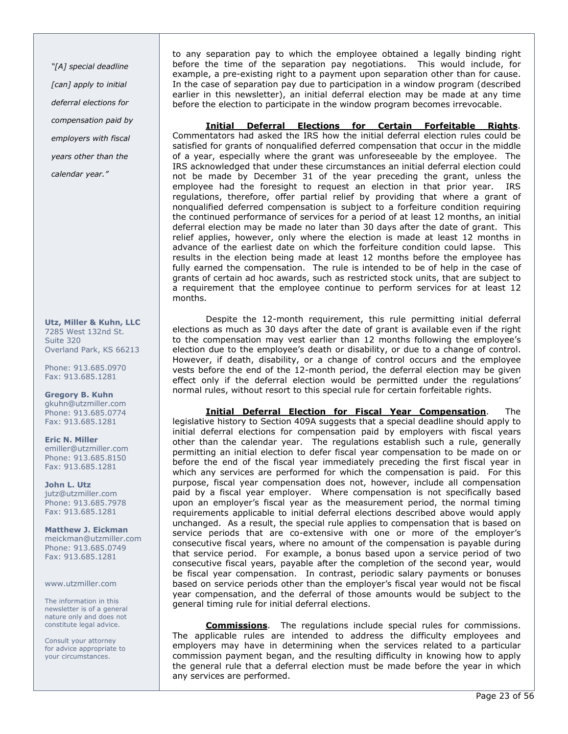"[A] special deadline [can] apply to initial deferral elections for compensation paid by employers with fiscal years other than the calendar year."

Utz, Miller & Kuhn, LLC 7285 West 132nd St. Suite 320 Overland Park, KS 66213

Phone: 913.685.0970 Fax: 913.685.1281

Gregory B. Kuhn gkuhn@utzmiller.com Phone: 913.685.0774 Fax: 913.685.1281

Eric N. Miller emiller@utzmiller.com Phone: 913.685.8150 Fax: 913.685.1281

John L. Utz jutz@utzmiller.com Phone: 913.685.7978 Fax: 913.685.1281

Matthew J. Eickman meickman@utzmiller.com Phone: 913.685.0749 Fax: 913.685.1281

www.utzmiller.com

The information in this newsletter is of a general nature only and does not constitute legal advice.

Consult your attorney for advice appropriate to your circumstances.

to any separation pay to which the employee obtained a legally binding right before the time of the separation pay negotiations. This would include, for example, a pre-existing right to a payment upon separation other than for cause. In the case of separation pay due to participation in a window program (described earlier in this newsletter), an initial deferral election may be made at any time before the election to participate in the window program becomes irrevocable.

Initial Deferral Elections for Certain Forfeitable Rights. Commentators had asked the IRS how the initial deferral election rules could be satisfied for grants of nonqualified deferred compensation that occur in the middle of a year, especially where the grant was unforeseeable by the employee. The IRS acknowledged that under these circumstances an initial deferral election could not be made by December 31 of the year preceding the grant, unless the employee had the foresight to request an election in that prior year. IRS regulations, therefore, offer partial relief by providing that where a grant of nonqualified deferred compensation is subject to a forfeiture condition requiring the continued performance of services for a period of at least 12 months, an initial deferral election may be made no later than 30 days after the date of grant. This relief applies, however, only where the election is made at least 12 months in advance of the earliest date on which the forfeiture condition could lapse. This results in the election being made at least 12 months before the employee has fully earned the compensation. The rule is intended to be of help in the case of grants of certain ad hoc awards, such as restricted stock units, that are subject to a requirement that the employee continue to perform services for at least 12 months.

Despite the 12-month requirement, this rule permitting initial deferral elections as much as 30 days after the date of grant is available even if the right to the compensation may vest earlier than 12 months following the employee's election due to the employee's death or disability, or due to a change of control. However, if death, disability, or a change of control occurs and the employee vests before the end of the 12-month period, the deferral election may be given effect only if the deferral election would be permitted under the regulations' normal rules, without resort to this special rule for certain forfeitable rights.

**Initial Deferral Election for Fiscal Year Compensation**. The legislative history to Section 409A suggests that a special deadline should apply to initial deferral elections for compensation paid by employers with fiscal years other than the calendar year. The regulations establish such a rule, generally permitting an initial election to defer fiscal year compensation to be made on or before the end of the fiscal year immediately preceding the first fiscal year in which any services are performed for which the compensation is paid. For this purpose, fiscal year compensation does not, however, include all compensation paid by a fiscal year employer. Where compensation is not specifically based upon an employer's fiscal year as the measurement period, the normal timing requirements applicable to initial deferral elections described above would apply unchanged. As a result, the special rule applies to compensation that is based on service periods that are co-extensive with one or more of the employer's consecutive fiscal years, where no amount of the compensation is payable during that service period. For example, a bonus based upon a service period of two consecutive fiscal years, payable after the completion of the second year, would be fiscal year compensation. In contrast, periodic salary payments or bonuses based on service periods other than the employer's fiscal year would not be fiscal year compensation, and the deferral of those amounts would be subject to the general timing rule for initial deferral elections.

Commissions. The regulations include special rules for commissions. The applicable rules are intended to address the difficulty employees and employers may have in determining when the services related to a particular commission payment began, and the resulting difficulty in knowing how to apply the general rule that a deferral election must be made before the year in which any services are performed.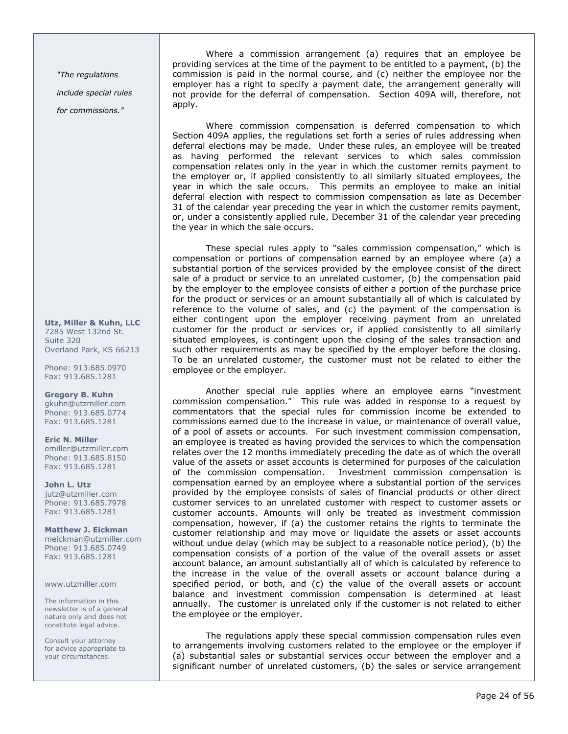"The regulations

include special rules

for commissions."

Utz, Miller & Kuhn, LLC 7285 West 132nd St. Suite 320 Overland Park, KS 66213

Phone: 913.685.0970 Fax: 913.685.1281

Gregory B. Kuhn gkuhn@utzmiller.com Phone: 913.685.0774 Fax: 913.685.1281

Eric N. Miller emiller@utzmiller.com Phone: 913.685.8150 Fax: 913.685.1281

John L. Utz jutz@utzmiller.com Phone: 913.685.7978 Fax: 913.685.1281

Matthew J. Eickman meickman@utzmiller.com Phone: 913.685.0749 Fax: 913.685.1281

www.utzmiller.com

The information in this newsletter is of a general nature only and does not constitute legal advice.

Consult your attorney for advice appropriate to your circumstances.

Where a commission arrangement (a) requires that an employee be providing services at the time of the payment to be entitled to a payment, (b) the commission is paid in the normal course, and (c) neither the employee nor the employer has a right to specify a payment date, the arrangement generally will not provide for the deferral of compensation. Section 409A will, therefore, not apply.

Where commission compensation is deferred compensation to which Section 409A applies, the regulations set forth a series of rules addressing when deferral elections may be made. Under these rules, an employee will be treated as having performed the relevant services to which sales commission compensation relates only in the year in which the customer remits payment to the employer or, if applied consistently to all similarly situated employees, the year in which the sale occurs. This permits an employee to make an initial deferral election with respect to commission compensation as late as December 31 of the calendar year preceding the year in which the customer remits payment, or, under a consistently applied rule, December 31 of the calendar year preceding the year in which the sale occurs.

These special rules apply to "sales commission compensation," which is compensation or portions of compensation earned by an employee where (a) a substantial portion of the services provided by the employee consist of the direct sale of a product or service to an unrelated customer, (b) the compensation paid by the employer to the employee consists of either a portion of the purchase price for the product or services or an amount substantially all of which is calculated by reference to the volume of sales, and (c) the payment of the compensation is either contingent upon the employer receiving payment from an unrelated customer for the product or services or, if applied consistently to all similarly situated employees, is contingent upon the closing of the sales transaction and such other requirements as may be specified by the employer before the closing. To be an unrelated customer, the customer must not be related to either the employee or the employer.

Another special rule applies where an employee earns "investment commission compensation." This rule was added in response to a request by commentators that the special rules for commission income be extended to commissions earned due to the increase in value, or maintenance of overall value, of a pool of assets or accounts. For such investment commission compensation, an employee is treated as having provided the services to which the compensation relates over the 12 months immediately preceding the date as of which the overall value of the assets or asset accounts is determined for purposes of the calculation of the commission compensation. Investment commission compensation is compensation earned by an employee where a substantial portion of the services provided by the employee consists of sales of financial products or other direct customer services to an unrelated customer with respect to customer assets or customer accounts. Amounts will only be treated as investment commission compensation, however, if (a) the customer retains the rights to terminate the customer relationship and may move or liquidate the assets or asset accounts without undue delay (which may be subject to a reasonable notice period), (b) the compensation consists of a portion of the value of the overall assets or asset account balance, an amount substantially all of which is calculated by reference to the increase in the value of the overall assets or account balance during a specified period, or both, and (c) the value of the overall assets or account balance and investment commission compensation is determined at least annually. The customer is unrelated only if the customer is not related to either the employee or the employer.

The regulations apply these special commission compensation rules even to arrangements involving customers related to the employee or the employer if (a) substantial sales or substantial services occur between the employer and a significant number of unrelated customers, (b) the sales or service arrangement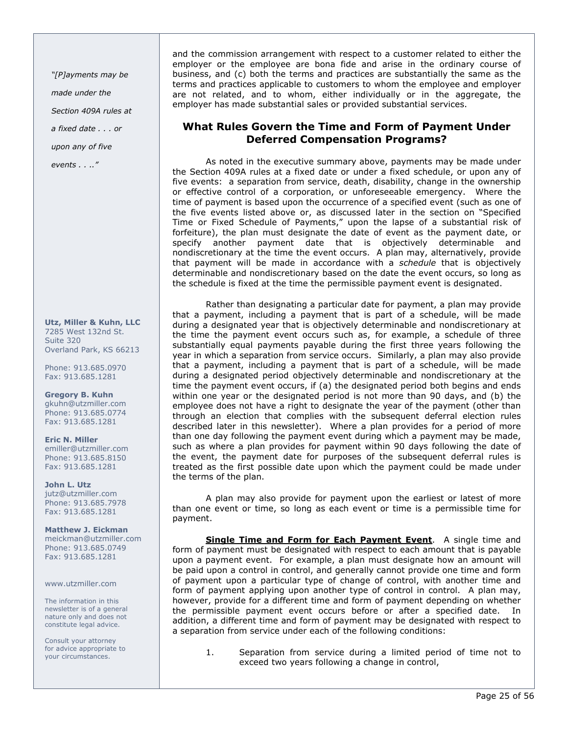"[P]ayments may be

made under the

Section 409A rules at

a fixed date . . . or

upon any of five

events . . .."

Utz, Miller & Kuhn, LLC 7285 West 132nd St. Suite 320 Overland Park, KS 66213

Phone: 913.685.0970 Fax: 913.685.1281

Gregory B. Kuhn gkuhn@utzmiller.com Phone: 913.685.0774 Fax: 913.685.1281

Eric N. Miller emiller@utzmiller.com Phone: 913.685.8150 Fax: 913.685.1281

John L. Utz jutz@utzmiller.com Phone: 913.685.7978 Fax: 913.685.1281

Matthew J. Eickman meickman@utzmiller.com Phone: 913.685.0749 Fax: 913.685.1281

www.utzmiller.com

The information in this newsletter is of a general nature only and does not constitute legal advice.

Consult your attorney for advice appropriate to your circumstances.

and the commission arrangement with respect to a customer related to either the employer or the employee are bona fide and arise in the ordinary course of business, and (c) both the terms and practices are substantially the same as the terms and practices applicable to customers to whom the employee and employer are not related, and to whom, either individually or in the aggregate, the employer has made substantial sales or provided substantial services.

## What Rules Govern the Time and Form of Payment Under Deferred Compensation Programs?

As noted in the executive summary above, payments may be made under the Section 409A rules at a fixed date or under a fixed schedule, or upon any of five events: a separation from service, death, disability, change in the ownership or effective control of a corporation, or unforeseeable emergency. Where the time of payment is based upon the occurrence of a specified event (such as one of the five events listed above or, as discussed later in the section on "Specified Time or Fixed Schedule of Payments," upon the lapse of a substantial risk of forfeiture), the plan must designate the date of event as the payment date, or specify another payment date that is objectively determinable and nondiscretionary at the time the event occurs. A plan may, alternatively, provide that payment will be made in accordance with a schedule that is objectively determinable and nondiscretionary based on the date the event occurs, so long as the schedule is fixed at the time the permissible payment event is designated.

Rather than designating a particular date for payment, a plan may provide that a payment, including a payment that is part of a schedule, will be made during a designated year that is objectively determinable and nondiscretionary at the time the payment event occurs such as, for example, a schedule of three substantially equal payments payable during the first three years following the year in which a separation from service occurs. Similarly, a plan may also provide that a payment, including a payment that is part of a schedule, will be made during a designated period objectively determinable and nondiscretionary at the time the payment event occurs, if (a) the designated period both begins and ends within one year or the designated period is not more than 90 days, and (b) the employee does not have a right to designate the year of the payment (other than through an election that complies with the subsequent deferral election rules described later in this newsletter). Where a plan provides for a period of more than one day following the payment event during which a payment may be made, such as where a plan provides for payment within 90 days following the date of the event, the payment date for purposes of the subsequent deferral rules is treated as the first possible date upon which the payment could be made under the terms of the plan.

A plan may also provide for payment upon the earliest or latest of more than one event or time, so long as each event or time is a permissible time for payment.

Single Time and Form for Each Payment Event. A single time and form of payment must be designated with respect to each amount that is payable upon a payment event. For example, a plan must designate how an amount will be paid upon a control in control, and generally cannot provide one time and form of payment upon a particular type of change of control, with another time and form of payment applying upon another type of control in control. A plan may, however, provide for a different time and form of payment depending on whether the permissible payment event occurs before or after a specified date. In addition, a different time and form of payment may be designated with respect to a separation from service under each of the following conditions:

1. Separation from service during a limited period of time not to exceed two years following a change in control,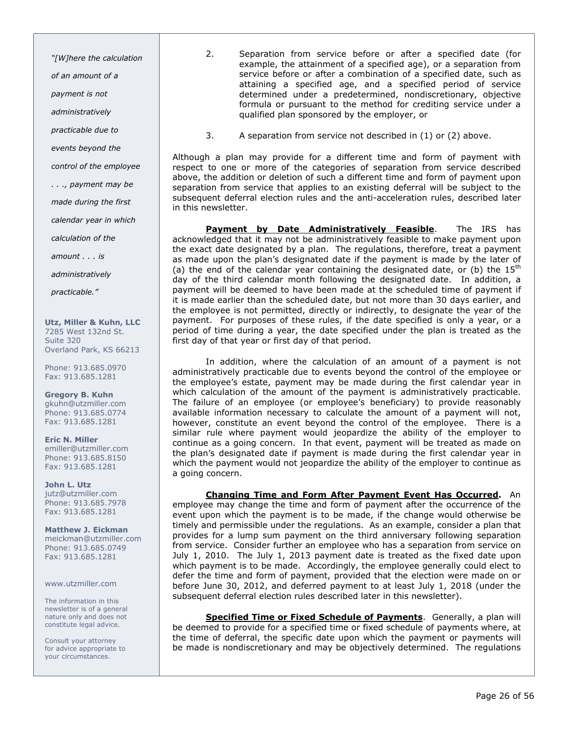"[W]here the calculation

of an amount of a

payment is not

administratively

practicable due to

events beyond the

control of the employee

. . ., payment may be

made during the first

calendar year in which

calculation of the

amount . . . is

administratively

practicable."

Utz, Miller & Kuhn, LLC 7285 West 132nd St. Suite 320 Overland Park, KS 66213

Phone: 913.685.0970 Fax: 913.685.1281

Gregory B. Kuhn gkuhn@utzmiller.com Phone: 913.685.0774 Fax: 913.685.1281

Eric N. Miller emiller@utzmiller.com Phone: 913.685.8150 Fax: 913.685.1281

John L. Utz jutz@utzmiller.com Phone: 913.685.7978 Fax: 913.685.1281

Matthew J. Eickman meickman@utzmiller.com Phone: 913.685.0749 Fax: 913.685.1281

www.utzmiller.com

The information in this newsletter is of a general nature only and does not constitute legal advice.

Consult your attorney for advice appropriate to your circumstances.

- 2. Separation from service before or after a specified date (for example, the attainment of a specified age), or a separation from service before or after a combination of a specified date, such as attaining a specified age, and a specified period of service determined under a predetermined, nondiscretionary, objective formula or pursuant to the method for crediting service under a qualified plan sponsored by the employer, or
- 3. A separation from service not described in (1) or (2) above.

Although a plan may provide for a different time and form of payment with respect to one or more of the categories of separation from service described above, the addition or deletion of such a different time and form of payment upon separation from service that applies to an existing deferral will be subject to the subsequent deferral election rules and the anti-acceleration rules, described later in this newsletter.

Payment by Date Administratively Feasible. The IRS has acknowledged that it may not be administratively feasible to make payment upon the exact date designated by a plan. The regulations, therefore, treat a payment as made upon the plan's designated date if the payment is made by the later of (a) the end of the calendar year containing the designated date, or (b) the  $15<sup>th</sup>$ day of the third calendar month following the designated date. In addition, a payment will be deemed to have been made at the scheduled time of payment if it is made earlier than the scheduled date, but not more than 30 days earlier, and the employee is not permitted, directly or indirectly, to designate the year of the payment. For purposes of these rules, if the date specified is only a year, or a period of time during a year, the date specified under the plan is treated as the first day of that year or first day of that period.

In addition, where the calculation of an amount of a payment is not administratively practicable due to events beyond the control of the employee or the employee's estate, payment may be made during the first calendar year in which calculation of the amount of the payment is administratively practicable. The failure of an employee (or employee's beneficiary) to provide reasonably available information necessary to calculate the amount of a payment will not, however, constitute an event beyond the control of the employee. There is a similar rule where payment would jeopardize the ability of the employer to continue as a going concern. In that event, payment will be treated as made on the plan's designated date if payment is made during the first calendar year in which the payment would not jeopardize the ability of the employer to continue as a going concern.

Changing Time and Form After Payment Event Has Occurred. An employee may change the time and form of payment after the occurrence of the event upon which the payment is to be made, if the change would otherwise be timely and permissible under the regulations. As an example, consider a plan that provides for a lump sum payment on the third anniversary following separation from service. Consider further an employee who has a separation from service on July 1, 2010. The July 1, 2013 payment date is treated as the fixed date upon which payment is to be made. Accordingly, the employee generally could elect to defer the time and form of payment, provided that the election were made on or before June 30, 2012, and deferred payment to at least July 1, 2018 (under the subsequent deferral election rules described later in this newsletter).

Specified Time or Fixed Schedule of Payments. Generally, a plan will be deemed to provide for a specified time or fixed schedule of payments where, at the time of deferral, the specific date upon which the payment or payments will be made is nondiscretionary and may be objectively determined. The regulations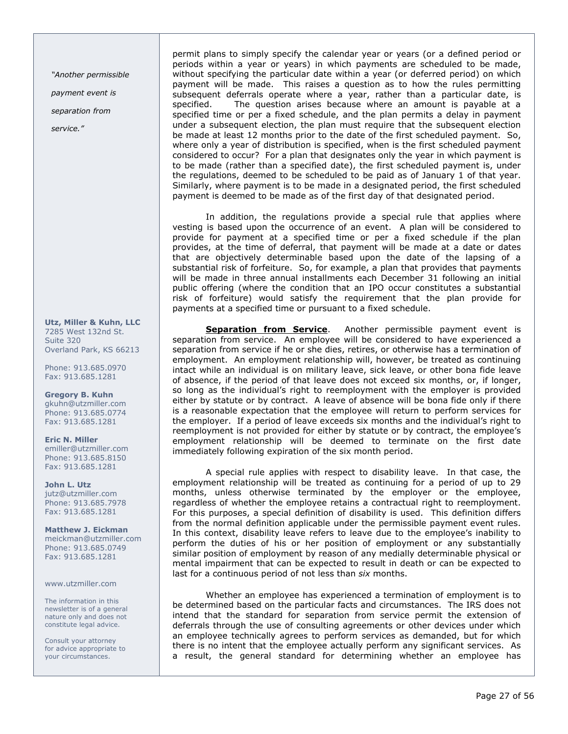"Another permissible

payment event is

separation from

service."

Utz, Miller & Kuhn, LLC 7285 West 132nd St. Suite 320 Overland Park, KS 66213

Phone: 913.685.0970 Fax: 913.685.1281

Gregory B. Kuhn gkuhn@utzmiller.com Phone: 913.685.0774 Fax: 913.685.1281

Eric N. Miller emiller@utzmiller.com Phone: 913.685.8150 Fax: 913.685.1281

John L. Utz jutz@utzmiller.com Phone: 913.685.7978 Fax: 913.685.1281

Matthew J. Eickman meickman@utzmiller.com Phone: 913.685.0749 Fax: 913.685.1281

### www.utzmiller.com

The information in this newsletter is of a general nature only and does not constitute legal advice.

Consult your attorney for advice appropriate to your circumstances.

permit plans to simply specify the calendar year or years (or a defined period or periods within a year or years) in which payments are scheduled to be made, without specifying the particular date within a year (or deferred period) on which payment will be made. This raises a question as to how the rules permitting subsequent deferrals operate where a year, rather than a particular date, is specified. The question arises because where an amount is payable at a specified time or per a fixed schedule, and the plan permits a delay in payment under a subsequent election, the plan must require that the subsequent election be made at least 12 months prior to the date of the first scheduled payment. So, where only a year of distribution is specified, when is the first scheduled payment considered to occur? For a plan that designates only the year in which payment is to be made (rather than a specified date), the first scheduled payment is, under the regulations, deemed to be scheduled to be paid as of January 1 of that year. Similarly, where payment is to be made in a designated period, the first scheduled payment is deemed to be made as of the first day of that designated period.

In addition, the regulations provide a special rule that applies where vesting is based upon the occurrence of an event. A plan will be considered to provide for payment at a specified time or per a fixed schedule if the plan provides, at the time of deferral, that payment will be made at a date or dates that are objectively determinable based upon the date of the lapsing of a substantial risk of forfeiture. So, for example, a plan that provides that payments will be made in three annual installments each December 31 following an initial public offering (where the condition that an IPO occur constitutes a substantial risk of forfeiture) would satisfy the requirement that the plan provide for payments at a specified time or pursuant to a fixed schedule.

Separation from Service. Another permissible payment event is separation from service. An employee will be considered to have experienced a separation from service if he or she dies, retires, or otherwise has a termination of employment. An employment relationship will, however, be treated as continuing intact while an individual is on military leave, sick leave, or other bona fide leave of absence, if the period of that leave does not exceed six months, or, if longer, so long as the individual's right to reemployment with the employer is provided either by statute or by contract. A leave of absence will be bona fide only if there is a reasonable expectation that the employee will return to perform services for the employer. If a period of leave exceeds six months and the individual's right to reemployment is not provided for either by statute or by contract, the employee's employment relationship will be deemed to terminate on the first date immediately following expiration of the six month period.

A special rule applies with respect to disability leave. In that case, the employment relationship will be treated as continuing for a period of up to 29 months, unless otherwise terminated by the employer or the employee, regardless of whether the employee retains a contractual right to reemployment. For this purposes, a special definition of disability is used. This definition differs from the normal definition applicable under the permissible payment event rules. In this context, disability leave refers to leave due to the employee's inability to perform the duties of his or her position of employment or any substantially similar position of employment by reason of any medially determinable physical or mental impairment that can be expected to result in death or can be expected to last for a continuous period of not less than six months.

Whether an employee has experienced a termination of employment is to be determined based on the particular facts and circumstances. The IRS does not intend that the standard for separation from service permit the extension of deferrals through the use of consulting agreements or other devices under which an employee technically agrees to perform services as demanded, but for which there is no intent that the employee actually perform any significant services. As a result, the general standard for determining whether an employee has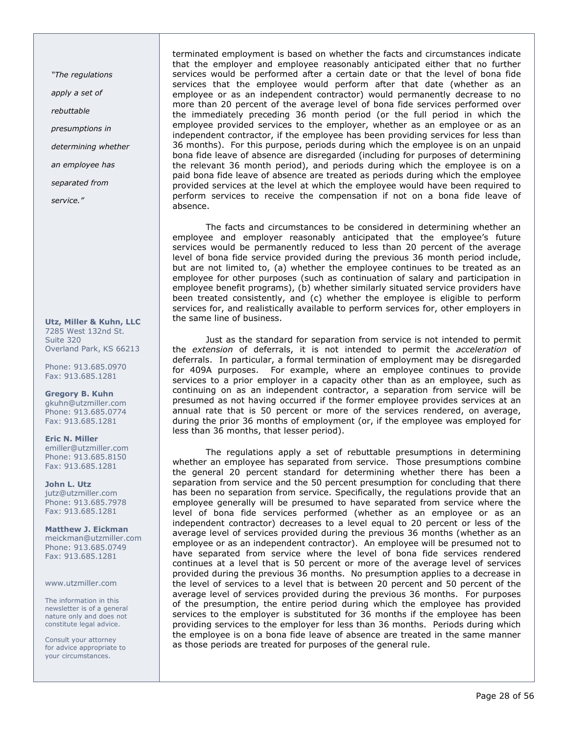"The regulations

apply a set of

rebuttable

presumptions in

determining whether

an employee has

separated from

service."

Utz, Miller & Kuhn, LLC 7285 West 132nd St. Suite 320 Overland Park, KS 66213

Phone: 913.685.0970 Fax: 913.685.1281

Gregory B. Kuhn gkuhn@utzmiller.com Phone: 913.685.0774 Fax: 913.685.1281

Eric N. Miller emiller@utzmiller.com Phone: 913.685.8150 Fax: 913.685.1281

John L. Utz jutz@utzmiller.com Phone: 913.685.7978 Fax: 913.685.1281

Matthew J. Eickman meickman@utzmiller.com Phone: 913.685.0749 Fax: 913.685.1281

www.utzmiller.com

The information in this newsletter is of a general nature only and does not constitute legal advice.

Consult your attorney for advice appropriate to your circumstances.

terminated employment is based on whether the facts and circumstances indicate that the employer and employee reasonably anticipated either that no further services would be performed after a certain date or that the level of bona fide services that the employee would perform after that date (whether as an employee or as an independent contractor) would permanently decrease to no more than 20 percent of the average level of bona fide services performed over the immediately preceding 36 month period (or the full period in which the employee provided services to the employer, whether as an employee or as an independent contractor, if the employee has been providing services for less than 36 months). For this purpose, periods during which the employee is on an unpaid bona fide leave of absence are disregarded (including for purposes of determining the relevant 36 month period), and periods during which the employee is on a paid bona fide leave of absence are treated as periods during which the employee provided services at the level at which the employee would have been required to perform services to receive the compensation if not on a bona fide leave of absence.

The facts and circumstances to be considered in determining whether an employee and employer reasonably anticipated that the employee's future services would be permanently reduced to less than 20 percent of the average level of bona fide service provided during the previous 36 month period include, but are not limited to, (a) whether the employee continues to be treated as an employee for other purposes (such as continuation of salary and participation in employee benefit programs), (b) whether similarly situated service providers have been treated consistently, and (c) whether the employee is eligible to perform services for, and realistically available to perform services for, other employers in the same line of business.

Just as the standard for separation from service is not intended to permit the extension of deferrals, it is not intended to permit the acceleration of deferrals. In particular, a formal termination of employment may be disregarded for 409A purposes. For example, where an employee continues to provide services to a prior employer in a capacity other than as an employee, such as continuing on as an independent contractor, a separation from service will be presumed as not having occurred if the former employee provides services at an annual rate that is 50 percent or more of the services rendered, on average, during the prior 36 months of employment (or, if the employee was employed for less than 36 months, that lesser period).

The regulations apply a set of rebuttable presumptions in determining whether an employee has separated from service. Those presumptions combine the general 20 percent standard for determining whether there has been a separation from service and the 50 percent presumption for concluding that there has been no separation from service. Specifically, the regulations provide that an employee generally will be presumed to have separated from service where the level of bona fide services performed (whether as an employee or as an independent contractor) decreases to a level equal to 20 percent or less of the average level of services provided during the previous 36 months (whether as an employee or as an independent contractor). An employee will be presumed not to have separated from service where the level of bona fide services rendered continues at a level that is 50 percent or more of the average level of services provided during the previous 36 months. No presumption applies to a decrease in the level of services to a level that is between 20 percent and 50 percent of the average level of services provided during the previous 36 months. For purposes of the presumption, the entire period during which the employee has provided services to the employer is substituted for 36 months if the employee has been providing services to the employer for less than 36 months. Periods during which the employee is on a bona fide leave of absence are treated in the same manner as those periods are treated for purposes of the general rule.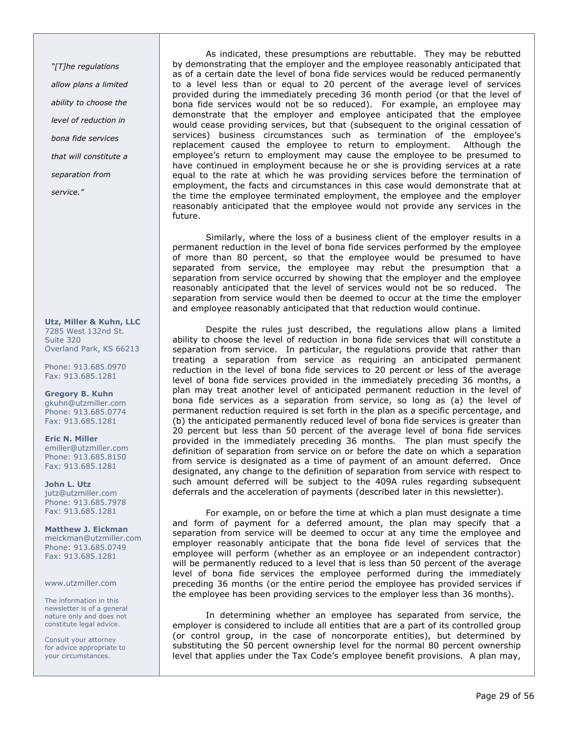"[T]he regulations allow plans a limited ability to choose the level of reduction in bona fide services that will constitute a separation from service."

Utz, Miller & Kuhn, LLC 7285 West 132nd St. Suite 320 Overland Park, KS 66213

Phone: 913.685.0970 Fax: 913.685.1281

Gregory B. Kuhn gkuhn@utzmiller.com Phone: 913.685.0774 Fax: 913.685.1281

Eric N. Miller emiller@utzmiller.com Phone: 913.685.8150 Fax: 913.685.1281

John L. Utz jutz@utzmiller.com Phone: 913.685.7978 Fax: 913.685.1281

Matthew J. Eickman meickman@utzmiller.com Phone: 913.685.0749 Fax: 913.685.1281

www.utzmiller.com

The information in this newsletter is of a general nature only and does not constitute legal advice.

Consult your attorney for advice appropriate to your circumstances.

As indicated, these presumptions are rebuttable. They may be rebutted by demonstrating that the employer and the employee reasonably anticipated that as of a certain date the level of bona fide services would be reduced permanently to a level less than or equal to 20 percent of the average level of services provided during the immediately preceding 36 month period (or that the level of bona fide services would not be so reduced). For example, an employee may demonstrate that the employer and employee anticipated that the employee would cease providing services, but that (subsequent to the original cessation of services) business circumstances such as termination of the employee's replacement caused the employee to return to employment. Although the employee's return to employment may cause the employee to be presumed to have continued in employment because he or she is providing services at a rate equal to the rate at which he was providing services before the termination of employment, the facts and circumstances in this case would demonstrate that at the time the employee terminated employment, the employee and the employer reasonably anticipated that the employee would not provide any services in the future.

Similarly, where the loss of a business client of the employer results in a permanent reduction in the level of bona fide services performed by the employee of more than 80 percent, so that the employee would be presumed to have separated from service, the employee may rebut the presumption that a separation from service occurred by showing that the employer and the employee reasonably anticipated that the level of services would not be so reduced. The separation from service would then be deemed to occur at the time the employer and employee reasonably anticipated that that reduction would continue.

Despite the rules just described, the regulations allow plans a limited ability to choose the level of reduction in bona fide services that will constitute a separation from service. In particular, the regulations provide that rather than treating a separation from service as requiring an anticipated permanent reduction in the level of bona fide services to 20 percent or less of the average level of bona fide services provided in the immediately preceding 36 months, a plan may treat another level of anticipated permanent reduction in the level of bona fide services as a separation from service, so long as (a) the level of permanent reduction required is set forth in the plan as a specific percentage, and (b) the anticipated permanently reduced level of bona fide services is greater than 20 percent but less than 50 percent of the average level of bona fide services provided in the immediately preceding 36 months. The plan must specify the definition of separation from service on or before the date on which a separation from service is designated as a time of payment of an amount deferred. Once designated, any change to the definition of separation from service with respect to such amount deferred will be subject to the 409A rules regarding subsequent deferrals and the acceleration of payments (described later in this newsletter).

For example, on or before the time at which a plan must designate a time and form of payment for a deferred amount, the plan may specify that a separation from service will be deemed to occur at any time the employee and employer reasonably anticipate that the bona fide level of services that the employee will perform (whether as an employee or an independent contractor) will be permanently reduced to a level that is less than 50 percent of the average level of bona fide services the employee performed during the immediately preceding 36 months (or the entire period the employee has provided services if the employee has been providing services to the employer less than 36 months).

In determining whether an employee has separated from service, the employer is considered to include all entities that are a part of its controlled group (or control group, in the case of noncorporate entities), but determined by substituting the 50 percent ownership level for the normal 80 percent ownership level that applies under the Tax Code's employee benefit provisions. A plan may,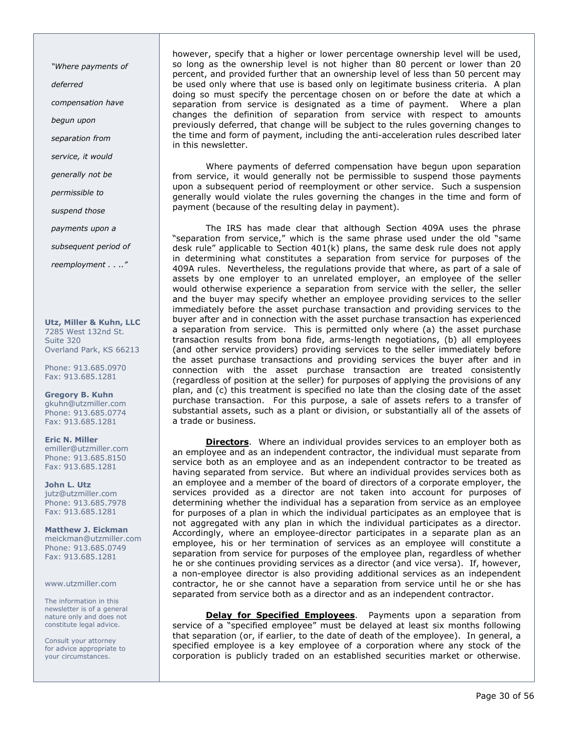"Where payments of

deferred

compensation have

begun upon

separation from

service, it would

generally not be

permissible to

suspend those

payments upon a

subsequent period of

reemployment . . .."

Utz, Miller & Kuhn, LLC 7285 West 132nd St. Suite 320 Overland Park, KS 66213

Phone: 913.685.0970 Fax: 913.685.1281

Gregory B. Kuhn gkuhn@utzmiller.com Phone: 913.685.0774 Fax: 913.685.1281

Eric N. Miller emiller@utzmiller.com Phone: 913.685.8150 Fax: 913.685.1281

John L. Utz jutz@utzmiller.com Phone: 913.685.7978 Fax: 913.685.1281

Matthew J. Eickman meickman@utzmiller.com Phone: 913.685.0749 Fax: 913.685.1281

www.utzmiller.com

The information in this newsletter is of a general nature only and does not constitute legal advice.

Consult your attorney for advice appropriate to your circumstances.

however, specify that a higher or lower percentage ownership level will be used, so long as the ownership level is not higher than 80 percent or lower than 20 percent, and provided further that an ownership level of less than 50 percent may be used only where that use is based only on legitimate business criteria. A plan doing so must specify the percentage chosen on or before the date at which a separation from service is designated as a time of payment. Where a plan changes the definition of separation from service with respect to amounts previously deferred, that change will be subject to the rules governing changes to the time and form of payment, including the anti-acceleration rules described later in this newsletter.

Where payments of deferred compensation have begun upon separation from service, it would generally not be permissible to suspend those payments upon a subsequent period of reemployment or other service. Such a suspension generally would violate the rules governing the changes in the time and form of payment (because of the resulting delay in payment).

The IRS has made clear that although Section 409A uses the phrase "separation from service," which is the same phrase used under the old "same desk rule" applicable to Section 401(k) plans, the same desk rule does not apply in determining what constitutes a separation from service for purposes of the 409A rules. Nevertheless, the regulations provide that where, as part of a sale of assets by one employer to an unrelated employer, an employee of the seller would otherwise experience a separation from service with the seller, the seller and the buyer may specify whether an employee providing services to the seller immediately before the asset purchase transaction and providing services to the buyer after and in connection with the asset purchase transaction has experienced a separation from service. This is permitted only where (a) the asset purchase transaction results from bona fide, arms-length negotiations, (b) all employees (and other service providers) providing services to the seller immediately before the asset purchase transactions and providing services the buyer after and in connection with the asset purchase transaction are treated consistently (regardless of position at the seller) for purposes of applying the provisions of any plan, and (c) this treatment is specified no late than the closing date of the asset purchase transaction. For this purpose, a sale of assets refers to a transfer of substantial assets, such as a plant or division, or substantially all of the assets of a trade or business.

**Directors.** Where an individual provides services to an employer both as an employee and as an independent contractor, the individual must separate from service both as an employee and as an independent contractor to be treated as having separated from service. But where an individual provides services both as an employee and a member of the board of directors of a corporate employer, the services provided as a director are not taken into account for purposes of determining whether the individual has a separation from service as an employee for purposes of a plan in which the individual participates as an employee that is not aggregated with any plan in which the individual participates as a director. Accordingly, where an employee-director participates in a separate plan as an employee, his or her termination of services as an employee will constitute a separation from service for purposes of the employee plan, regardless of whether he or she continues providing services as a director (and vice versa). If, however, a non-employee director is also providing additional services as an independent contractor, he or she cannot have a separation from service until he or she has separated from service both as a director and as an independent contractor.

Delay for Specified Employees. Payments upon a separation from service of a "specified employee" must be delayed at least six months following that separation (or, if earlier, to the date of death of the employee). In general, a specified employee is a key employee of a corporation where any stock of the corporation is publicly traded on an established securities market or otherwise.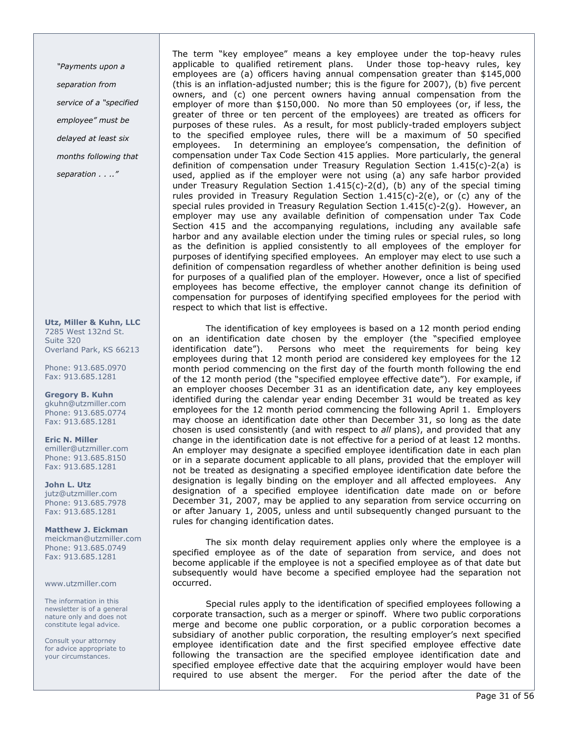"Payments upon a separation from service of a "specified employee" must be delayed at least six months following that separation . . .."

Utz, Miller & Kuhn, LLC 7285 West 132nd St. Suite 320 Overland Park, KS 66213

Phone: 913.685.0970 Fax: 913.685.1281

Gregory B. Kuhn gkuhn@utzmiller.com Phone: 913.685.0774 Fax: 913.685.1281

Eric N. Miller emiller@utzmiller.com Phone: 913.685.8150 Fax: 913.685.1281

John L. Utz jutz@utzmiller.com Phone: 913.685.7978 Fax: 913.685.1281

Matthew J. Eickman meickman@utzmiller.com Phone: 913.685.0749 Fax: 913.685.1281

www.utzmiller.com

The information in this newsletter is of a general nature only and does not constitute legal advice.

Consult your attorney for advice appropriate to your circumstances.

The term "key employee" means a key employee under the top-heavy rules applicable to qualified retirement plans. Under those top-heavy rules, key employees are (a) officers having annual compensation greater than \$145,000 (this is an inflation-adjusted number; this is the figure for 2007), (b) five percent owners, and (c) one percent owners having annual compensation from the employer of more than \$150,000. No more than 50 employees (or, if less, the greater of three or ten percent of the employees) are treated as officers for purposes of these rules. As a result, for most publicly-traded employers subject to the specified employee rules, there will be a maximum of 50 specified employees. In determining an employee's compensation, the definition of compensation under Tax Code Section 415 applies. More particularly, the general definition of compensation under Treasury Regulation Section 1.415(c)-2(a) is used, applied as if the employer were not using (a) any safe harbor provided under Treasury Regulation Section  $1.415(c)-2(d)$ , (b) any of the special timing rules provided in Treasury Regulation Section  $1.415(c)$ -2(e), or (c) any of the special rules provided in Treasury Regulation Section 1.415(c)-2(g). However, an employer may use any available definition of compensation under Tax Code Section 415 and the accompanying regulations, including any available safe harbor and any available election under the timing rules or special rules, so long as the definition is applied consistently to all employees of the employer for purposes of identifying specified employees. An employer may elect to use such a definition of compensation regardless of whether another definition is being used for purposes of a qualified plan of the employer. However, once a list of specified employees has become effective, the employer cannot change its definition of compensation for purposes of identifying specified employees for the period with respect to which that list is effective.

The identification of key employees is based on a 12 month period ending on an identification date chosen by the employer (the "specified employee identification date"). Persons who meet the requirements for being key employees during that 12 month period are considered key employees for the 12 month period commencing on the first day of the fourth month following the end of the 12 month period (the "specified employee effective date"). For example, if an employer chooses December 31 as an identification date, any key employees identified during the calendar year ending December 31 would be treated as key employees for the 12 month period commencing the following April 1. Employers may choose an identification date other than December 31, so long as the date chosen is used consistently (and with respect to all plans), and provided that any change in the identification date is not effective for a period of at least 12 months. An employer may designate a specified employee identification date in each plan or in a separate document applicable to all plans, provided that the employer will not be treated as designating a specified employee identification date before the designation is legally binding on the employer and all affected employees. Any designation of a specified employee identification date made on or before December 31, 2007, may be applied to any separation from service occurring on or after January 1, 2005, unless and until subsequently changed pursuant to the rules for changing identification dates.

The six month delay requirement applies only where the employee is a specified employee as of the date of separation from service, and does not become applicable if the employee is not a specified employee as of that date but subsequently would have become a specified employee had the separation not occurred.

Special rules apply to the identification of specified employees following a corporate transaction, such as a merger or spinoff. Where two public corporations merge and become one public corporation, or a public corporation becomes a subsidiary of another public corporation, the resulting employer's next specified employee identification date and the first specified employee effective date following the transaction are the specified employee identification date and specified employee effective date that the acquiring employer would have been required to use absent the merger. For the period after the date of the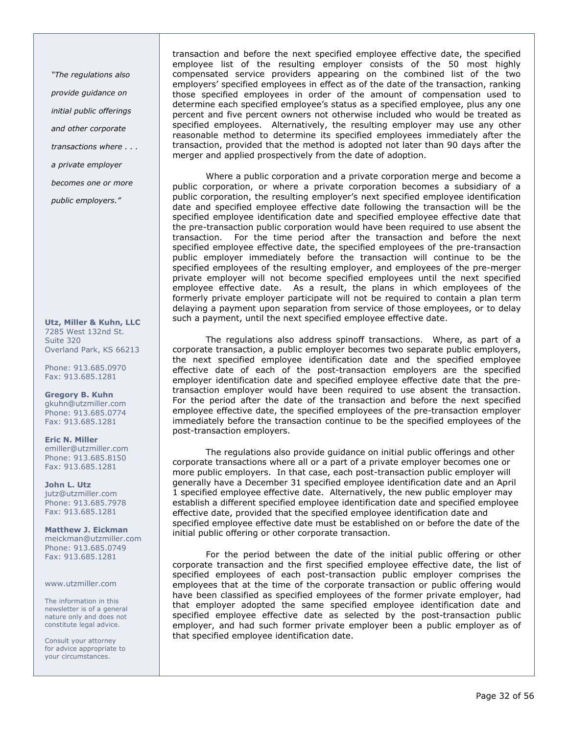"The regulations also

provide guidance on

initial public offerings

and other corporate

transactions where . . .

a private employer

becomes one or more

public employers."

Utz, Miller & Kuhn, LLC 7285 West 132nd St. Suite 320 Overland Park, KS 66213

Phone: 913.685.0970 Fax: 913.685.1281

Gregory B. Kuhn gkuhn@utzmiller.com Phone: 913.685.0774 Fax: 913.685.1281

Eric N. Miller emiller@utzmiller.com Phone: 913.685.8150 Fax: 913.685.1281

John L. Utz jutz@utzmiller.com Phone: 913.685.7978 Fax: 913.685.1281

Matthew J. Eickman meickman@utzmiller.com Phone: 913.685.0749 Fax: 913.685.1281

www.utzmiller.com

The information in this newsletter is of a general nature only and does not constitute legal advice.

Consult your attorney for advice appropriate to your circumstances.

transaction and before the next specified employee effective date, the specified employee list of the resulting employer consists of the 50 most highly compensated service providers appearing on the combined list of the two employers' specified employees in effect as of the date of the transaction, ranking those specified employees in order of the amount of compensation used to determine each specified employee's status as a specified employee, plus any one percent and five percent owners not otherwise included who would be treated as specified employees. Alternatively, the resulting employer may use any other reasonable method to determine its specified employees immediately after the transaction, provided that the method is adopted not later than 90 days after the merger and applied prospectively from the date of adoption.

Where a public corporation and a private corporation merge and become a public corporation, or where a private corporation becomes a subsidiary of a public corporation, the resulting employer's next specified employee identification date and specified employee effective date following the transaction will be the specified employee identification date and specified employee effective date that the pre-transaction public corporation would have been required to use absent the transaction. For the time period after the transaction and before the next specified employee effective date, the specified employees of the pre-transaction public employer immediately before the transaction will continue to be the specified employees of the resulting employer, and employees of the pre-merger private employer will not become specified employees until the next specified employee effective date. As a result, the plans in which employees of the formerly private employer participate will not be required to contain a plan term delaying a payment upon separation from service of those employees, or to delay such a payment, until the next specified employee effective date.

The regulations also address spinoff transactions. Where, as part of a corporate transaction, a public employer becomes two separate public employers, the next specified employee identification date and the specified employee effective date of each of the post-transaction employers are the specified employer identification date and specified employee effective date that the pretransaction employer would have been required to use absent the transaction. For the period after the date of the transaction and before the next specified employee effective date, the specified employees of the pre-transaction employer immediately before the transaction continue to be the specified employees of the post-transaction employers.

The regulations also provide guidance on initial public offerings and other corporate transactions where all or a part of a private employer becomes one or more public employers. In that case, each post-transaction public employer will generally have a December 31 specified employee identification date and an April 1 specified employee effective date. Alternatively, the new public employer may establish a different specified employee identification date and specified employee effective date, provided that the specified employee identification date and specified employee effective date must be established on or before the date of the initial public offering or other corporate transaction.

For the period between the date of the initial public offering or other corporate transaction and the first specified employee effective date, the list of specified employees of each post-transaction public employer comprises the employees that at the time of the corporate transaction or public offering would have been classified as specified employees of the former private employer, had that employer adopted the same specified employee identification date and specified employee effective date as selected by the post-transaction public employer, and had such former private employer been a public employer as of that specified employee identification date.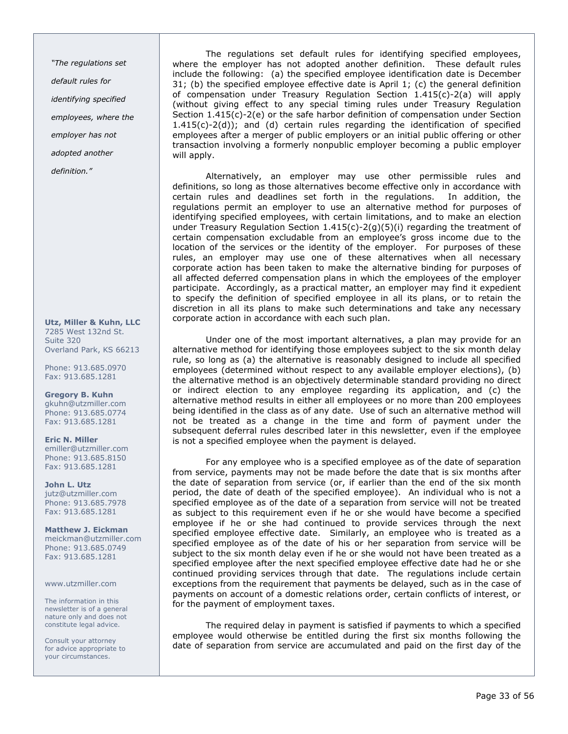"The regulations set default rules for identifying specified employees, where the employer has not adopted another definition."

Utz, Miller & Kuhn, LLC 7285 West 132nd St. Suite 320 Overland Park, KS 66213

Phone: 913.685.0970 Fax: 913.685.1281

Gregory B. Kuhn gkuhn@utzmiller.com Phone: 913.685.0774 Fax: 913.685.1281

Eric N. Miller emiller@utzmiller.com Phone: 913.685.8150 Fax: 913.685.1281

John L. Utz jutz@utzmiller.com Phone: 913.685.7978 Fax: 913.685.1281

Matthew J. Eickman meickman@utzmiller.com Phone: 913.685.0749 Fax: 913.685.1281

www.utzmiller.com

The information in this newsletter is of a general nature only and does not constitute legal advice.

Consult your attorney for advice appropriate to your circumstances.

The regulations set default rules for identifying specified employees, where the employer has not adopted another definition. These default rules include the following: (a) the specified employee identification date is December 31; (b) the specified employee effective date is April 1; (c) the general definition of compensation under Treasury Regulation Section 1.415(c)-2(a) will apply (without giving effect to any special timing rules under Treasury Regulation Section 1.415(c)-2(e) or the safe harbor definition of compensation under Section  $1.415(c) - 2(d)$ ; and (d) certain rules regarding the identification of specified employees after a merger of public employers or an initial public offering or other transaction involving a formerly nonpublic employer becoming a public employer will apply.

Alternatively, an employer may use other permissible rules and definitions, so long as those alternatives become effective only in accordance with certain rules and deadlines set forth in the regulations. In addition, the regulations permit an employer to use an alternative method for purposes of identifying specified employees, with certain limitations, and to make an election under Treasury Regulation Section  $1.415(c) - 2(q)(5)(i)$  regarding the treatment of certain compensation excludable from an employee's gross income due to the location of the services or the identity of the employer. For purposes of these rules, an employer may use one of these alternatives when all necessary corporate action has been taken to make the alternative binding for purposes of all affected deferred compensation plans in which the employees of the employer participate. Accordingly, as a practical matter, an employer may find it expedient to specify the definition of specified employee in all its plans, or to retain the discretion in all its plans to make such determinations and take any necessary corporate action in accordance with each such plan.

Under one of the most important alternatives, a plan may provide for an alternative method for identifying those employees subject to the six month delay rule, so long as (a) the alternative is reasonably designed to include all specified employees (determined without respect to any available employer elections), (b) the alternative method is an objectively determinable standard providing no direct or indirect election to any employee regarding its application, and (c) the alternative method results in either all employees or no more than 200 employees being identified in the class as of any date. Use of such an alternative method will not be treated as a change in the time and form of payment under the subsequent deferral rules described later in this newsletter, even if the employee is not a specified employee when the payment is delayed.

For any employee who is a specified employee as of the date of separation from service, payments may not be made before the date that is six months after the date of separation from service (or, if earlier than the end of the six month period, the date of death of the specified employee). An individual who is not a specified employee as of the date of a separation from service will not be treated as subject to this requirement even if he or she would have become a specified employee if he or she had continued to provide services through the next specified employee effective date. Similarly, an employee who is treated as a specified employee as of the date of his or her separation from service will be subject to the six month delay even if he or she would not have been treated as a specified employee after the next specified employee effective date had he or she continued providing services through that date. The regulations include certain exceptions from the requirement that payments be delayed, such as in the case of payments on account of a domestic relations order, certain conflicts of interest, or for the payment of employment taxes.

The required delay in payment is satisfied if payments to which a specified employee would otherwise be entitled during the first six months following the date of separation from service are accumulated and paid on the first day of the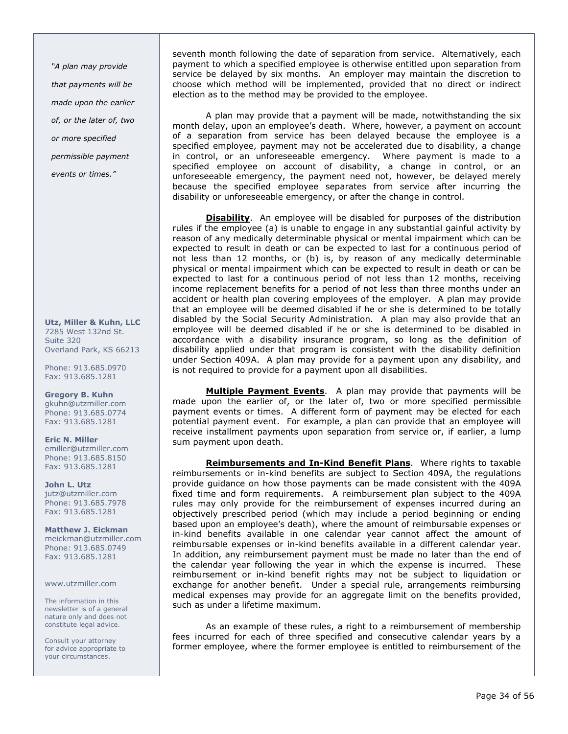"A plan may provide that payments will be made upon the earlier of, or the later of, two or more specified permissible payment events or times."

Utz, Miller & Kuhn, LLC 7285 West 132nd St. Suite 320 Overland Park, KS 66213

Phone: 913.685.0970 Fax: 913.685.1281

Gregory B. Kuhn gkuhn@utzmiller.com Phone: 913.685.0774 Fax: 913.685.1281

Eric N. Miller emiller@utzmiller.com Phone: 913.685.8150 Fax: 913.685.1281

John L. Utz jutz@utzmiller.com Phone: 913.685.7978 Fax: 913.685.1281

Matthew J. Eickman meickman@utzmiller.com Phone: 913.685.0749 Fax: 913.685.1281

www.utzmiller.com

The information in this newsletter is of a general nature only and does not constitute legal advice.

Consult your attorney for advice appropriate to your circumstances.

seventh month following the date of separation from service. Alternatively, each payment to which a specified employee is otherwise entitled upon separation from service be delayed by six months. An employer may maintain the discretion to choose which method will be implemented, provided that no direct or indirect election as to the method may be provided to the employee.

A plan may provide that a payment will be made, notwithstanding the six month delay, upon an employee's death. Where, however, a payment on account of a separation from service has been delayed because the employee is a specified employee, payment may not be accelerated due to disability, a change in control, or an unforeseeable emergency. Where payment is made to a specified employee on account of disability, a change in control, or an unforeseeable emergency, the payment need not, however, be delayed merely because the specified employee separates from service after incurring the disability or unforeseeable emergency, or after the change in control.

**Disability.** An employee will be disabled for purposes of the distribution rules if the employee (a) is unable to engage in any substantial gainful activity by reason of any medically determinable physical or mental impairment which can be expected to result in death or can be expected to last for a continuous period of not less than 12 months, or (b) is, by reason of any medically determinable physical or mental impairment which can be expected to result in death or can be expected to last for a continuous period of not less than 12 months, receiving income replacement benefits for a period of not less than three months under an accident or health plan covering employees of the employer. A plan may provide that an employee will be deemed disabled if he or she is determined to be totally disabled by the Social Security Administration. A plan may also provide that an employee will be deemed disabled if he or she is determined to be disabled in accordance with a disability insurance program, so long as the definition of disability applied under that program is consistent with the disability definition under Section 409A. A plan may provide for a payment upon any disability, and is not required to provide for a payment upon all disabilities.

Multiple Payment Events. A plan may provide that payments will be made upon the earlier of, or the later of, two or more specified permissible payment events or times. A different form of payment may be elected for each potential payment event. For example, a plan can provide that an employee will receive installment payments upon separation from service or, if earlier, a lump sum payment upon death.

Reimbursements and In-Kind Benefit Plans. Where rights to taxable reimbursements or in-kind benefits are subject to Section 409A, the regulations provide guidance on how those payments can be made consistent with the 409A fixed time and form requirements. A reimbursement plan subject to the 409A rules may only provide for the reimbursement of expenses incurred during an objectively prescribed period (which may include a period beginning or ending based upon an employee's death), where the amount of reimbursable expenses or in-kind benefits available in one calendar year cannot affect the amount of reimbursable expenses or in-kind benefits available in a different calendar year. In addition, any reimbursement payment must be made no later than the end of the calendar year following the year in which the expense is incurred. These reimbursement or in-kind benefit rights may not be subject to liquidation or exchange for another benefit. Under a special rule, arrangements reimbursing medical expenses may provide for an aggregate limit on the benefits provided, such as under a lifetime maximum.

As an example of these rules, a right to a reimbursement of membership fees incurred for each of three specified and consecutive calendar years by a former employee, where the former employee is entitled to reimbursement of the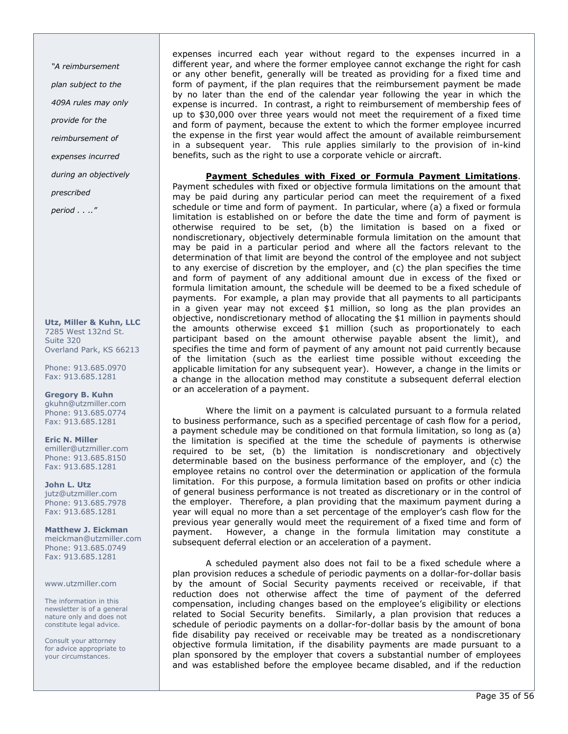"A reimbursement plan subject to the 409A rules may only provide for the reimbursement of expenses incurred during an objectively prescribed

period . . .."

Utz, Miller & Kuhn, LLC 7285 West 132nd St. Suite 320 Overland Park, KS 66213

Phone: 913.685.0970 Fax: 913.685.1281

Gregory B. Kuhn gkuhn@utzmiller.com Phone: 913.685.0774 Fax: 913.685.1281

Eric N. Miller emiller@utzmiller.com Phone: 913.685.8150 Fax: 913.685.1281

John L. Utz jutz@utzmiller.com Phone: 913.685.7978 Fax: 913.685.1281

Matthew J. Eickman meickman@utzmiller.com Phone: 913.685.0749 Fax: 913.685.1281

#### www.utzmiller.com

The information in this newsletter is of a general nature only and does not constitute legal advice.

Consult your attorney for advice appropriate to your circumstances.

expenses incurred each year without regard to the expenses incurred in a different year, and where the former employee cannot exchange the right for cash or any other benefit, generally will be treated as providing for a fixed time and form of payment, if the plan requires that the reimbursement payment be made by no later than the end of the calendar year following the year in which the expense is incurred. In contrast, a right to reimbursement of membership fees of up to \$30,000 over three years would not meet the requirement of a fixed time and form of payment, because the extent to which the former employee incurred the expense in the first year would affect the amount of available reimbursement in a subsequent year. This rule applies similarly to the provision of in-kind benefits, such as the right to use a corporate vehicle or aircraft.

Payment Schedules with Fixed or Formula Payment Limitations. Payment schedules with fixed or objective formula limitations on the amount that may be paid during any particular period can meet the requirement of a fixed schedule or time and form of payment. In particular, where (a) a fixed or formula

limitation is established on or before the date the time and form of payment is otherwise required to be set, (b) the limitation is based on a fixed or nondiscretionary, objectively determinable formula limitation on the amount that may be paid in a particular period and where all the factors relevant to the determination of that limit are beyond the control of the employee and not subject to any exercise of discretion by the employer, and (c) the plan specifies the time and form of payment of any additional amount due in excess of the fixed or formula limitation amount, the schedule will be deemed to be a fixed schedule of payments. For example, a plan may provide that all payments to all participants in a given year may not exceed \$1 million, so long as the plan provides an objective, nondiscretionary method of allocating the \$1 million in payments should the amounts otherwise exceed \$1 million (such as proportionately to each participant based on the amount otherwise payable absent the limit), and specifies the time and form of payment of any amount not paid currently because of the limitation (such as the earliest time possible without exceeding the applicable limitation for any subsequent year). However, a change in the limits or a change in the allocation method may constitute a subsequent deferral election or an acceleration of a payment.

Where the limit on a payment is calculated pursuant to a formula related to business performance, such as a specified percentage of cash flow for a period, a payment schedule may be conditioned on that formula limitation, so long as (a) the limitation is specified at the time the schedule of payments is otherwise required to be set, (b) the limitation is nondiscretionary and objectively determinable based on the business performance of the employer, and (c) the employee retains no control over the determination or application of the formula limitation. For this purpose, a formula limitation based on profits or other indicia of general business performance is not treated as discretionary or in the control of the employer. Therefore, a plan providing that the maximum payment during a year will equal no more than a set percentage of the employer's cash flow for the previous year generally would meet the requirement of a fixed time and form of payment. However, a change in the formula limitation may constitute a subsequent deferral election or an acceleration of a payment.

A scheduled payment also does not fail to be a fixed schedule where a plan provision reduces a schedule of periodic payments on a dollar-for-dollar basis by the amount of Social Security payments received or receivable, if that reduction does not otherwise affect the time of payment of the deferred compensation, including changes based on the employee's eligibility or elections related to Social Security benefits. Similarly, a plan provision that reduces a schedule of periodic payments on a dollar-for-dollar basis by the amount of bona fide disability pay received or receivable may be treated as a nondiscretionary objective formula limitation, if the disability payments are made pursuant to a plan sponsored by the employer that covers a substantial number of employees and was established before the employee became disabled, and if the reduction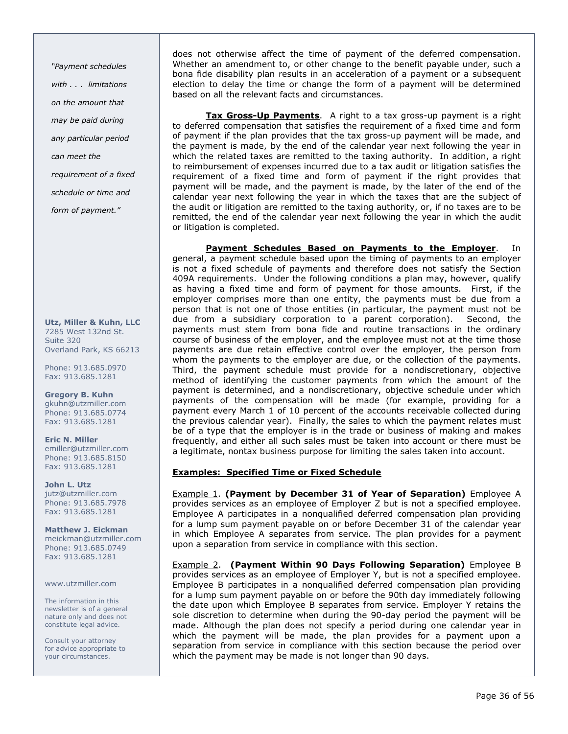"Payment schedules with . . . limitations on the amount that may be paid during any particular period can meet the requirement of a fixed schedule or time and form of payment."

Utz, Miller & Kuhn, LLC 7285 West 132nd St. Suite 320 Overland Park, KS 66213

Phone: 913.685.0970 Fax: 913.685.1281

Gregory B. Kuhn gkuhn@utzmiller.com Phone: 913.685.0774 Fax: 913.685.1281

Eric N. Miller emiller@utzmiller.com Phone: 913.685.8150 Fax: 913.685.1281

John L. Utz jutz@utzmiller.com Phone: 913.685.7978 Fax: 913.685.1281

Matthew J. Eickman meickman@utzmiller.com Phone: 913.685.0749 Fax: 913.685.1281

www.utzmiller.com

The information in this newsletter is of a general nature only and does not constitute legal advice.

Consult your attorney for advice appropriate to your circumstances.

does not otherwise affect the time of payment of the deferred compensation. Whether an amendment to, or other change to the benefit payable under, such a bona fide disability plan results in an acceleration of a payment or a subsequent election to delay the time or change the form of a payment will be determined based on all the relevant facts and circumstances.

Tax Gross-Up Payments. A right to a tax gross-up payment is a right to deferred compensation that satisfies the requirement of a fixed time and form of payment if the plan provides that the tax gross-up payment will be made, and the payment is made, by the end of the calendar year next following the year in which the related taxes are remitted to the taxing authority. In addition, a right to reimbursement of expenses incurred due to a tax audit or litigation satisfies the requirement of a fixed time and form of payment if the right provides that payment will be made, and the payment is made, by the later of the end of the calendar year next following the year in which the taxes that are the subject of the audit or litigation are remitted to the taxing authority, or, if no taxes are to be remitted, the end of the calendar year next following the year in which the audit or litigation is completed.

Payment Schedules Based on Payments to the Employer. In general, a payment schedule based upon the timing of payments to an employer is not a fixed schedule of payments and therefore does not satisfy the Section 409A requirements. Under the following conditions a plan may, however, qualify as having a fixed time and form of payment for those amounts. First, if the employer comprises more than one entity, the payments must be due from a person that is not one of those entities (in particular, the payment must not be due from a subsidiary corporation to a parent corporation). Second, the payments must stem from bona fide and routine transactions in the ordinary course of business of the employer, and the employee must not at the time those payments are due retain effective control over the employer, the person from whom the payments to the employer are due, or the collection of the payments. Third, the payment schedule must provide for a nondiscretionary, objective method of identifying the customer payments from which the amount of the payment is determined, and a nondiscretionary, objective schedule under which payments of the compensation will be made (for example, providing for a payment every March 1 of 10 percent of the accounts receivable collected during the previous calendar year). Finally, the sales to which the payment relates must be of a type that the employer is in the trade or business of making and makes frequently, and either all such sales must be taken into account or there must be a legitimate, nontax business purpose for limiting the sales taken into account.

## Examples: Specified Time or Fixed Schedule

**Example 1. (Payment by December 31 of Year of Separation)** Employee A provides services as an employee of Employer Z but is not a specified employee. Employee A participates in a nonqualified deferred compensation plan providing for a lump sum payment payable on or before December 31 of the calendar year in which Employee A separates from service. The plan provides for a payment upon a separation from service in compliance with this section.

Example 2. (Payment Within 90 Days Following Separation) Employee B provides services as an employee of Employer Y, but is not a specified employee. Employee B participates in a nonqualified deferred compensation plan providing for a lump sum payment payable on or before the 90th day immediately following the date upon which Employee B separates from service. Employer Y retains the sole discretion to determine when during the 90-day period the payment will be made. Although the plan does not specify a period during one calendar year in which the payment will be made, the plan provides for a payment upon a separation from service in compliance with this section because the period over which the payment may be made is not longer than 90 days.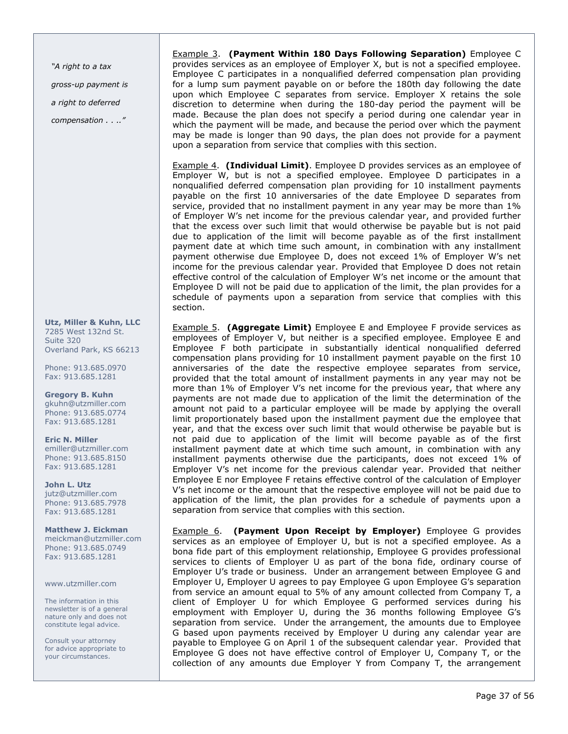"A right to a tax gross-up payment is a right to deferred compensation . . .."

Utz, Miller & Kuhn, LLC 7285 West 132nd St. Suite 320 Overland Park, KS 66213

Phone: 913.685.0970 Fax: 913.685.1281

Gregory B. Kuhn gkuhn@utzmiller.com Phone: 913.685.0774 Fax: 913.685.1281

Eric N. Miller emiller@utzmiller.com Phone: 913.685.8150 Fax: 913.685.1281

John L. Utz jutz@utzmiller.com Phone: 913.685.7978 Fax: 913.685.1281

Matthew J. Eickman meickman@utzmiller.com Phone: 913.685.0749 Fax: 913.685.1281

www.utzmiller.com

The information in this newsletter is of a general nature only and does not constitute legal advice.

Consult your attorney for advice appropriate to your circumstances.

Example 3. (Payment Within 180 Days Following Separation) Employee C provides services as an employee of Employer X, but is not a specified employee. Employee C participates in a nonqualified deferred compensation plan providing for a lump sum payment payable on or before the 180th day following the date upon which Employee C separates from service. Employer X retains the sole discretion to determine when during the 180-day period the payment will be made. Because the plan does not specify a period during one calendar year in which the payment will be made, and because the period over which the payment may be made is longer than 90 days, the plan does not provide for a payment upon a separation from service that complies with this section.

Example 4. (Individual Limit). Employee D provides services as an employee of Employer W, but is not a specified employee. Employee D participates in a nonqualified deferred compensation plan providing for 10 installment payments payable on the first 10 anniversaries of the date Employee D separates from service, provided that no installment payment in any year may be more than 1% of Employer W's net income for the previous calendar year, and provided further that the excess over such limit that would otherwise be payable but is not paid due to application of the limit will become payable as of the first installment payment date at which time such amount, in combination with any installment payment otherwise due Employee D, does not exceed 1% of Employer W's net income for the previous calendar year. Provided that Employee D does not retain effective control of the calculation of Employer W's net income or the amount that Employee D will not be paid due to application of the limit, the plan provides for a schedule of payments upon a separation from service that complies with this section.

Example 5. (**Aggregate Limit**) Employee E and Employee F provide services as employees of Employer V, but neither is a specified employee. Employee E and Employee F both participate in substantially identical nonqualified deferred compensation plans providing for 10 installment payment payable on the first 10 anniversaries of the date the respective employee separates from service, provided that the total amount of installment payments in any year may not be more than 1% of Employer V's net income for the previous year, that where any payments are not made due to application of the limit the determination of the amount not paid to a particular employee will be made by applying the overall limit proportionately based upon the installment payment due the employee that year, and that the excess over such limit that would otherwise be payable but is not paid due to application of the limit will become payable as of the first installment payment date at which time such amount, in combination with any installment payments otherwise due the participants, does not exceed 1% of Employer V's net income for the previous calendar year. Provided that neither Employee E nor Employee F retains effective control of the calculation of Employer V's net income or the amount that the respective employee will not be paid due to application of the limit, the plan provides for a schedule of payments upon a separation from service that complies with this section.

**Example 6.** (Payment Upon Receipt by Employer) Employee G provides services as an employee of Employer U, but is not a specified employee. As a bona fide part of this employment relationship, Employee G provides professional services to clients of Employer U as part of the bona fide, ordinary course of Employer U's trade or business. Under an arrangement between Employee G and Employer U, Employer U agrees to pay Employee G upon Employee G's separation from service an amount equal to 5% of any amount collected from Company T, a client of Employer U for which Employee G performed services during his employment with Employer U, during the 36 months following Employee G's separation from service. Under the arrangement, the amounts due to Employee G based upon payments received by Employer U during any calendar year are payable to Employee G on April 1 of the subsequent calendar year. Provided that Employee G does not have effective control of Employer U, Company T, or the collection of any amounts due Employer Y from Company T, the arrangement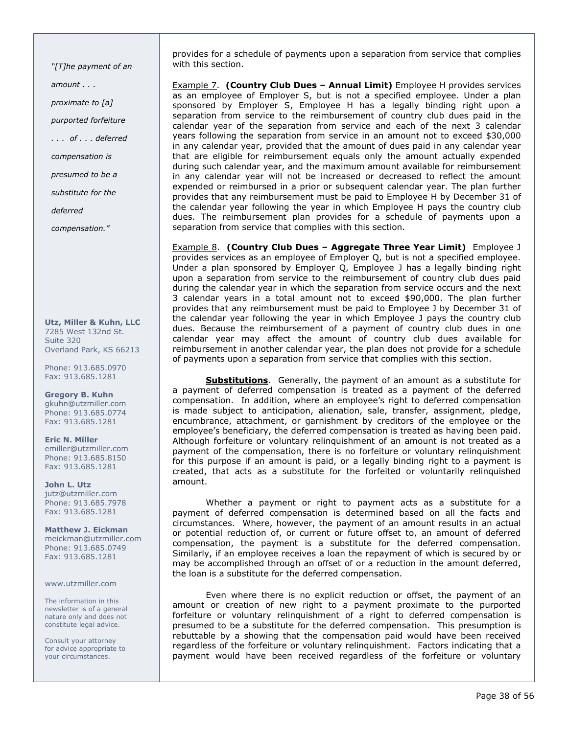"[T]he payment of an amount . . . proximate to [a] purported forfeiture . . . of . . . deferred compensation is presumed to be a substitute for the deferred compensation."

Utz, Miller & Kuhn, LLC 7285 West 132nd St. Suite 320 Overland Park, KS 66213

Phone: 913.685.0970 Fax: 913.685.1281

Gregory B. Kuhn gkuhn@utzmiller.com Phone: 913.685.0774 Fax: 913.685.1281

Eric N. Miller emiller@utzmiller.com Phone: 913.685.8150 Fax: 913.685.1281

John L. Utz jutz@utzmiller.com Phone: 913.685.7978 Fax: 913.685.1281

Matthew J. Eickman meickman@utzmiller.com Phone: 913.685.0749 Fax: 913.685.1281

### www.utzmiller.com

The information in this newsletter is of a general nature only and does not constitute legal advice.

Consult your attorney for advice appropriate to your circumstances.

provides for a schedule of payments upon a separation from service that complies with this section.

Example 7. (Country Club Dues – Annual Limit) Employee H provides services as an employee of Employer S, but is not a specified employee. Under a plan sponsored by Employer S, Employee H has a legally binding right upon a separation from service to the reimbursement of country club dues paid in the calendar year of the separation from service and each of the next 3 calendar years following the separation from service in an amount not to exceed \$30,000 in any calendar year, provided that the amount of dues paid in any calendar year that are eligible for reimbursement equals only the amount actually expended during such calendar year, and the maximum amount available for reimbursement in any calendar year will not be increased or decreased to reflect the amount expended or reimbursed in a prior or subsequent calendar year. The plan further provides that any reimbursement must be paid to Employee H by December 31 of the calendar year following the year in which Employee H pays the country club dues. The reimbursement plan provides for a schedule of payments upon a separation from service that complies with this section.

Example 8. (Country Club Dues – Aggregate Three Year Limit) Employee J provides services as an employee of Employer Q, but is not a specified employee. Under a plan sponsored by Employer Q, Employee J has a legally binding right upon a separation from service to the reimbursement of country club dues paid during the calendar year in which the separation from service occurs and the next 3 calendar years in a total amount not to exceed \$90,000. The plan further provides that any reimbursement must be paid to Employee J by December 31 of the calendar year following the year in which Employee J pays the country club dues. Because the reimbursement of a payment of country club dues in one calendar year may affect the amount of country club dues available for reimbursement in another calendar year, the plan does not provide for a schedule of payments upon a separation from service that complies with this section.

**Substitutions**. Generally, the payment of an amount as a substitute for a payment of deferred compensation is treated as a payment of the deferred compensation. In addition, where an employee's right to deferred compensation is made subject to anticipation, alienation, sale, transfer, assignment, pledge, encumbrance, attachment, or garnishment by creditors of the employee or the employee's beneficiary, the deferred compensation is treated as having been paid. Although forfeiture or voluntary relinquishment of an amount is not treated as a payment of the compensation, there is no forfeiture or voluntary relinquishment for this purpose if an amount is paid, or a legally binding right to a payment is created, that acts as a substitute for the forfeited or voluntarily relinquished amount.

Whether a payment or right to payment acts as a substitute for a payment of deferred compensation is determined based on all the facts and circumstances. Where, however, the payment of an amount results in an actual or potential reduction of, or current or future offset to, an amount of deferred compensation, the payment is a substitute for the deferred compensation. Similarly, if an employee receives a loan the repayment of which is secured by or may be accomplished through an offset of or a reduction in the amount deferred, the loan is a substitute for the deferred compensation.

Even where there is no explicit reduction or offset, the payment of an amount or creation of new right to a payment proximate to the purported forfeiture or voluntary relinquishment of a right to deferred compensation is presumed to be a substitute for the deferred compensation. This presumption is rebuttable by a showing that the compensation paid would have been received regardless of the forfeiture or voluntary relinquishment. Factors indicating that a payment would have been received regardless of the forfeiture or voluntary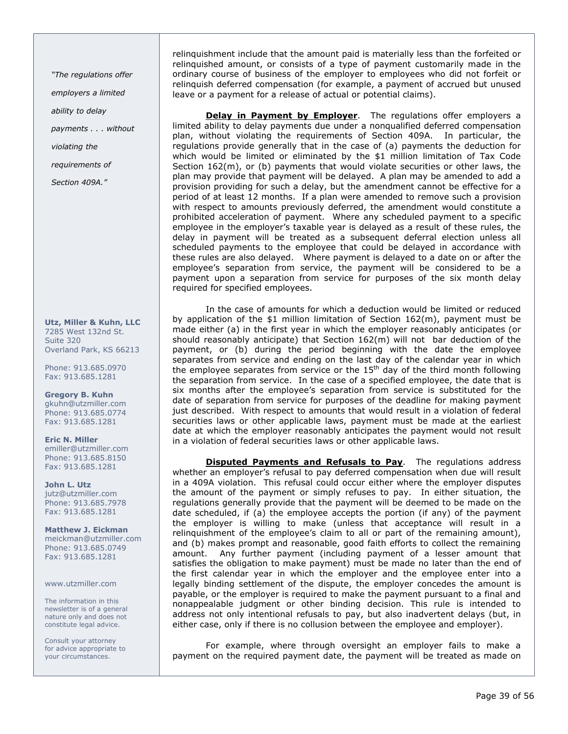"The regulations offer

employers a limited

ability to delay

payments . . . without

violating the

requirements of

Section 409A."

Utz, Miller & Kuhn, LLC 7285 West 132nd St. Suite 320 Overland Park, KS 66213

Phone: 913.685.0970 Fax: 913.685.1281

Gregory B. Kuhn gkuhn@utzmiller.com Phone: 913.685.0774 Fax: 913.685.1281

Eric N. Miller emiller@utzmiller.com Phone: 913.685.8150 Fax: 913.685.1281

John L. Utz jutz@utzmiller.com Phone: 913.685.7978 Fax: 913.685.1281

Matthew J. Eickman meickman@utzmiller.com Phone: 913.685.0749 Fax: 913.685.1281

www.utzmiller.com

The information in this newsletter is of a general nature only and does not constitute legal advice.

Consult your attorney for advice appropriate to your circumstances.

relinquishment include that the amount paid is materially less than the forfeited or relinquished amount, or consists of a type of payment customarily made in the ordinary course of business of the employer to employees who did not forfeit or relinquish deferred compensation (for example, a payment of accrued but unused leave or a payment for a release of actual or potential claims).

Delay in Payment by Employer. The regulations offer employers a limited ability to delay payments due under a nonqualified deferred compensation plan, without violating the requirements of Section 409A. In particular, the regulations provide generally that in the case of (a) payments the deduction for which would be limited or eliminated by the \$1 million limitation of Tax Code Section 162(m), or (b) payments that would violate securities or other laws, the plan may provide that payment will be delayed. A plan may be amended to add a provision providing for such a delay, but the amendment cannot be effective for a period of at least 12 months. If a plan were amended to remove such a provision with respect to amounts previously deferred, the amendment would constitute a prohibited acceleration of payment. Where any scheduled payment to a specific employee in the employer's taxable year is delayed as a result of these rules, the delay in payment will be treated as a subsequent deferral election unless all scheduled payments to the employee that could be delayed in accordance with these rules are also delayed. Where payment is delayed to a date on or after the employee's separation from service, the payment will be considered to be a payment upon a separation from service for purposes of the six month delay required for specified employees.

In the case of amounts for which a deduction would be limited or reduced by application of the \$1 million limitation of Section 162(m), payment must be made either (a) in the first year in which the employer reasonably anticipates (or should reasonably anticipate) that Section 162(m) will not bar deduction of the payment, or (b) during the period beginning with the date the employee separates from service and ending on the last day of the calendar year in which the employee separates from service or the  $15<sup>th</sup>$  day of the third month following the separation from service. In the case of a specified employee, the date that is six months after the employee's separation from service is substituted for the date of separation from service for purposes of the deadline for making payment just described. With respect to amounts that would result in a violation of federal securities laws or other applicable laws, payment must be made at the earliest date at which the employer reasonably anticipates the payment would not result in a violation of federal securities laws or other applicable laws.

**Disputed Payments and Refusals to Pay.** The regulations address whether an employer's refusal to pay deferred compensation when due will result in a 409A violation. This refusal could occur either where the employer disputes the amount of the payment or simply refuses to pay. In either situation, the regulations generally provide that the payment will be deemed to be made on the date scheduled, if (a) the employee accepts the portion (if any) of the payment the employer is willing to make (unless that acceptance will result in a relinquishment of the employee's claim to all or part of the remaining amount), and (b) makes prompt and reasonable, good faith efforts to collect the remaining amount. Any further payment (including payment of a lesser amount that satisfies the obligation to make payment) must be made no later than the end of the first calendar year in which the employer and the employee enter into a legally binding settlement of the dispute, the employer concedes the amount is payable, or the employer is required to make the payment pursuant to a final and nonappealable judgment or other binding decision. This rule is intended to address not only intentional refusals to pay, but also inadvertent delays (but, in either case, only if there is no collusion between the employee and employer).

For example, where through oversight an employer fails to make a payment on the required payment date, the payment will be treated as made on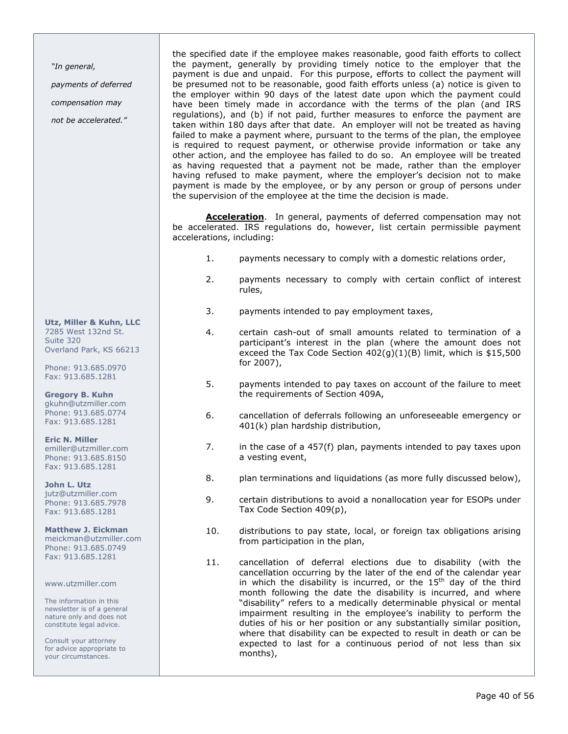"In general,

payments of deferred

compensation may

not be accelerated."

the specified date if the employee makes reasonable, good faith efforts to collect the payment, generally by providing timely notice to the employer that the payment is due and unpaid. For this purpose, efforts to collect the payment will be presumed not to be reasonable, good faith efforts unless (a) notice is given to the employer within 90 days of the latest date upon which the payment could have been timely made in accordance with the terms of the plan (and IRS regulations), and (b) if not paid, further measures to enforce the payment are taken within 180 days after that date. An employer will not be treated as having failed to make a payment where, pursuant to the terms of the plan, the employee is required to request payment, or otherwise provide information or take any other action, and the employee has failed to do so. An employee will be treated as having requested that a payment not be made, rather than the employer having refused to make payment, where the employer's decision not to make payment is made by the employee, or by any person or group of persons under the supervision of the employee at the time the decision is made.

**Acceleration**. In general, payments of deferred compensation may not be accelerated. IRS regulations do, however, list certain permissible payment accelerations, including:

- 1. payments necessary to comply with a domestic relations order,
- 2. payments necessary to comply with certain conflict of interest rules,
- 3. payments intended to pay employment taxes,
- 4. certain cash-out of small amounts related to termination of a participant's interest in the plan (where the amount does not exceed the Tax Code Section  $402(q)(1)(B)$  limit, which is \$15,500 for 2007),
- 5. payments intended to pay taxes on account of the failure to meet the requirements of Section 409A,
- 6. cancellation of deferrals following an unforeseeable emergency or 401(k) plan hardship distribution,
- 7. in the case of a 457(f) plan, payments intended to pay taxes upon a vesting event,
- 8. plan terminations and liquidations (as more fully discussed below),
- 9. certain distributions to avoid a nonallocation year for ESOPs under Tax Code Section 409(p),
- 10. distributions to pay state, local, or foreign tax obligations arising from participation in the plan,
- 11. cancellation of deferral elections due to disability (with the cancellation occurring by the later of the end of the calendar year in which the disability is incurred, or the  $15<sup>th</sup>$  day of the third month following the date the disability is incurred, and where "disability" refers to a medically determinable physical or mental impairment resulting in the employee's inability to perform the duties of his or her position or any substantially similar position, where that disability can be expected to result in death or can be expected to last for a continuous period of not less than six months),

Utz, Miller & Kuhn, LLC 7285 West 132nd St. Suite 320 Overland Park, KS 66213

Phone: 913.685.0970 Fax: 913.685.1281

Gregory B. Kuhn gkuhn@utzmiller.com Phone: 913.685.0774 Fax: 913.685.1281

Eric N. Miller emiller@utzmiller.com Phone: 913.685.8150 Fax: 913.685.1281

John L. Utz jutz@utzmiller.com Phone: 913.685.7978 Fax: 913.685.1281

Matthew J. Eickman meickman@utzmiller.com Phone: 913.685.0749 Fax: 913.685.1281

www.utzmiller.com

The information in this newsletter is of a general nature only and does not constitute legal advice.

Consult your attorney for advice appropriate to your circumstances.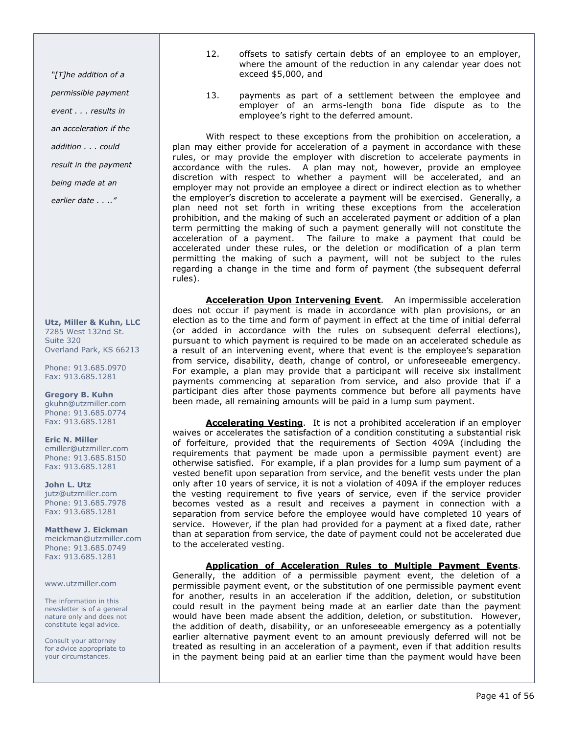"[T]he addition of a

permissible payment

event . . . results in

an acceleration if the

addition . . . could

result in the payment

being made at an

earlier date . . .."

Utz, Miller & Kuhn, LLC 7285 West 132nd St. Suite 320 Overland Park, KS 66213

Phone: 913.685.0970 Fax: 913.685.1281

Gregory B. Kuhn gkuhn@utzmiller.com Phone: 913.685.0774 Fax: 913.685.1281

Eric N. Miller emiller@utzmiller.com Phone: 913.685.8150 Fax: 913.685.1281

John L. Utz jutz@utzmiller.com Phone: 913.685.7978 Fax: 913.685.1281

Matthew J. Eickman meickman@utzmiller.com Phone: 913.685.0749 Fax: 913.685.1281

www.utzmiller.com

The information in this newsletter is of a general nature only and does not constitute legal advice.

Consult your attorney for advice appropriate to your circumstances.

- 12. offsets to satisfy certain debts of an employee to an employer, where the amount of the reduction in any calendar year does not exceed \$5,000, and
- 13. payments as part of a settlement between the employee and employer of an arms-length bona fide dispute as to the employee's right to the deferred amount.

With respect to these exceptions from the prohibition on acceleration, a plan may either provide for acceleration of a payment in accordance with these rules, or may provide the employer with discretion to accelerate payments in accordance with the rules. A plan may not, however, provide an employee discretion with respect to whether a payment will be accelerated, and an employer may not provide an employee a direct or indirect election as to whether the employer's discretion to accelerate a payment will be exercised. Generally, a plan need not set forth in writing these exceptions from the acceleration prohibition, and the making of such an accelerated payment or addition of a plan term permitting the making of such a payment generally will not constitute the acceleration of a payment. The failure to make a payment that could be accelerated under these rules, or the deletion or modification of a plan term permitting the making of such a payment, will not be subject to the rules regarding a change in the time and form of payment (the subsequent deferral rules).

Acceleration Upon Intervening Event. An impermissible acceleration does not occur if payment is made in accordance with plan provisions, or an election as to the time and form of payment in effect at the time of initial deferral (or added in accordance with the rules on subsequent deferral elections), pursuant to which payment is required to be made on an accelerated schedule as a result of an intervening event, where that event is the employee's separation from service, disability, death, change of control, or unforeseeable emergency. For example, a plan may provide that a participant will receive six installment payments commencing at separation from service, and also provide that if a participant dies after those payments commence but before all payments have been made, all remaining amounts will be paid in a lump sum payment.

Accelerating Vesting. It is not a prohibited acceleration if an employer waives or accelerates the satisfaction of a condition constituting a substantial risk of forfeiture, provided that the requirements of Section 409A (including the requirements that payment be made upon a permissible payment event) are otherwise satisfied. For example, if a plan provides for a lump sum payment of a vested benefit upon separation from service, and the benefit vests under the plan only after 10 years of service, it is not a violation of 409A if the employer reduces the vesting requirement to five years of service, even if the service provider becomes vested as a result and receives a payment in connection with a separation from service before the employee would have completed 10 years of service. However, if the plan had provided for a payment at a fixed date, rather than at separation from service, the date of payment could not be accelerated due to the accelerated vesting.

Application of Acceleration Rules to Multiple Payment Events.

Generally, the addition of a permissible payment event, the deletion of a permissible payment event, or the substitution of one permissible payment event for another, results in an acceleration if the addition, deletion, or substitution could result in the payment being made at an earlier date than the payment would have been made absent the addition, deletion, or substitution. However, the addition of death, disability, or an unforeseeable emergency as a potentially earlier alternative payment event to an amount previously deferred will not be treated as resulting in an acceleration of a payment, even if that addition results in the payment being paid at an earlier time than the payment would have been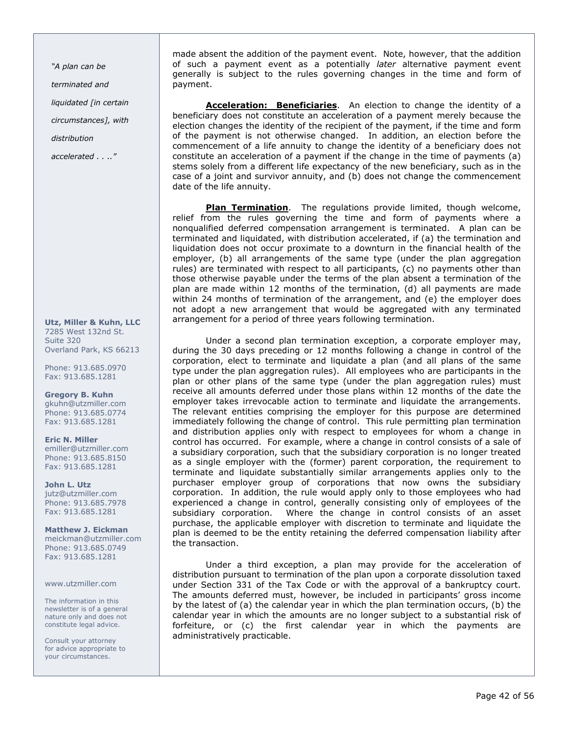"A plan can be terminated and liquidated [in certain

circumstances], with

distribution

accelerated . . .."

Utz, Miller & Kuhn, LLC 7285 West 132nd St. Suite 320 Overland Park, KS 66213

Phone: 913.685.0970 Fax: 913.685.1281

Gregory B. Kuhn gkuhn@utzmiller.com Phone: 913.685.0774 Fax: 913.685.1281

Eric N. Miller emiller@utzmiller.com Phone: 913.685.8150 Fax: 913.685.1281

John L. Utz jutz@utzmiller.com Phone: 913.685.7978 Fax: 913.685.1281

Matthew J. Eickman meickman@utzmiller.com Phone: 913.685.0749 Fax: 913.685.1281

www.utzmiller.com

The information in this newsletter is of a general nature only and does not constitute legal advice.

Consult your attorney for advice appropriate to your circumstances.

made absent the addition of the payment event. Note, however, that the addition of such a payment event as a potentially *later* alternative payment event generally is subject to the rules governing changes in the time and form of payment.

Acceleration: Beneficiaries. An election to change the identity of a beneficiary does not constitute an acceleration of a payment merely because the election changes the identity of the recipient of the payment, if the time and form of the payment is not otherwise changed. In addition, an election before the commencement of a life annuity to change the identity of a beneficiary does not constitute an acceleration of a payment if the change in the time of payments (a) stems solely from a different life expectancy of the new beneficiary, such as in the case of a joint and survivor annuity, and (b) does not change the commencement date of the life annuity.

Plan Termination. The regulations provide limited, though welcome, relief from the rules governing the time and form of payments where a nonqualified deferred compensation arrangement is terminated. A plan can be terminated and liquidated, with distribution accelerated, if (a) the termination and liquidation does not occur proximate to a downturn in the financial health of the employer, (b) all arrangements of the same type (under the plan aggregation rules) are terminated with respect to all participants, (c) no payments other than those otherwise payable under the terms of the plan absent a termination of the plan are made within 12 months of the termination, (d) all payments are made within 24 months of termination of the arrangement, and (e) the employer does not adopt a new arrangement that would be aggregated with any terminated arrangement for a period of three years following termination.

Under a second plan termination exception, a corporate employer may, during the 30 days preceding or 12 months following a change in control of the corporation, elect to terminate and liquidate a plan (and all plans of the same type under the plan aggregation rules). All employees who are participants in the plan or other plans of the same type (under the plan aggregation rules) must receive all amounts deferred under those plans within 12 months of the date the employer takes irrevocable action to terminate and liquidate the arrangements. The relevant entities comprising the employer for this purpose are determined immediately following the change of control. This rule permitting plan termination and distribution applies only with respect to employees for whom a change in control has occurred. For example, where a change in control consists of a sale of a subsidiary corporation, such that the subsidiary corporation is no longer treated as a single employer with the (former) parent corporation, the requirement to terminate and liquidate substantially similar arrangements applies only to the purchaser employer group of corporations that now owns the subsidiary corporation. In addition, the rule would apply only to those employees who had experienced a change in control, generally consisting only of employees of the subsidiary corporation. Where the change in control consists of an asset purchase, the applicable employer with discretion to terminate and liquidate the plan is deemed to be the entity retaining the deferred compensation liability after the transaction.

Under a third exception, a plan may provide for the acceleration of distribution pursuant to termination of the plan upon a corporate dissolution taxed under Section 331 of the Tax Code or with the approval of a bankruptcy court. The amounts deferred must, however, be included in participants' gross income by the latest of (a) the calendar year in which the plan termination occurs, (b) the calendar year in which the amounts are no longer subject to a substantial risk of forfeiture, or (c) the first calendar year in which the payments are administratively practicable.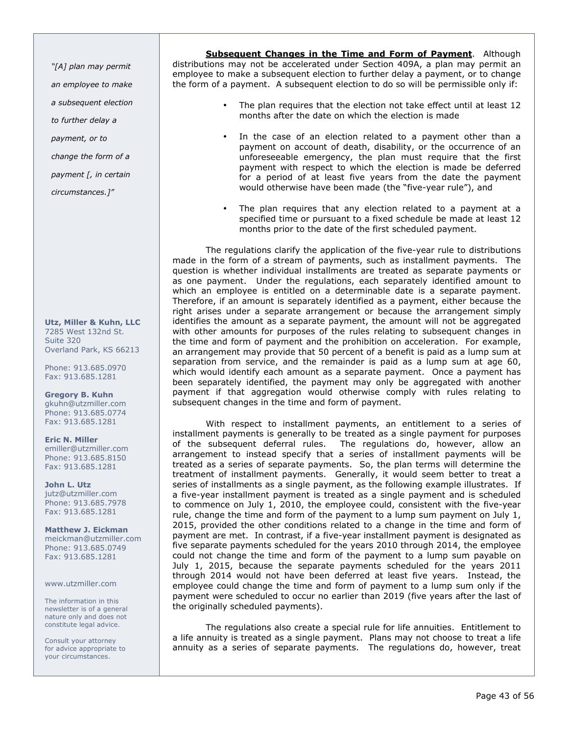"[A] plan may permit

an employee to make

a subsequent election

to further delay a

payment, or to

change the form of a

payment [, in certain

circumstances.]"

Utz, Miller & Kuhn, LLC 7285 West 132nd St. Suite 320 Overland Park, KS 66213

Phone: 913.685.0970 Fax: 913.685.1281

Gregory B. Kuhn gkuhn@utzmiller.com Phone: 913.685.0774 Fax: 913.685.1281

Eric N. Miller emiller@utzmiller.com Phone: 913.685.8150 Fax: 913.685.1281

John L. Utz jutz@utzmiller.com Phone: 913.685.7978 Fax: 913.685.1281

Matthew J. Eickman meickman@utzmiller.com Phone: 913.685.0749 Fax: 913.685.1281

www.utzmiller.com

The information in this newsletter is of a general nature only and does not constitute legal advice.

Consult your attorney for advice appropriate to your circumstances.

Subsequent Changes in the Time and Form of Payment. Although distributions may not be accelerated under Section 409A, a plan may permit an employee to make a subsequent election to further delay a payment, or to change the form of a payment. A subsequent election to do so will be permissible only if:

- The plan requires that the election not take effect until at least 12 months after the date on which the election is made
- In the case of an election related to a payment other than a payment on account of death, disability, or the occurrence of an unforeseeable emergency, the plan must require that the first payment with respect to which the election is made be deferred for a period of at least five years from the date the payment would otherwise have been made (the "five-year rule"), and
- The plan requires that any election related to a payment at a specified time or pursuant to a fixed schedule be made at least 12 months prior to the date of the first scheduled payment.

The regulations clarify the application of the five-year rule to distributions made in the form of a stream of payments, such as installment payments. The question is whether individual installments are treated as separate payments or as one payment. Under the regulations, each separately identified amount to which an employee is entitled on a determinable date is a separate payment. Therefore, if an amount is separately identified as a payment, either because the right arises under a separate arrangement or because the arrangement simply identifies the amount as a separate payment, the amount will not be aggregated with other amounts for purposes of the rules relating to subsequent changes in the time and form of payment and the prohibition on acceleration. For example, an arrangement may provide that 50 percent of a benefit is paid as a lump sum at separation from service, and the remainder is paid as a lump sum at age 60, which would identify each amount as a separate payment. Once a payment has been separately identified, the payment may only be aggregated with another payment if that aggregation would otherwise comply with rules relating to subsequent changes in the time and form of payment.

With respect to installment payments, an entitlement to a series of installment payments is generally to be treated as a single payment for purposes of the subsequent deferral rules. The regulations do, however, allow an The regulations do, however, allow an arrangement to instead specify that a series of installment payments will be treated as a series of separate payments. So, the plan terms will determine the treatment of installment payments. Generally, it would seem better to treat a series of installments as a single payment, as the following example illustrates. If a five-year installment payment is treated as a single payment and is scheduled to commence on July 1, 2010, the employee could, consistent with the five-year rule, change the time and form of the payment to a lump sum payment on July 1, 2015, provided the other conditions related to a change in the time and form of payment are met. In contrast, if a five-year installment payment is designated as five separate payments scheduled for the years 2010 through 2014, the employee could not change the time and form of the payment to a lump sum payable on July 1, 2015, because the separate payments scheduled for the years 2011 through 2014 would not have been deferred at least five years. Instead, the employee could change the time and form of payment to a lump sum only if the payment were scheduled to occur no earlier than 2019 (five years after the last of the originally scheduled payments).

The regulations also create a special rule for life annuities. Entitlement to a life annuity is treated as a single payment. Plans may not choose to treat a life annuity as a series of separate payments. The regulations do, however, treat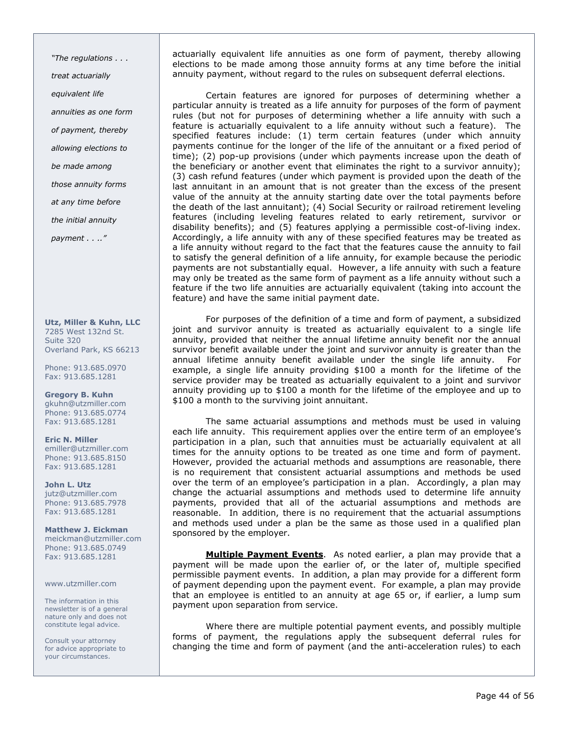"The regulations . . . treat actuarially equivalent life annuities as one form of payment, thereby allowing elections to be made among those annuity forms at any time before the initial annuity payment . . .."

Utz, Miller & Kuhn, LLC 7285 West 132nd St. Suite 320 Overland Park, KS 66213

Phone: 913.685.0970 Fax: 913.685.1281

Gregory B. Kuhn gkuhn@utzmiller.com Phone: 913.685.0774 Fax: 913.685.1281

Eric N. Miller emiller@utzmiller.com Phone: 913.685.8150 Fax: 913.685.1281

John L. Utz jutz@utzmiller.com Phone: 913.685.7978 Fax: 913.685.1281

Matthew J. Eickman meickman@utzmiller.com Phone: 913.685.0749 Fax: 913.685.1281

www.utzmiller.com

The information in this newsletter is of a general nature only and does not constitute legal advice.

Consult your attorney for advice appropriate to your circumstances.

actuarially equivalent life annuities as one form of payment, thereby allowing elections to be made among those annuity forms at any time before the initial annuity payment, without regard to the rules on subsequent deferral elections.

Certain features are ignored for purposes of determining whether a particular annuity is treated as a life annuity for purposes of the form of payment rules (but not for purposes of determining whether a life annuity with such a feature is actuarially equivalent to a life annuity without such a feature). The specified features include: (1) term certain features (under which annuity payments continue for the longer of the life of the annuitant or a fixed period of time); (2) pop-up provisions (under which payments increase upon the death of the beneficiary or another event that eliminates the right to a survivor annuity); (3) cash refund features (under which payment is provided upon the death of the last annuitant in an amount that is not greater than the excess of the present value of the annuity at the annuity starting date over the total payments before the death of the last annuitant); (4) Social Security or railroad retirement leveling features (including leveling features related to early retirement, survivor or disability benefits); and (5) features applying a permissible cost-of-living index. Accordingly, a life annuity with any of these specified features may be treated as a life annuity without regard to the fact that the features cause the annuity to fail to satisfy the general definition of a life annuity, for example because the periodic payments are not substantially equal. However, a life annuity with such a feature may only be treated as the same form of payment as a life annuity without such a feature if the two life annuities are actuarially equivalent (taking into account the feature) and have the same initial payment date.

For purposes of the definition of a time and form of payment, a subsidized joint and survivor annuity is treated as actuarially equivalent to a single life annuity, provided that neither the annual lifetime annuity benefit nor the annual survivor benefit available under the joint and survivor annuity is greater than the annual lifetime annuity benefit available under the single life annuity. For example, a single life annuity providing \$100 a month for the lifetime of the service provider may be treated as actuarially equivalent to a joint and survivor annuity providing up to \$100 a month for the lifetime of the employee and up to \$100 a month to the surviving joint annuitant.

The same actuarial assumptions and methods must be used in valuing each life annuity. This requirement applies over the entire term of an employee's participation in a plan, such that annuities must be actuarially equivalent at all times for the annuity options to be treated as one time and form of payment. However, provided the actuarial methods and assumptions are reasonable, there is no requirement that consistent actuarial assumptions and methods be used over the term of an employee's participation in a plan. Accordingly, a plan may change the actuarial assumptions and methods used to determine life annuity payments, provided that all of the actuarial assumptions and methods are reasonable. In addition, there is no requirement that the actuarial assumptions and methods used under a plan be the same as those used in a qualified plan sponsored by the employer.

Multiple Payment Events. As noted earlier, a plan may provide that a payment will be made upon the earlier of, or the later of, multiple specified permissible payment events. In addition, a plan may provide for a different form of payment depending upon the payment event. For example, a plan may provide that an employee is entitled to an annuity at age 65 or, if earlier, a lump sum payment upon separation from service.

Where there are multiple potential payment events, and possibly multiple forms of payment, the regulations apply the subsequent deferral rules for changing the time and form of payment (and the anti-acceleration rules) to each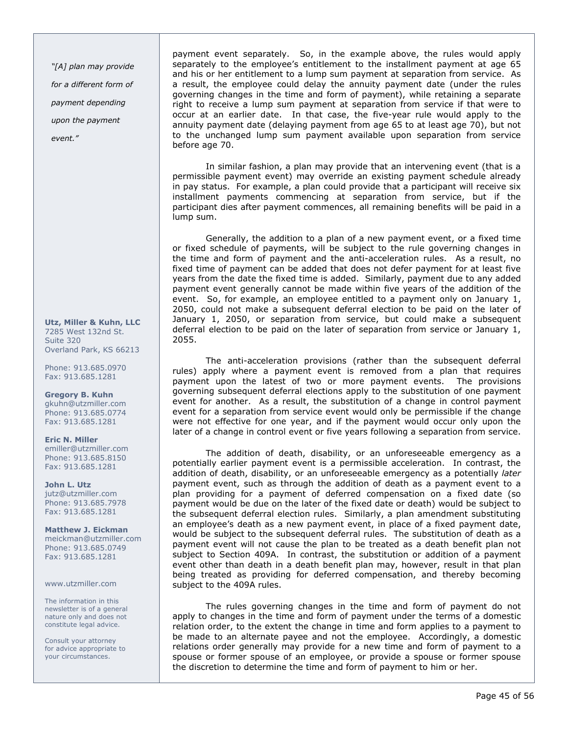"[A] plan may provide for a different form of payment depending upon the payment event."

Utz, Miller & Kuhn, LLC 7285 West 132nd St. Suite 320 Overland Park, KS 66213

Phone: 913.685.0970 Fax: 913.685.1281

Gregory B. Kuhn gkuhn@utzmiller.com Phone: 913.685.0774 Fax: 913.685.1281

Eric N. Miller emiller@utzmiller.com Phone: 913.685.8150 Fax: 913.685.1281

John L. Utz jutz@utzmiller.com Phone: 913.685.7978 Fax: 913.685.1281

Matthew J. Eickman meickman@utzmiller.com Phone: 913.685.0749 Fax: 913.685.1281

www.utzmiller.com

The information in this newsletter is of a general nature only and does not constitute legal advice.

Consult your attorney for advice appropriate to your circumstances.

payment event separately. So, in the example above, the rules would apply separately to the employee's entitlement to the installment payment at age 65 and his or her entitlement to a lump sum payment at separation from service. As a result, the employee could delay the annuity payment date (under the rules governing changes in the time and form of payment), while retaining a separate right to receive a lump sum payment at separation from service if that were to occur at an earlier date. In that case, the five-year rule would apply to the annuity payment date (delaying payment from age 65 to at least age 70), but not to the unchanged lump sum payment available upon separation from service before age 70.

In similar fashion, a plan may provide that an intervening event (that is a permissible payment event) may override an existing payment schedule already in pay status. For example, a plan could provide that a participant will receive six installment payments commencing at separation from service, but if the participant dies after payment commences, all remaining benefits will be paid in a lump sum.

Generally, the addition to a plan of a new payment event, or a fixed time or fixed schedule of payments, will be subject to the rule governing changes in the time and form of payment and the anti-acceleration rules. As a result, no fixed time of payment can be added that does not defer payment for at least five years from the date the fixed time is added. Similarly, payment due to any added payment event generally cannot be made within five years of the addition of the event. So, for example, an employee entitled to a payment only on January 1, 2050, could not make a subsequent deferral election to be paid on the later of January 1, 2050, or separation from service, but could make a subsequent deferral election to be paid on the later of separation from service or January 1, 2055.

The anti-acceleration provisions (rather than the subsequent deferral rules) apply where a payment event is removed from a plan that requires payment upon the latest of two or more payment events. The provisions governing subsequent deferral elections apply to the substitution of one payment event for another. As a result, the substitution of a change in control payment event for a separation from service event would only be permissible if the change were not effective for one year, and if the payment would occur only upon the later of a change in control event or five years following a separation from service.

The addition of death, disability, or an unforeseeable emergency as a potentially earlier payment event is a permissible acceleration. In contrast, the addition of death, disability, or an unforeseeable emergency as a potentially later payment event, such as through the addition of death as a payment event to a plan providing for a payment of deferred compensation on a fixed date (so payment would be due on the later of the fixed date or death) would be subject to the subsequent deferral election rules. Similarly, a plan amendment substituting an employee's death as a new payment event, in place of a fixed payment date, would be subject to the subsequent deferral rules. The substitution of death as a payment event will not cause the plan to be treated as a death benefit plan not subject to Section 409A. In contrast, the substitution or addition of a payment event other than death in a death benefit plan may, however, result in that plan being treated as providing for deferred compensation, and thereby becoming subject to the 409A rules.

The rules governing changes in the time and form of payment do not apply to changes in the time and form of payment under the terms of a domestic relation order, to the extent the change in time and form applies to a payment to be made to an alternate payee and not the employee. Accordingly, a domestic relations order generally may provide for a new time and form of payment to a spouse or former spouse of an employee, or provide a spouse or former spouse the discretion to determine the time and form of payment to him or her.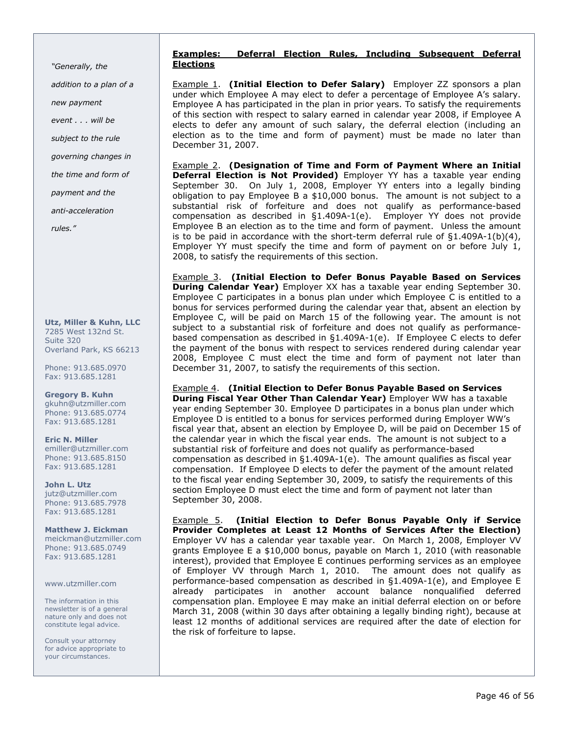"Generally, the addition to a plan of a new payment event . . . will be subject to the rule governing changes in the time and form of payment and the anti-acceleration  $rule<sub>s</sub>$ 

Utz, Miller & Kuhn, LLC 7285 West 132nd St. Suite 320 Overland Park, KS 66213

Phone: 913.685.0970 Fax: 913.685.1281

Gregory B. Kuhn gkuhn@utzmiller.com Phone: 913.685.0774 Fax: 913.685.1281

Eric N. Miller emiller@utzmiller.com Phone: 913.685.8150 Fax: 913.685.1281

John L. Utz jutz@utzmiller.com Phone: 913.685.7978 Fax: 913.685.1281

Matthew J. Eickman meickman@utzmiller.com Phone: 913.685.0749 Fax: 913.685.1281

www.utzmiller.com

The information in this newsletter is of a general nature only and does not constitute legal advice.

Consult your attorney for advice appropriate to your circumstances.

## Examples: Deferral Election Rules, Including Subsequent Deferral Elections

**Example 1.** (Initial Election to Defer Salary) Employer ZZ sponsors a plan under which Employee A may elect to defer a percentage of Employee A's salary. Employee A has participated in the plan in prior years. To satisfy the requirements of this section with respect to salary earned in calendar year 2008, if Employee A elects to defer any amount of such salary, the deferral election (including an election as to the time and form of payment) must be made no later than December 31, 2007.

Example 2. (Designation of Time and Form of Payment Where an Initial Deferral Election is Not Provided) Employer YY has a taxable year ending September 30. On July 1, 2008, Employer YY enters into a legally binding obligation to pay Employee B a \$10,000 bonus. The amount is not subject to a substantial risk of forfeiture and does not qualify as performance-based compensation as described in §1.409A-1(e). Employer YY does not provide Employee B an election as to the time and form of payment. Unless the amount is to be paid in accordance with the short-term deferral rule of  $\S1.409A-1(b)(4)$ , Employer YY must specify the time and form of payment on or before July 1, 2008, to satisfy the requirements of this section.

Example 3. (Initial Election to Defer Bonus Payable Based on Services **During Calendar Year)** Employer XX has a taxable year ending September 30. Employee C participates in a bonus plan under which Employee C is entitled to a bonus for services performed during the calendar year that, absent an election by Employee C, will be paid on March 15 of the following year. The amount is not subject to a substantial risk of forfeiture and does not qualify as performancebased compensation as described in §1.409A-1(e). If Employee C elects to defer the payment of the bonus with respect to services rendered during calendar year 2008, Employee C must elect the time and form of payment not later than December 31, 2007, to satisfy the requirements of this section.

Example 4. (Initial Election to Defer Bonus Payable Based on Services During Fiscal Year Other Than Calendar Year) Employer WW has a taxable year ending September 30. Employee D participates in a bonus plan under which Employee D is entitled to a bonus for services performed during Employer WW's fiscal year that, absent an election by Employee D, will be paid on December 15 of the calendar year in which the fiscal year ends. The amount is not subject to a substantial risk of forfeiture and does not qualify as performance-based compensation as described in §1.409A-1(e). The amount qualifies as fiscal year compensation. If Employee D elects to defer the payment of the amount related to the fiscal year ending September 30, 2009, to satisfy the requirements of this section Employee D must elect the time and form of payment not later than September 30, 2008.

**Example 5.** (Initial Election to Defer Bonus Payable Only if Service Provider Completes at Least 12 Months of Services After the Election) Employer VV has a calendar year taxable year. On March 1, 2008, Employer VV grants Employee E a \$10,000 bonus, payable on March 1, 2010 (with reasonable interest), provided that Employee E continues performing services as an employee of Employer VV through March 1, 2010. The amount does not qualify as performance-based compensation as described in §1.409A-1(e), and Employee E already participates in another account balance nonqualified deferred compensation plan. Employee E may make an initial deferral election on or before March 31, 2008 (within 30 days after obtaining a legally binding right), because at least 12 months of additional services are required after the date of election for the risk of forfeiture to lapse.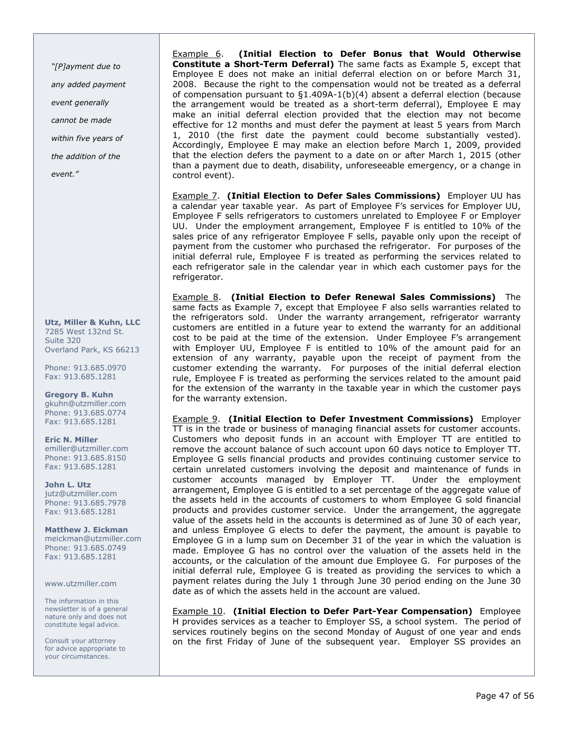"[P]ayment due to any added payment event generally cannot be made within five years of the addition of the

event."

Utz, Miller & Kuhn, LLC 7285 West 132nd St. Suite 320 Overland Park, KS 66213

Phone: 913.685.0970 Fax: 913.685.1281

Gregory B. Kuhn gkuhn@utzmiller.com Phone: 913.685.0774 Fax: 913.685.1281

Eric N. Miller emiller@utzmiller.com Phone: 913.685.8150 Fax: 913.685.1281

John L. Utz jutz@utzmiller.com Phone: 913.685.7978 Fax: 913.685.1281

Matthew J. Eickman meickman@utzmiller.com Phone: 913.685.0749 Fax: 913.685.1281

www.utzmiller.com

The information in this newsletter is of a general nature only and does not constitute legal advice.

Consult your attorney for advice appropriate to your circumstances.

Example 6. (Initial Election to Defer Bonus that Would Otherwise Constitute a Short-Term Deferral) The same facts as Example 5, except that Employee E does not make an initial deferral election on or before March 31, 2008. Because the right to the compensation would not be treated as a deferral of compensation pursuant to §1.409A-1(b)(4) absent a deferral election (because the arrangement would be treated as a short-term deferral), Employee E may make an initial deferral election provided that the election may not become effective for 12 months and must defer the payment at least 5 years from March 1, 2010 (the first date the payment could become substantially vested). Accordingly, Employee E may make an election before March 1, 2009, provided that the election defers the payment to a date on or after March 1, 2015 (other than a payment due to death, disability, unforeseeable emergency, or a change in control event).

Example 7. (Initial Election to Defer Sales Commissions) Employer UU has a calendar year taxable year. As part of Employee F's services for Employer UU, Employee F sells refrigerators to customers unrelated to Employee F or Employer UU. Under the employment arrangement, Employee F is entitled to 10% of the sales price of any refrigerator Employee F sells, payable only upon the receipt of payment from the customer who purchased the refrigerator. For purposes of the initial deferral rule, Employee F is treated as performing the services related to each refrigerator sale in the calendar year in which each customer pays for the refrigerator.

Example 8. (Initial Election to Defer Renewal Sales Commissions) The same facts as Example 7, except that Employee F also sells warranties related to the refrigerators sold. Under the warranty arrangement, refrigerator warranty customers are entitled in a future year to extend the warranty for an additional cost to be paid at the time of the extension. Under Employee F's arrangement with Employer UU, Employee F is entitled to 10% of the amount paid for an extension of any warranty, payable upon the receipt of payment from the customer extending the warranty. For purposes of the initial deferral election rule, Employee F is treated as performing the services related to the amount paid for the extension of the warranty in the taxable year in which the customer pays for the warranty extension.

Example 9. (Initial Election to Defer Investment Commissions) Employer TT is in the trade or business of managing financial assets for customer accounts. Customers who deposit funds in an account with Employer TT are entitled to remove the account balance of such account upon 60 days notice to Employer TT. Employee G sells financial products and provides continuing customer service to certain unrelated customers involving the deposit and maintenance of funds in customer accounts managed by Employer TT. Under the employment arrangement, Employee G is entitled to a set percentage of the aggregate value of the assets held in the accounts of customers to whom Employee G sold financial products and provides customer service. Under the arrangement, the aggregate value of the assets held in the accounts is determined as of June 30 of each year, and unless Employee G elects to defer the payment, the amount is payable to Employee G in a lump sum on December 31 of the year in which the valuation is made. Employee G has no control over the valuation of the assets held in the accounts, or the calculation of the amount due Employee G. For purposes of the initial deferral rule, Employee G is treated as providing the services to which a payment relates during the July 1 through June 30 period ending on the June 30 date as of which the assets held in the account are valued.

Example 10. (Initial Election to Defer Part-Year Compensation) Employee H provides services as a teacher to Employer SS, a school system. The period of services routinely begins on the second Monday of August of one year and ends on the first Friday of June of the subsequent year. Employer SS provides an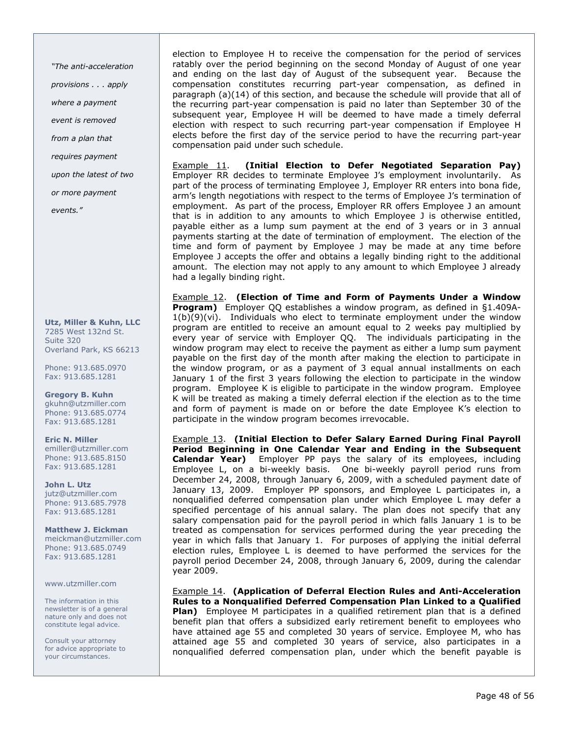"The anti-acceleration provisions . . . apply where a payment event is removed from a plan that requires payment upon the latest of two or more payment events."

Utz, Miller & Kuhn, LLC 7285 West 132nd St. Suite 320 Overland Park, KS 66213

Phone: 913.685.0970 Fax: 913.685.1281

Gregory B. Kuhn gkuhn@utzmiller.com Phone: 913.685.0774 Fax: 913.685.1281

Eric N. Miller emiller@utzmiller.com Phone: 913.685.8150 Fax: 913.685.1281

John L. Utz jutz@utzmiller.com Phone: 913.685.7978 Fax: 913.685.1281

Matthew J. Eickman meickman@utzmiller.com Phone: 913.685.0749 Fax: 913.685.1281

www.utzmiller.com

The information in this newsletter is of a general nature only and does not constitute legal advice.

Consult your attorney for advice appropriate to your circumstances.

election to Employee H to receive the compensation for the period of services ratably over the period beginning on the second Monday of August of one year and ending on the last day of August of the subsequent year. Because the compensation constitutes recurring part-year compensation, as defined in paragraph (a)(14) of this section, and because the schedule will provide that all of the recurring part-year compensation is paid no later than September 30 of the subsequent year, Employee H will be deemed to have made a timely deferral election with respect to such recurring part-year compensation if Employee H elects before the first day of the service period to have the recurring part-year compensation paid under such schedule.

Example 11. (Initial Election to Defer Negotiated Separation Pay) Employer RR decides to terminate Employee J's employment involuntarily. As part of the process of terminating Employee J, Employer RR enters into bona fide, arm's length negotiations with respect to the terms of Employee J's termination of employment. As part of the process, Employer RR offers Employee J an amount that is in addition to any amounts to which Employee J is otherwise entitled, payable either as a lump sum payment at the end of 3 years or in 3 annual payments starting at the date of termination of employment. The election of the time and form of payment by Employee J may be made at any time before Employee J accepts the offer and obtains a legally binding right to the additional amount. The election may not apply to any amount to which Employee J already had a legally binding right.

Example 12. (Election of Time and Form of Payments Under a Window Program) Employer QQ establishes a window program, as defined in §1.409A- $1(b)(9)(vi)$ . Individuals who elect to terminate employment under the window program are entitled to receive an amount equal to 2 weeks pay multiplied by every year of service with Employer QQ. The individuals participating in the window program may elect to receive the payment as either a lump sum payment payable on the first day of the month after making the election to participate in the window program, or as a payment of 3 equal annual installments on each January 1 of the first 3 years following the election to participate in the window program. Employee K is eligible to participate in the window program. Employee K will be treated as making a timely deferral election if the election as to the time and form of payment is made on or before the date Employee K's election to participate in the window program becomes irrevocable.

Example 13. (Initial Election to Defer Salary Earned During Final Payroll Period Beginning in One Calendar Year and Ending in the Subsequent Calendar Year) Employer PP pays the salary of its employees, including Employee L, on a bi-weekly basis. One bi-weekly payroll period runs from December 24, 2008, through January 6, 2009, with a scheduled payment date of January 13, 2009. Employer PP sponsors, and Employee L participates in, a nonqualified deferred compensation plan under which Employee L may defer a specified percentage of his annual salary. The plan does not specify that any salary compensation paid for the payroll period in which falls January 1 is to be treated as compensation for services performed during the year preceding the year in which falls that January 1. For purposes of applying the initial deferral election rules, Employee L is deemed to have performed the services for the payroll period December 24, 2008, through January 6, 2009, during the calendar year 2009.

Example 14. (Application of Deferral Election Rules and Anti-Acceleration Rules to a Nonqualified Deferred Compensation Plan Linked to a Qualified **Plan)** Employee M participates in a qualified retirement plan that is a defined benefit plan that offers a subsidized early retirement benefit to employees who have attained age 55 and completed 30 years of service. Employee M, who has attained age 55 and completed 30 years of service, also participates in a nonqualified deferred compensation plan, under which the benefit payable is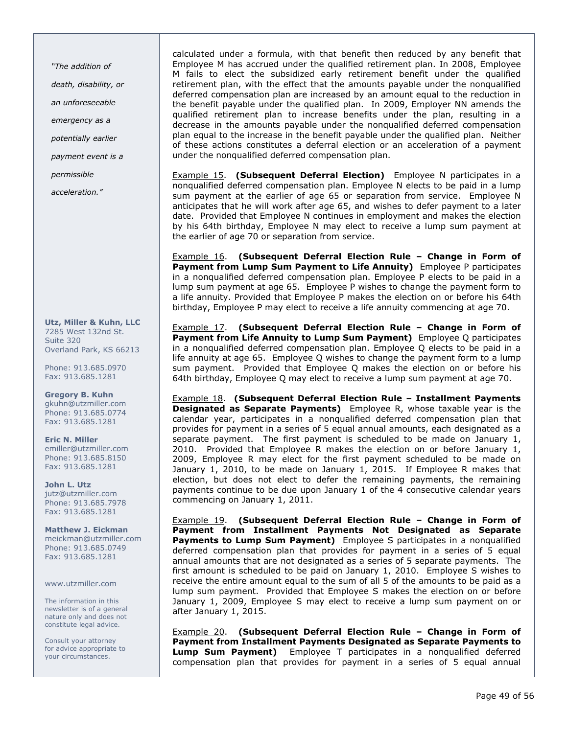"The addition of

death, disability, or

an unforeseeable

emergency as a

potentially earlier

payment event is a

permissible

acceleration."

Utz, Miller & Kuhn, LLC 7285 West 132nd St. Suite 320 Overland Park, KS 66213

Phone: 913.685.0970 Fax: 913.685.1281

Gregory B. Kuhn gkuhn@utzmiller.com Phone: 913.685.0774 Fax: 913.685.1281

Eric N. Miller emiller@utzmiller.com Phone: 913.685.8150 Fax: 913.685.1281

John L. Utz jutz@utzmiller.com Phone: 913.685.7978 Fax: 913.685.1281

Matthew J. Eickman meickman@utzmiller.com Phone: 913.685.0749 Fax: 913.685.1281

www.utzmiller.com

The information in this newsletter is of a general nature only and does not constitute legal advice.

Consult your attorney for advice appropriate to your circumstances.

calculated under a formula, with that benefit then reduced by any benefit that Employee M has accrued under the qualified retirement plan. In 2008, Employee M fails to elect the subsidized early retirement benefit under the qualified retirement plan, with the effect that the amounts payable under the nonqualified deferred compensation plan are increased by an amount equal to the reduction in the benefit payable under the qualified plan. In 2009, Employer NN amends the qualified retirement plan to increase benefits under the plan, resulting in a decrease in the amounts payable under the nonqualified deferred compensation plan equal to the increase in the benefit payable under the qualified plan. Neither of these actions constitutes a deferral election or an acceleration of a payment under the nonqualified deferred compensation plan.

**Example 15.** (Subsequent Deferral Election) Employee N participates in a nonqualified deferred compensation plan. Employee N elects to be paid in a lump sum payment at the earlier of age 65 or separation from service. Employee N anticipates that he will work after age 65, and wishes to defer payment to a later date. Provided that Employee N continues in employment and makes the election by his 64th birthday, Employee N may elect to receive a lump sum payment at the earlier of age 70 or separation from service.

Example 16. (Subsequent Deferral Election Rule – Change in Form of Payment from Lump Sum Payment to Life Annuity) Employee P participates in a nonqualified deferred compensation plan. Employee P elects to be paid in a lump sum payment at age 65. Employee P wishes to change the payment form to a life annuity. Provided that Employee P makes the election on or before his 64th birthday, Employee P may elect to receive a life annuity commencing at age 70.

Example 17. (Subsequent Deferral Election Rule – Change in Form of Payment from Life Annuity to Lump Sum Payment) Employee Q participates in a nonqualified deferred compensation plan. Employee Q elects to be paid in a life annuity at age 65. Employee Q wishes to change the payment form to a lump sum payment. Provided that Employee Q makes the election on or before his 64th birthday, Employee Q may elect to receive a lump sum payment at age 70.

Example 18. (Subsequent Deferral Election Rule – Installment Payments **Designated as Separate Payments)** Employee R, whose taxable year is the calendar year, participates in a nonqualified deferred compensation plan that provides for payment in a series of 5 equal annual amounts, each designated as a separate payment. The first payment is scheduled to be made on January 1, 2010. Provided that Employee R makes the election on or before January 1, 2009, Employee R may elect for the first payment scheduled to be made on January 1, 2010, to be made on January 1, 2015. If Employee R makes that election, but does not elect to defer the remaining payments, the remaining payments continue to be due upon January 1 of the 4 consecutive calendar years commencing on January 1, 2011.

Example 19. (Subsequent Deferral Election Rule – Change in Form of Payment from Installment Payments Not Designated as Separate Payments to Lump Sum Payment) Employee S participates in a nonqualified deferred compensation plan that provides for payment in a series of 5 equal annual amounts that are not designated as a series of 5 separate payments. The first amount is scheduled to be paid on January 1, 2010. Employee S wishes to receive the entire amount equal to the sum of all 5 of the amounts to be paid as a lump sum payment. Provided that Employee S makes the election on or before January 1, 2009, Employee S may elect to receive a lump sum payment on or after January 1, 2015.

Example 20. (Subsequent Deferral Election Rule – Change in Form of Payment from Installment Payments Designated as Separate Payments to Lump Sum Payment) Employee T participates in a nonqualified deferred compensation plan that provides for payment in a series of 5 equal annual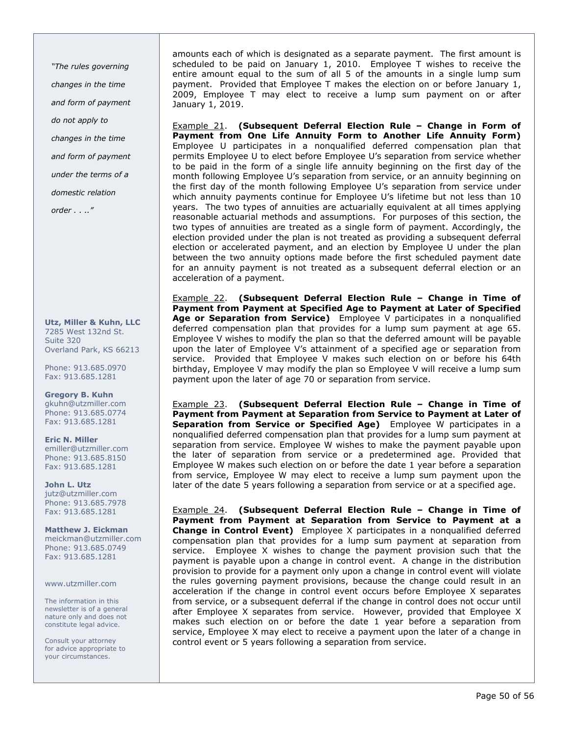"The rules governing changes in the time and form of payment do not apply to changes in the time and form of payment under the terms of a domestic relation order . . .."

Utz, Miller & Kuhn, LLC 7285 West 132nd St. Suite 320 Overland Park, KS 66213

Phone: 913.685.0970 Fax: 913.685.1281

Gregory B. Kuhn gkuhn@utzmiller.com Phone: 913.685.0774 Fax: 913.685.1281

Eric N. Miller emiller@utzmiller.com Phone: 913.685.8150 Fax: 913.685.1281

John L. Utz jutz@utzmiller.com Phone: 913.685.7978 Fax: 913.685.1281

Matthew J. Eickman meickman@utzmiller.com Phone: 913.685.0749 Fax: 913.685.1281

www.utzmiller.com

The information in this newsletter is of a general nature only and does not constitute legal advice.

Consult your attorney for advice appropriate to your circumstances.

amounts each of which is designated as a separate payment. The first amount is scheduled to be paid on January 1, 2010. Employee T wishes to receive the entire amount equal to the sum of all 5 of the amounts in a single lump sum payment. Provided that Employee T makes the election on or before January 1, 2009, Employee T may elect to receive a lump sum payment on or after January 1, 2019.

Example 21. (Subsequent Deferral Election Rule – Change in Form of Payment from One Life Annuity Form to Another Life Annuity Form) Employee U participates in a nonqualified deferred compensation plan that permits Employee U to elect before Employee U's separation from service whether to be paid in the form of a single life annuity beginning on the first day of the month following Employee U's separation from service, or an annuity beginning on the first day of the month following Employee U's separation from service under which annuity payments continue for Employee U's lifetime but not less than 10 years. The two types of annuities are actuarially equivalent at all times applying reasonable actuarial methods and assumptions. For purposes of this section, the two types of annuities are treated as a single form of payment. Accordingly, the election provided under the plan is not treated as providing a subsequent deferral election or accelerated payment, and an election by Employee U under the plan between the two annuity options made before the first scheduled payment date for an annuity payment is not treated as a subsequent deferral election or an acceleration of a payment.

Example 22. (Subsequent Deferral Election Rule – Change in Time of Payment from Payment at Specified Age to Payment at Later of Specified Age or Separation from Service) Employee V participates in a nonqualified deferred compensation plan that provides for a lump sum payment at age 65. Employee V wishes to modify the plan so that the deferred amount will be payable upon the later of Employee V's attainment of a specified age or separation from service. Provided that Employee V makes such election on or before his 64th birthday, Employee V may modify the plan so Employee V will receive a lump sum payment upon the later of age 70 or separation from service.

Example 23. (Subsequent Deferral Election Rule – Change in Time of Payment from Payment at Separation from Service to Payment at Later of Separation from Service or Specified Age) Employee W participates in a nonqualified deferred compensation plan that provides for a lump sum payment at separation from service. Employee W wishes to make the payment payable upon the later of separation from service or a predetermined age. Provided that Employee W makes such election on or before the date 1 year before a separation from service, Employee W may elect to receive a lump sum payment upon the later of the date 5 years following a separation from service or at a specified age.

Example 24. (Subsequent Deferral Election Rule – Change in Time of Payment from Payment at Separation from Service to Payment at a **Change in Control Event)** Employee X participates in a nonqualified deferred compensation plan that provides for a lump sum payment at separation from service. Employee X wishes to change the payment provision such that the payment is payable upon a change in control event. A change in the distribution provision to provide for a payment only upon a change in control event will violate the rules governing payment provisions, because the change could result in an acceleration if the change in control event occurs before Employee X separates from service, or a subsequent deferral if the change in control does not occur until after Employee X separates from service. However, provided that Employee X makes such election on or before the date 1 year before a separation from service, Employee X may elect to receive a payment upon the later of a change in control event or 5 years following a separation from service.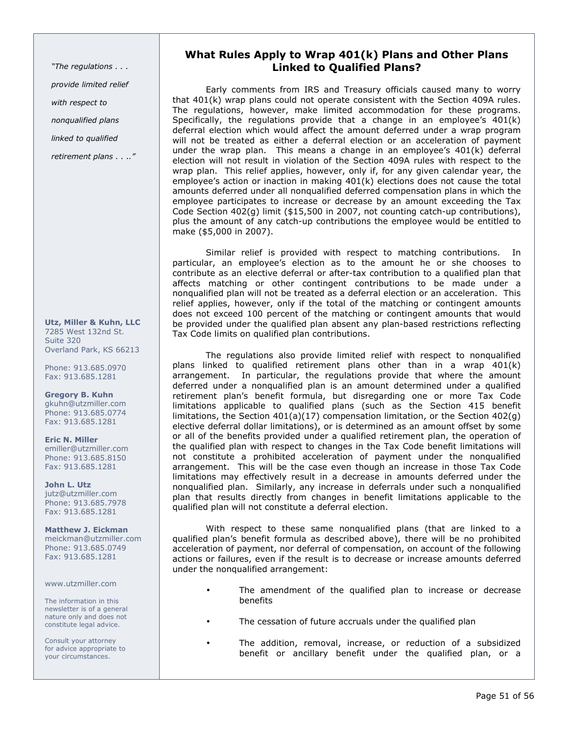"The regulations . . . provide limited relief with respect to nonqualified plans linked to qualified

retirement plans . . .."

Utz, Miller & Kuhn, LLC 7285 West 132nd St. Suite 320 Overland Park, KS 66213

Phone: 913.685.0970 Fax: 913.685.1281

Gregory B. Kuhn gkuhn@utzmiller.com Phone: 913.685.0774 Fax: 913.685.1281

Eric N. Miller emiller@utzmiller.com Phone: 913.685.8150 Fax: 913.685.1281

John L. Utz jutz@utzmiller.com Phone: 913.685.7978 Fax: 913.685.1281

Matthew J. Eickman meickman@utzmiller.com Phone: 913.685.0749 Fax: 913.685.1281

www.utzmiller.com

The information in this newsletter is of a general nature only and does not constitute legal advice.

Consult your attorney for advice appropriate to your circumstances.

## What Rules Apply to Wrap 401(k) Plans and Other Plans Linked to Qualified Plans?

Early comments from IRS and Treasury officials caused many to worry that 401(k) wrap plans could not operate consistent with the Section 409A rules. The regulations, however, make limited accommodation for these programs. Specifically, the regulations provide that a change in an employee's 401(k) deferral election which would affect the amount deferred under a wrap program will not be treated as either a deferral election or an acceleration of payment under the wrap plan. This means a change in an employee's 401(k) deferral election will not result in violation of the Section 409A rules with respect to the wrap plan. This relief applies, however, only if, for any given calendar year, the employee's action or inaction in making 401(k) elections does not cause the total amounts deferred under all nonqualified deferred compensation plans in which the employee participates to increase or decrease by an amount exceeding the Tax Code Section 402(g) limit (\$15,500 in 2007, not counting catch-up contributions), plus the amount of any catch-up contributions the employee would be entitled to make (\$5,000 in 2007).

Similar relief is provided with respect to matching contributions. In particular, an employee's election as to the amount he or she chooses to contribute as an elective deferral or after-tax contribution to a qualified plan that affects matching or other contingent contributions to be made under a nonqualified plan will not be treated as a deferral election or an acceleration. This relief applies, however, only if the total of the matching or contingent amounts does not exceed 100 percent of the matching or contingent amounts that would be provided under the qualified plan absent any plan-based restrictions reflecting Tax Code limits on qualified plan contributions.

The regulations also provide limited relief with respect to nonqualified plans linked to qualified retirement plans other than in a wrap 401(k) arrangement. In particular, the regulations provide that where the amount deferred under a nonqualified plan is an amount determined under a qualified retirement plan's benefit formula, but disregarding one or more Tax Code limitations applicable to qualified plans (such as the Section 415 benefit limitations, the Section  $401(a)(17)$  compensation limitation, or the Section  $402(q)$ elective deferral dollar limitations), or is determined as an amount offset by some or all of the benefits provided under a qualified retirement plan, the operation of the qualified plan with respect to changes in the Tax Code benefit limitations will not constitute a prohibited acceleration of payment under the nonqualified arrangement. This will be the case even though an increase in those Tax Code limitations may effectively result in a decrease in amounts deferred under the nonqualified plan. Similarly, any increase in deferrals under such a nonqualified plan that results directly from changes in benefit limitations applicable to the qualified plan will not constitute a deferral election.

With respect to these same nonqualified plans (that are linked to a qualified plan's benefit formula as described above), there will be no prohibited acceleration of payment, nor deferral of compensation, on account of the following actions or failures, even if the result is to decrease or increase amounts deferred under the nonqualified arrangement:

- The amendment of the qualified plan to increase or decrease benefits
- The cessation of future accruals under the qualified plan
- The addition, removal, increase, or reduction of a subsidized benefit or ancillary benefit under the qualified plan, or a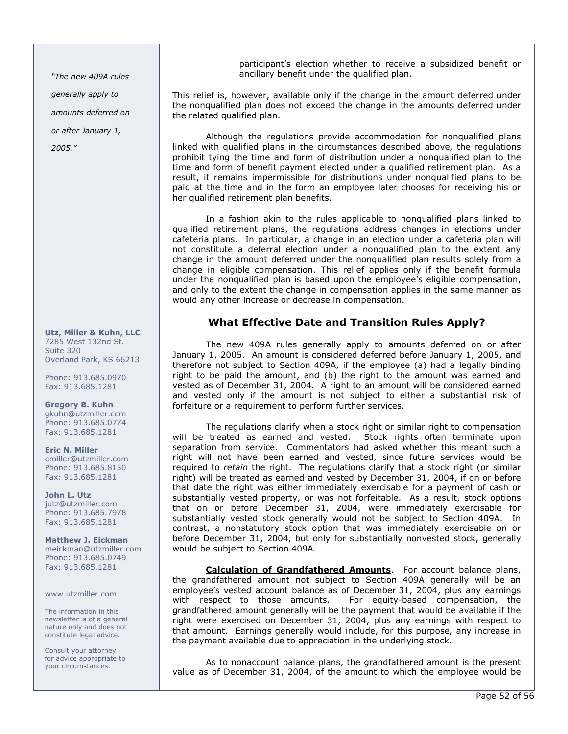"The new 409A rules generally apply to amounts deferred on or after January 1,

2005."

Utz, Miller & Kuhn, LLC 7285 West 132nd St. Suite 320 Overland Park, KS 66213

Phone: 913.685.0970 Fax: 913.685.1281

Gregory B. Kuhn gkuhn@utzmiller.com Phone: 913.685.0774 Fax: 913.685.1281

Eric N. Miller emiller@utzmiller.com Phone: 913.685.8150 Fax: 913.685.1281

John L. Utz jutz@utzmiller.com Phone: 913.685.7978 Fax: 913.685.1281

Matthew J. Eickman meickman@utzmiller.com Phone: 913.685.0749 Fax: 913.685.1281

www.utzmiller.com

The information in this newsletter is of a general nature only and does not constitute legal advice.

Consult your attorney for advice appropriate to your circumstances.

participant's election whether to receive a subsidized benefit or ancillary benefit under the qualified plan.

This relief is, however, available only if the change in the amount deferred under the nonqualified plan does not exceed the change in the amounts deferred under the related qualified plan.

Although the regulations provide accommodation for nonqualified plans linked with qualified plans in the circumstances described above, the regulations prohibit tying the time and form of distribution under a nonqualified plan to the time and form of benefit payment elected under a qualified retirement plan. As a result, it remains impermissible for distributions under nonqualified plans to be paid at the time and in the form an employee later chooses for receiving his or her qualified retirement plan benefits.

In a fashion akin to the rules applicable to nonqualified plans linked to qualified retirement plans, the regulations address changes in elections under cafeteria plans. In particular, a change in an election under a cafeteria plan will not constitute a deferral election under a nonqualified plan to the extent any change in the amount deferred under the nonqualified plan results solely from a change in eligible compensation. This relief applies only if the benefit formula under the nonqualified plan is based upon the employee's eligible compensation, and only to the extent the change in compensation applies in the same manner as would any other increase or decrease in compensation.

## What Effective Date and Transition Rules Apply?

The new 409A rules generally apply to amounts deferred on or after January 1, 2005. An amount is considered deferred before January 1, 2005, and therefore not subject to Section 409A, if the employee (a) had a legally binding right to be paid the amount, and (b) the right to the amount was earned and vested as of December 31, 2004. A right to an amount will be considered earned and vested only if the amount is not subject to either a substantial risk of forfeiture or a requirement to perform further services.

The regulations clarify when a stock right or similar right to compensation will be treated as earned and vested. Stock rights often terminate upon separation from service. Commentators had asked whether this meant such a right will not have been earned and vested, since future services would be required to *retain* the right. The regulations clarify that a stock right (or similar right) will be treated as earned and vested by December 31, 2004, if on or before that date the right was either immediately exercisable for a payment of cash or substantially vested property, or was not forfeitable. As a result, stock options that on or before December 31, 2004, were immediately exercisable for substantially vested stock generally would not be subject to Section 409A. In contrast, a nonstatutory stock option that was immediately exercisable on or before December 31, 2004, but only for substantially nonvested stock, generally would be subject to Section 409A.

Calculation of Grandfathered Amounts. For account balance plans, the grandfathered amount not subject to Section 409A generally will be an employee's vested account balance as of December 31, 2004, plus any earnings with respect to those amounts. For equity-based compensation, the grandfathered amount generally will be the payment that would be available if the right were exercised on December 31, 2004, plus any earnings with respect to that amount. Earnings generally would include, for this purpose, any increase in the payment available due to appreciation in the underlying stock.

As to nonaccount balance plans, the grandfathered amount is the present value as of December 31, 2004, of the amount to which the employee would be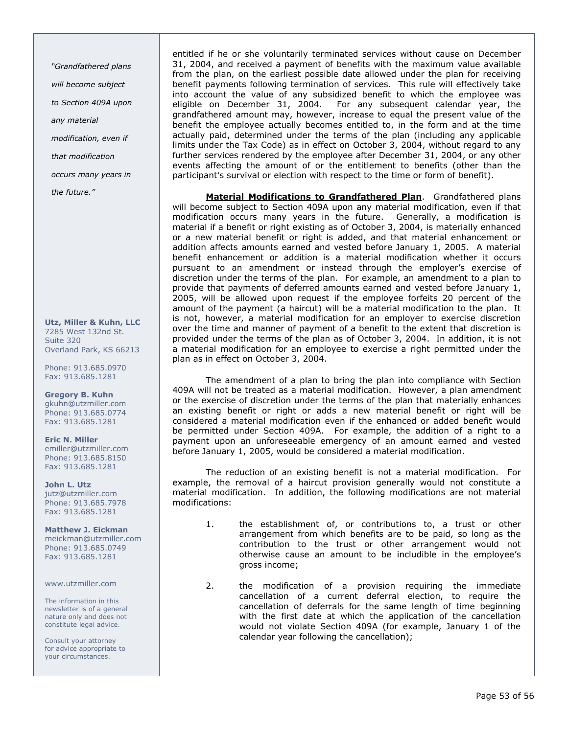"Grandfathered plans will become subject

to Section 409A upon

any material

modification, even if

that modification

occurs many years in

the future."

Utz, Miller & Kuhn, LLC 7285 West 132nd St. Suite 320 Overland Park, KS 66213

Phone: 913.685.0970 Fax: 913.685.1281

Gregory B. Kuhn gkuhn@utzmiller.com Phone: 913.685.0774 Fax: 913.685.1281

Eric N. Miller emiller@utzmiller.com Phone: 913.685.8150 Fax: 913.685.1281

John L. Utz jutz@utzmiller.com Phone: 913.685.7978 Fax: 913.685.1281

Matthew J. Eickman meickman@utzmiller.com Phone: 913.685.0749 Fax: 913.685.1281

www.utzmiller.com

The information in this newsletter is of a general nature only and does not constitute legal advice.

Consult your attorney for advice appropriate to your circumstances.

entitled if he or she voluntarily terminated services without cause on December 31, 2004, and received a payment of benefits with the maximum value available from the plan, on the earliest possible date allowed under the plan for receiving benefit payments following termination of services. This rule will effectively take into account the value of any subsidized benefit to which the employee was eligible on December 31, 2004. For any subsequent calendar year, the grandfathered amount may, however, increase to equal the present value of the benefit the employee actually becomes entitled to, in the form and at the time actually paid, determined under the terms of the plan (including any applicable limits under the Tax Code) as in effect on October 3, 2004, without regard to any further services rendered by the employee after December 31, 2004, or any other events affecting the amount of or the entitlement to benefits (other than the participant's survival or election with respect to the time or form of benefit).

Material Modifications to Grandfathered Plan. Grandfathered plans will become subject to Section 409A upon any material modification, even if that modification occurs many years in the future. Generally, a modification is material if a benefit or right existing as of October 3, 2004, is materially enhanced or a new material benefit or right is added, and that material enhancement or addition affects amounts earned and vested before January 1, 2005. A material benefit enhancement or addition is a material modification whether it occurs pursuant to an amendment or instead through the employer's exercise of discretion under the terms of the plan. For example, an amendment to a plan to provide that payments of deferred amounts earned and vested before January 1, 2005, will be allowed upon request if the employee forfeits 20 percent of the amount of the payment (a haircut) will be a material modification to the plan. It is not, however, a material modification for an employer to exercise discretion over the time and manner of payment of a benefit to the extent that discretion is provided under the terms of the plan as of October 3, 2004. In addition, it is not a material modification for an employee to exercise a right permitted under the plan as in effect on October 3, 2004.

The amendment of a plan to bring the plan into compliance with Section 409A will not be treated as a material modification. However, a plan amendment or the exercise of discretion under the terms of the plan that materially enhances an existing benefit or right or adds a new material benefit or right will be considered a material modification even if the enhanced or added benefit would be permitted under Section 409A. For example, the addition of a right to a payment upon an unforeseeable emergency of an amount earned and vested before January 1, 2005, would be considered a material modification.

The reduction of an existing benefit is not a material modification. For example, the removal of a haircut provision generally would not constitute a material modification. In addition, the following modifications are not material modifications:

- 1. the establishment of, or contributions to, a trust or other arrangement from which benefits are to be paid, so long as the contribution to the trust or other arrangement would not otherwise cause an amount to be includible in the employee's gross income;
- 2. the modification of a provision requiring the immediate cancellation of a current deferral election, to require the cancellation of deferrals for the same length of time beginning with the first date at which the application of the cancellation would not violate Section 409A (for example, January 1 of the calendar year following the cancellation);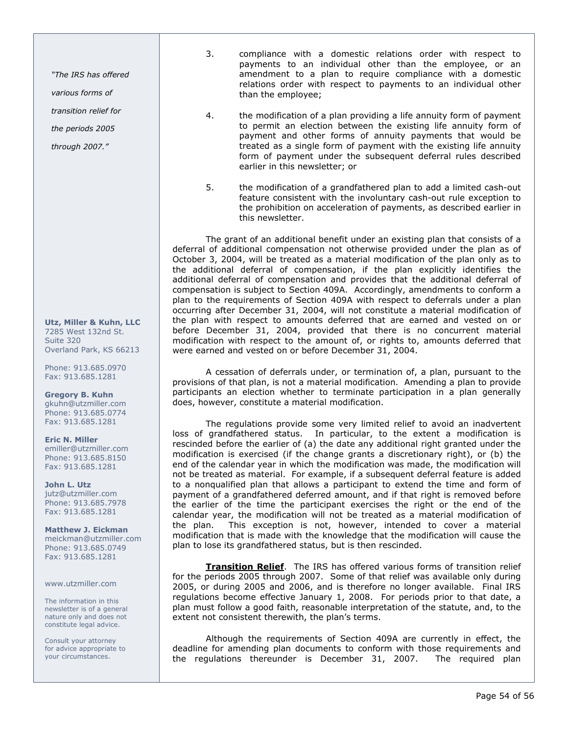"The IRS has offered

various forms of

transition relief for

the periods 2005

through 2007."

Utz, Miller & Kuhn, LLC 7285 West 132nd St. Suite 320 Overland Park, KS 66213

Phone: 913.685.0970 Fax: 913.685.1281

Gregory B. Kuhn gkuhn@utzmiller.com Phone: 913.685.0774 Fax: 913.685.1281

Eric N. Miller emiller@utzmiller.com Phone: 913.685.8150 Fax: 913.685.1281

John L. Utz jutz@utzmiller.com Phone: 913.685.7978 Fax: 913.685.1281

Matthew J. Eickman meickman@utzmiller.com Phone: 913.685.0749 Fax: 913.685.1281

### www.utzmiller.com

The information in this newsletter is of a general nature only and does not constitute legal advice.

Consult your attorney for advice appropriate to your circumstances.

- 3. compliance with a domestic relations order with respect to payments to an individual other than the employee, or an amendment to a plan to require compliance with a domestic relations order with respect to payments to an individual other than the employee;
- 4. the modification of a plan providing a life annuity form of payment to permit an election between the existing life annuity form of payment and other forms of annuity payments that would be treated as a single form of payment with the existing life annuity form of payment under the subsequent deferral rules described earlier in this newsletter; or
- 5. the modification of a grandfathered plan to add a limited cash-out feature consistent with the involuntary cash-out rule exception to the prohibition on acceleration of payments, as described earlier in this newsletter.

The grant of an additional benefit under an existing plan that consists of a deferral of additional compensation not otherwise provided under the plan as of October 3, 2004, will be treated as a material modification of the plan only as to the additional deferral of compensation, if the plan explicitly identifies the additional deferral of compensation and provides that the additional deferral of compensation is subject to Section 409A. Accordingly, amendments to conform a plan to the requirements of Section 409A with respect to deferrals under a plan occurring after December 31, 2004, will not constitute a material modification of the plan with respect to amounts deferred that are earned and vested on or before December 31, 2004, provided that there is no concurrent material modification with respect to the amount of, or rights to, amounts deferred that were earned and vested on or before December 31, 2004.

A cessation of deferrals under, or termination of, a plan, pursuant to the provisions of that plan, is not a material modification. Amending a plan to provide participants an election whether to terminate participation in a plan generally does, however, constitute a material modification.

The regulations provide some very limited relief to avoid an inadvertent loss of grandfathered status. In particular, to the extent a modification is rescinded before the earlier of (a) the date any additional right granted under the modification is exercised (if the change grants a discretionary right), or (b) the end of the calendar year in which the modification was made, the modification will not be treated as material. For example, if a subsequent deferral feature is added to a nonqualified plan that allows a participant to extend the time and form of payment of a grandfathered deferred amount, and if that right is removed before the earlier of the time the participant exercises the right or the end of the calendar year, the modification will not be treated as a material modification of the plan. This exception is not, however, intended to cover a material modification that is made with the knowledge that the modification will cause the plan to lose its grandfathered status, but is then rescinded.

Transition Relief. The IRS has offered various forms of transition relief for the periods 2005 through 2007. Some of that relief was available only during 2005, or during 2005 and 2006, and is therefore no longer available. Final IRS regulations become effective January 1, 2008. For periods prior to that date, a plan must follow a good faith, reasonable interpretation of the statute, and, to the extent not consistent therewith, the plan's terms.

Although the requirements of Section 409A are currently in effect, the deadline for amending plan documents to conform with those requirements and the regulations thereunder is December 31, 2007. The required plan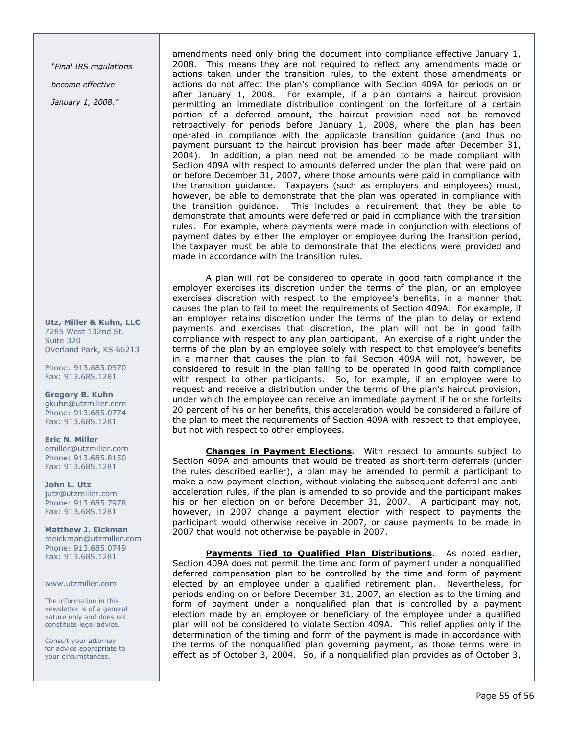"Final IRS regulations become effective

January 1, 2008."

Utz, Miller & Kuhn, LLC 7285 West 132nd St. Suite 320 Overland Park, KS 66213

Phone: 913.685.0970 Fax: 913.685.1281

Gregory B. Kuhn gkuhn@utzmiller.com Phone: 913.685.0774 Fax: 913.685.1281

Eric N. Miller emiller@utzmiller.com Phone: 913.685.8150 Fax: 913.685.1281

John L. Utz jutz@utzmiller.com Phone: 913.685.7978 Fax: 913.685.1281

Matthew J. Eickman meickman@utzmiller.com Phone: 913.685.0749 Fax: 913.685.1281

www.utzmiller.com

The information in this newsletter is of a general nature only and does not constitute legal advice.

Consult your attorney for advice appropriate to your circumstances.

amendments need only bring the document into compliance effective January 1, 2008. This means they are not required to reflect any amendments made or actions taken under the transition rules, to the extent those amendments or actions do not affect the plan's compliance with Section 409A for periods on or after January 1, 2008. For example, if a plan contains a haircut provision permitting an immediate distribution contingent on the forfeiture of a certain portion of a deferred amount, the haircut provision need not be removed retroactively for periods before January 1, 2008, where the plan has been operated in compliance with the applicable transition guidance (and thus no payment pursuant to the haircut provision has been made after December 31, 2004). In addition, a plan need not be amended to be made compliant with Section 409A with respect to amounts deferred under the plan that were paid on or before December 31, 2007, where those amounts were paid in compliance with the transition guidance. Taxpayers (such as employers and employees) must, however, be able to demonstrate that the plan was operated in compliance with the transition guidance. This includes a requirement that they be able to demonstrate that amounts were deferred or paid in compliance with the transition rules. For example, where payments were made in conjunction with elections of payment dates by either the employer or employee during the transition period, the taxpayer must be able to demonstrate that the elections were provided and made in accordance with the transition rules.

A plan will not be considered to operate in good faith compliance if the employer exercises its discretion under the terms of the plan, or an employee exercises discretion with respect to the employee's benefits, in a manner that causes the plan to fail to meet the requirements of Section 409A. For example, if an employer retains discretion under the terms of the plan to delay or extend payments and exercises that discretion, the plan will not be in good faith compliance with respect to any plan participant. An exercise of a right under the terms of the plan by an employee solely with respect to that employee's benefits in a manner that causes the plan to fail Section 409A will not, however, be considered to result in the plan failing to be operated in good faith compliance with respect to other participants. So, for example, if an employee were to request and receive a distribution under the terms of the plan's haircut provision, under which the employee can receive an immediate payment if he or she forfeits 20 percent of his or her benefits, this acceleration would be considered a failure of the plan to meet the requirements of Section 409A with respect to that employee, but not with respect to other employees.

Changes in Payment Elections. With respect to amounts subject to Section 409A and amounts that would be treated as short-term deferrals (under the rules described earlier), a plan may be amended to permit a participant to make a new payment election, without violating the subsequent deferral and antiacceleration rules, if the plan is amended to so provide and the participant makes his or her election on or before December 31, 2007. A participant may not, however, in 2007 change a payment election with respect to payments the participant would otherwise receive in 2007, or cause payments to be made in 2007 that would not otherwise be payable in 2007.

Payments Tied to Qualified Plan Distributions. As noted earlier, Section 409A does not permit the time and form of payment under a nonqualified deferred compensation plan to be controlled by the time and form of payment elected by an employee under a qualified retirement plan. Nevertheless, for periods ending on or before December 31, 2007, an election as to the timing and form of payment under a nonqualified plan that is controlled by a payment election made by an employee or beneficiary of the employee under a qualified plan will not be considered to violate Section 409A. This relief applies only if the determination of the timing and form of the payment is made in accordance with the terms of the nonqualified plan governing payment, as those terms were in effect as of October 3, 2004. So, if a nonqualified plan provides as of October 3,